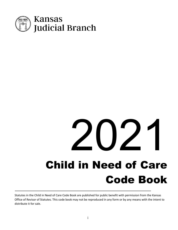

# Child in Need of Care Code Book  $202$

Statutes in the Child in Need of Care Code Book are published for public benefit with permission from the Kansas Office of Revisor of Statutes. This code book may not be reproduced in any form or by any means with the intent to distribute it for sale.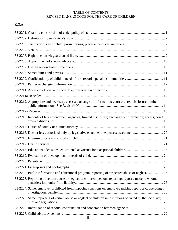# TABLE OF CONTENTS REVISED KANSAS CODE FOR THE CARE OF CHILDREN

# K.S.A.

| 38-2212. Appropriate and necessary access; exchange of information; court ordered disclosure; limited       |  |
|-------------------------------------------------------------------------------------------------------------|--|
|                                                                                                             |  |
| 38-2213. Records of law enforcement agencies; limited disclosure; exchange of information; access; court    |  |
|                                                                                                             |  |
|                                                                                                             |  |
|                                                                                                             |  |
|                                                                                                             |  |
|                                                                                                             |  |
|                                                                                                             |  |
|                                                                                                             |  |
|                                                                                                             |  |
| 38-2222. Public information and educational program; reporting of suspected abuse or neglect 26             |  |
| 38-2223. Reporting of certain abuse or neglect of children; persons reporting; reports, made to whom;       |  |
| 38-2224. Same; employer prohibited from imposing sanctions on employee making report or cooperating in      |  |
| 38-2225. Same; reporting of certain abuse or neglect of children in institutions operated by the secretary; |  |
|                                                                                                             |  |
|                                                                                                             |  |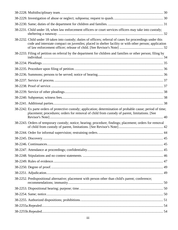| 38-2231. Child under 18, when law enforcement officers or court services officers may take into custody;                                                                                                               |  |
|------------------------------------------------------------------------------------------------------------------------------------------------------------------------------------------------------------------------|--|
| 38-2232. Child under 18 taken into custody; duties of officers; referral of cases for proceedings under this<br>code and interstate compact on juveniles; placed in shelter facility or with other person; application |  |
| 38-2233. Filing of petition on referral by the department for children and families or other person; filing by                                                                                                         |  |
|                                                                                                                                                                                                                        |  |
|                                                                                                                                                                                                                        |  |
|                                                                                                                                                                                                                        |  |
|                                                                                                                                                                                                                        |  |
|                                                                                                                                                                                                                        |  |
|                                                                                                                                                                                                                        |  |
|                                                                                                                                                                                                                        |  |
|                                                                                                                                                                                                                        |  |
| 38-2242. Ex parte orders of protective custody; application; determination of probable cause; period of time;<br>placement; procedures; orders for removal of child from custody of parent, limitations. [See          |  |
| 38-2243. Orders of temporary custody; notice; hearing; procedure; findings; placement; orders for removal                                                                                                              |  |
|                                                                                                                                                                                                                        |  |
|                                                                                                                                                                                                                        |  |
|                                                                                                                                                                                                                        |  |
|                                                                                                                                                                                                                        |  |
|                                                                                                                                                                                                                        |  |
|                                                                                                                                                                                                                        |  |
|                                                                                                                                                                                                                        |  |
|                                                                                                                                                                                                                        |  |
| 38-2252. Predispositional alternative; placement with person other than child's parent; conference;                                                                                                                    |  |
|                                                                                                                                                                                                                        |  |
|                                                                                                                                                                                                                        |  |
|                                                                                                                                                                                                                        |  |
|                                                                                                                                                                                                                        |  |
|                                                                                                                                                                                                                        |  |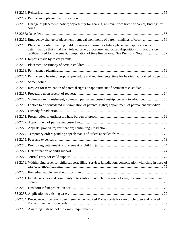| 38-2258. Change of placement; notice; opportunity for hearing; removal from home of parent, findings by                                                                                                                                                                                           |  |
|---------------------------------------------------------------------------------------------------------------------------------------------------------------------------------------------------------------------------------------------------------------------------------------------------|--|
|                                                                                                                                                                                                                                                                                                   |  |
| 38-2259. Emergency change of placement; removal from home of parent, findings of court.  56                                                                                                                                                                                                       |  |
| 38-2260. Placement; order directing child to remain in present or future placement, application for<br>determination that child has violated order; procedure; authorized dispositions; limitations on<br>facilities used for placement; computation of time limitations. [See Revisor's Note] 57 |  |
|                                                                                                                                                                                                                                                                                                   |  |
|                                                                                                                                                                                                                                                                                                   |  |
|                                                                                                                                                                                                                                                                                                   |  |
| 38-2264. Permanency hearing; purpose; procedure and requirements; time for hearing; authorized orders. . 60                                                                                                                                                                                       |  |
|                                                                                                                                                                                                                                                                                                   |  |
| 38-2266. Request for termination of parental rights or appointment of permanent custodian.  64                                                                                                                                                                                                    |  |
|                                                                                                                                                                                                                                                                                                   |  |
| 38-2268. Voluntary relinquishment; voluntary permanent custodianship; consent to adoption.  65                                                                                                                                                                                                    |  |
| 38-2269. Factors to be considered in termination of parental rights; appointment of permanent custodian 66                                                                                                                                                                                        |  |
|                                                                                                                                                                                                                                                                                                   |  |
|                                                                                                                                                                                                                                                                                                   |  |
|                                                                                                                                                                                                                                                                                                   |  |
|                                                                                                                                                                                                                                                                                                   |  |
|                                                                                                                                                                                                                                                                                                   |  |
|                                                                                                                                                                                                                                                                                                   |  |
|                                                                                                                                                                                                                                                                                                   |  |
|                                                                                                                                                                                                                                                                                                   |  |
|                                                                                                                                                                                                                                                                                                   |  |
| 38-2279. Withholding order for child support; filing; service; jurisdiction; consolidation with child in need of                                                                                                                                                                                  |  |
|                                                                                                                                                                                                                                                                                                   |  |
| 38-2281. Family services and community intervention fund; child in need of care, purpose of expenditure of                                                                                                                                                                                        |  |
|                                                                                                                                                                                                                                                                                                   |  |
|                                                                                                                                                                                                                                                                                                   |  |
| 38-2284. Precedence of certain orders issued under revised Kansas code for care of children and revised                                                                                                                                                                                           |  |
|                                                                                                                                                                                                                                                                                                   |  |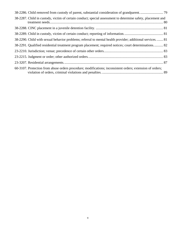| 38-2287. Child in custody, victim of certain conduct; special assessment to determine safety, placement and |  |
|-------------------------------------------------------------------------------------------------------------|--|
|                                                                                                             |  |
|                                                                                                             |  |
| 38-2290. Child with sexual behavior problems; referral to mental health provider; additional services 81    |  |
| 38-2291. Qualified residential treatment program placement; required notices; court determinations 82       |  |
|                                                                                                             |  |
|                                                                                                             |  |
|                                                                                                             |  |
| 60-3107. Protection from abuse orders procedure; modifications; inconsistent orders; extension of orders;   |  |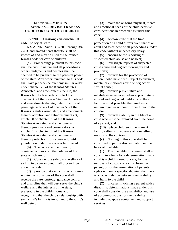# <span id="page-5-0"></span>**Chapter 38.—MINORS Article 22.—REVISED KANSAS CODE FOR CARE OF CHILDREN**

# **38-2201. Citation; construction of code; policy of state.**

K.S.A. 2020 Supp. 38-2201 through 38- 2283, and amendments thereto, shall be known as and may be cited as the revised Kansas code for care of children.

(a) Proceedings pursuant to this code shall be civil in nature and all proceedings, orders, judgments and decrees shall be deemed to be pursuant to the parental power of the state. Any orders pursuant to this code shall take precedence over any similar order under chapter 23 of the Kansas Statutes Annotated, and amendments thereto, the Kansas family law code, article 11 of chapter 38 of the Kansas Statutes Annotated, and amendments thereto, determination of parentage, article 21 of chapter 59 of the Kansas Statutes Annotated, and amendments thereto, adoption and relinquishment act, article 30 of chapter 59 of the Kansas Statutes Annotated, and amendments thereto, guardians and conservators, or article 31 of chapter 60 of the Kansas Statutes Annotated, and amendments thereto, protection from abuse act, until jurisdiction under this code is terminated.

(b) The code shall be liberally construed to carry out the policies of the state which are to:

(1) Consider the safety and welfare of a child to be paramount in all proceedings under the code;

(2) provide that each child who comes within the provisions of the code shall receive the care, custody, guidance control and discipline that will best serve the child's welfare and the interests of the state, preferably in the child's home and recognizing that the child's relationship with such child's family is important to the child's well being;

(3) make the ongoing physical, mental and emotional needs of the child decisive considerations in proceedings under this code;

(4) acknowledge that the time perception of a child differs from that of an adult and to dispose of all proceedings under this code without unnecessary delay;

(5) encourage the reporting of suspected child abuse and neglect;

(6) investigate reports of suspected child abuse and neglect thoroughly and promptly;

(7) provide for the protection of children who have been subject to physical, mental or emotional abuse or neglect or sexual abuse;

(8) provide preventative and rehabilitative services, when appropriate, to abused and neglected children and their families so, if possible, the families can remain together without further threat to the children;

(9) provide stability in the life of a child who must be removed from the home of a parent; and

(10) place children in permanent family settings, in absence of compelling reasons to the contrary.

(c) Nothing in this code shall be construed to permit discrimination on the basis of disability.

(1) The disability of a parent shall not constitute a basis for a determination that a child is a child in need of care, for the removal of custody of a child from the parent, or for the termination of parental rights without a specific showing that there is a causal relation between the disability and harm to the child.

(2) In cases involving a parent with a disability, determinations made under this code shall consider the availability and use of accommodations for the disability, including adaptive equipment and support services.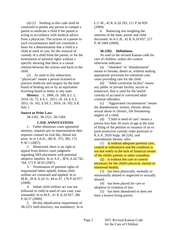<span id="page-6-0"></span>(d) (1) Nothing in this code shall be construed to permit any person to compel a parent to medicate a child if the parent is acting in accordance with medical advice from a physician. The actions of a parent in such circumstances shall not constitute a basis for a determination that a child is a child in need of care, for the removal of custody of a child from the parent, or for the termination of parental rights without a specific showing that there is a causal relation between the actions and harm to the child.

(2) As used in this subsection, "physician" means a person licensed to practice medicine and surgery by the state board of healing arts or by an equivalent licensing board or entity in any state.

**History:** L. 2006, ch. 200, § 1; L. 2010, ch. 75, § 4; L. 2011, ch. 24, § 3; L. 2012, ch. 162, § 59; L. 2016, ch. 102, § 8; July 1.

# **Source or Prior Law:**

38-1501, 38-1521, 38-1584.

#### **CASE ANNOTATIONS**

1. Father dismisses court appointed attorney, requests pro se representation then requests counsel on trial day, denial not error. In re J.A.H., 285 K. 375, 382, 172 P.3d 1 (2007).

2. Mentioned, there is no right to appeal from district court judgment regarding SRS placement with potential adoptive families. In re A.F., 38 K.A.2d 742, 744, 172 P.3d 63 (2007).

3. Termination of parental rights of imprisoned father upheld; Indian child welfare act construed and applied. In re M.B., 39 K.A.2d 31, 44 to 47, 176 P.3d 977 (2008).

4. Indian child welfare act was not followed in child in need of care case; case remanded. In re M.F., 41 K.A.2d 927, 206 P.3d 57 (2009).

5. 60-day adjudication requirement of 38-2251 held directory, not mandatory. In re L.C.W., 42 K.A.2d 293, 211 P.3d 829 (2009).

6. Balancing test weighing the interests of the state, parent and child discussed. In re L.B., 42 K.A.2d 837, 217 P.3d 1004 (2009).

## **38-2202. Definitions.**

As used in the revised Kansas code for care of children, unless the context otherwise indicates:

(a) "Abandon" or "abandonment" means to forsake, desert or, without making appropriate provision for substitute care, cease providing care for the child.

(b) "Adult correction facility" means any public or private facility, secure or nonsecure, that is used for the lawful custody of accused or convicted adult criminal offenders.

(c) "Aggravated circumstances" means the abandonment, torture, chronic abuse, sexual abuse or chronic, life threatening neglect of a child.

(d) "Child in need of care" means a person less than 18 years of age at the time of filing of the petition or issuance of an ex parte protective custody order pursuant to K.S.A. 2020 Supp. 38-2242, and amendments thereto, who:

(1) Is without adequate parental care, control or subsistence and the condition is not due solely to the lack of financial means of the child's parents or other custodian;

(2) is without the care or control necessary for the child's physical, mental or emotional health;

(3) has been physically, mentally or emotionally abused or neglected or sexually abused;

(4) has been placed for care or adoption in violation of law;

(5) has been abandoned or does not have a known living parent;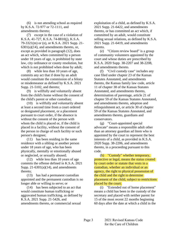(6) is not attending school as required by K.S.A. 72-977 or 72-1111, and amendments thereto;

(7) except in the case of a violation of K.S.A. 41-727, K.S.A. 74-8810(j), K.S.A. 79-3321(m) or (n), or K.S.A. 2021 Supp. 21-  $6301(a)(14)$ , and amendments thereto, or, except as provided in paragraph (12), does an act which, when committed by a person under 18 years of age, is prohibited by state law, city ordinance or county resolution, but which is not prohibited when done by adult;

(8) while less than 10 years of age, commits any act that if done by an adult would constitute the commission of a felony or misdemeanor as defined by K.S.A. 2021 Supp. 21-5102, and thereto;

(9) is willfully and voluntarily absent from the child's home without the consent of the child's parent or other custodian;

(10) is willfully and voluntarily absent at least a second time from a court ordered or designated placement, or a placement pursuant to court order, if the absence is without the consent of the person with whom the child is placed or, if the child is placed in a facility, without the consent of the person in charge of such facility or such person's designee;

(11) has been residing in the same residence with a sibling or another person under 18 years of age, who has been physically, mentally or emotionally abused or neglected, or sexually abused;

(12) while less than 10 years of age commits the offense defined in K.S.A. 2021 Supp. 21-6301(a)(14), and amendments thereto;

(13) has had a permanent custodian appointed and the permanent custodian is no longer able or willing to serve; or

(14) has been subjected to an act that would constitute human trafficking or aggravated human trafficking, as defined by K.S.A. 2021 Supp. 21-5426, and amendments thereto, or commercial sexual

exploitation of a child, as defined by K.S.A. 2021 Supp. 21-6422, and amendments thereto, or has committed an act which, if committed by an adult, would constitute selling sexual relations, as defined by K.S.A. 2021 Supp. 21-6419, and amendments thereto.

(e) "Citizen review board" is a group of community volunteers appointed by the court and whose duties are prescribed by K.S.A. 2020 Supp. 38-2207 and 38-2208, and amendments thereto.

(f) "Civil custody case" includes any case filed under chapter 23 of the Kansas Statutes Annotated, and amendments thereto, the Kansas family law code, article 11 of chapter 38 of the Kansas Statutes Annotated, and amendments thereto, determination of parentage, article 21 of chapter 59 of the Kansas Statutes Annotated, and amendments thereto, adoption and relinquishment act, or article 30 of chapter 59 of the Kansas Statutes Annotated, and amendments thereto, guardians and conservators.

(g) "Court-appointed special advocate" means a responsible adult other than an attorney guardian ad litem who is appointed by the court to represent the best interests of a child, as provided in K.S.A. 2020 Supp. 38-2206, and amendments thereto, in a proceeding pursuant to this code.

(h) "Custody" whether temporary, protective or legal, means the status created by court order or statute that vests in a custodian, whether an individual or an agency, the right to physical possession of the child and the right to determine placement of the child, subject to restrictions placed by the court.

(i) "Extended out of home placement" means a child has been in the custody of the secretary and placed with neither parent for 15 of the most recent 22 months beginning 60 days after the date at which a child in the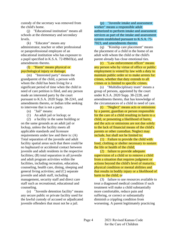custody of the secretary was removed from the child's home.

(j) "Educational institution" means all schools at the elementary and secondary levels.

(k) "Educator" means any administrator, teacher or other professional or paraprofessional employee of an educational institution who has exposure to a pupil specified in K.S.A. 72-89b03(a), and amendments thereto.

# (l) "Harm" means physical or psychological injury or damage.

(m) "Interested party" means the grandparent of the child, a person with whom the child has been living for a significant period of time when the child in need of care petition is filed, and any person made an interested party by the court pursuant to K.S.A. 2020 Supp. 38-2241, and amendments thereto, or Indian tribe seeking to intervene that is not a party.

- (n) "Jail" means:
- (1) An adult jail or lockup; or

(2) a facility in the same building or on the same grounds as an adult jail or lockup, unless the facility meets all applicable standards and licensure requirements under law and there is: (A) Total separation of the juvenile and adult facility spatial areas such that there could be no haphazard or accidental contact between juvenile and adult residents in the respective facilities; (B) total separation in all juvenile and adult program activities within the facilities, including recreation, education, counseling, health care, dining, sleeping and general living activities; and (C) separate juvenile and adult staff, including management, security staff and direct care staff such as recreational, educational and counseling.

(o) "Juvenile detention facility" means any secure public or private facility used for the lawful custody of accused or adjudicated juvenile offenders that must not be a jail.

(p) "Juvenile intake and assessment worker" means a responsible adult authorized to perform intake and assessment services as part of the intake and assessment system established pursuant to K.S.A. 75- 7023, and amendments thereto.

(q) "Kinship care placement" means the placement of a child in the home of an adult with whom the child or the child's parent already has close emotional ties.

(r) "Law enforcement officer" means any person who by virtue of office or public employment is vested by law with a duty to maintain public order or to make arrests for crimes, whether that duty extends to all crimes or is limited to specific crimes.

(s) "Multidisciplinary team" means a group of persons, appointed by the court under K.S.A. 2020 Supp. 38-2228, and amendments thereto, that has knowledge of the circumstances of a child in need of care.

(t) "Neglect" means acts or omissions by a parent, guardian or person responsible for the care of a child resulting in harm to a child, or presenting a likelihood of harm, and the acts or omissions are not due solely to the lack of financial means of the child's parents or other custodian. Neglect may include, but shall not be limited to:

(1) Failure to provide the child with food, clothing or shelter necessary to sustain the life or health of the child;

(2) failure to provide adequate supervision of a child or to remove a child from a situation that requires judgment or actions beyond the child's level of maturity, physical condition or mental abilities and that results in bodily injury or a likelihood of harm to the child; or

(3) failure to use resources available to treat a diagnosed medical condition if such treatment will make a child substantially more comfortable, reduce pain and suffering, or correct or substantially diminish a crippling condition from worsening. A parent legitimately practicing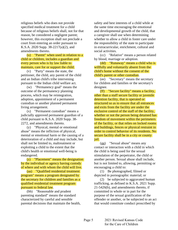religious beliefs who does not provide specified medical treatment for a child because of religious beliefs shall, not for that reason, be considered a negligent parent; however, this exception shall not preclude a court from entering an order pursuant to K.S.A. 2020 Supp. 38-2217(a)(2), and amendments thereto.

(u) "Parent" when used in relation to a child or children, includes a guardian and every person who is by law liable to maintain, care for or support the child.

(v) "Party" means the state, the petitioner, the child, any parent of the child and an Indian child's tribe intervening pursuant to the Indian child welfare act.

(w) "Permanency goal" means the outcome of the permanency planning process, which may be reintegration, adoption, appointment of a permanent custodian or another planned permanent living arrangement.

(x) "Permanent custodian" means a judicially approved permanent guardian of a child pursuant to K.S.A. 2020 Supp. 38- 2272, and amendments thereto.

(y) "Physical, mental or emotional abuse" means the infliction of physical, mental or emotional harm or the causing of a deterioration of a child and may include, but shall not be limited to, maltreatment or exploiting a child to the extent that the child's health or emotional well-being is endangered.

(z) "Placement" means the designation by the individual or agency having custody of where and with whom the child will live.

(aa) "Qualified residential treatment program" means a program designated by the secretary for children and families as a qualified residential treatment program pursuant to federal law.

(bb) "Reasonable and prudent parenting standard" means the standard characterized by careful and sensible parental decisions that maintain the health, safety and best interests of a child while at the same time encouraging the emotional and developmental growth of the child, that a caregiver shall use when determining whether to allow a child in foster care under the responsibility of the state to participate in extracurricular, enrichment, cultural and social activities.

(cc) "Relative" means a person related by blood, marriage or adoption.

(dd) "Runaway" means a child who is willfully and voluntarily absent from the child's home without the consent of the child's parent or other custodian.

(ee) "Secretary" means the secretary for children and families or the secretary's designee.

(ff) "Secure facility" means a facility, other than a staff secure facility or juvenile detention facility, that is operated or structured so as to ensure that all entrances and exits from the facility are under the exclusive control of the staff of the facility, whether or not the person being detained has freedom of movement within the perimeters of the facility, or that relies on locked rooms and buildings, fences or physical restraint in order to control behavior of its residents. No secure facility shall be in a city or county jail.

(gg) "Sexual abuse" means any contact or interaction with a child in which the child is being used for the sexual stimulation of the perpetrator, the child or another person. Sexual abuse shall include, but is not limited to, allowing, permitting or encouraging a child to:

(1) Be photographed, filmed or depicted in pornographic material; or

(2) be subjected to aggravated human trafficking, as defined in K.S.A. 2021 Supp. 21-5426(b), and amendments thereto, if committed in whole or in part for the purpose of the sexual gratification of the offender or another, or be subjected to an act that would constitute conduct proscribed by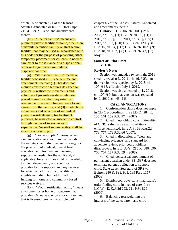article 55 of chapter 21 of the Kansas Statutes Annotated or K.S.A. 2021 Supp. 21-6419 or 21-6422, and amendments thereto.

(hh) "Shelter facility" means any public or private facility or home, other than a juvenile detention facility or staff secure facility, that may be used in accordance with this code for the purpose of providing either temporary placement for children in need of care prior to the issuance of a dispositional order or longer term care under a dispositional order.

(ii) "Staff secure facility" means a facility described in K.S.A. 65-535, and amendments thereto: (1) That does not include construction features designed to physically restrict the movements and activities of juvenile residents who are placed therein; (2) that may establish reasonable rules restricting entrance to and egress from the facility; and (3) in which the movements and activities of individual juvenile residents may, for treatment purposes, be restricted or subject to control through the use of intensive staff supervision. No staff secure facility shall be in a city or county jail.

(jj) "Transition plan" means, when used in relation to a youth in the custody of the secretary, an individualized strategy for the provision of medical, mental health, education, employment and housing supports as needed for the adult and, if applicable, for any minor child of the adult, to live independently and specifically provides for the supports and any services for which an adult with a disability is eligible including, but not limited to, funding for home and community based services waivers.

(kk) "Youth residential facility" means any home, foster home or structure that provides 24-hour-a-day care for children and that is licensed pursuant to article 5 of

chapter 65 of the Kansas Statutes Annotated, and amendments thereto.

**History:** L. 2006, ch. 200, § 2; L. 2008, ch. 169, § 1; L. 2009, ch. 99, § 1; L. 2010, ch. 75, § 5; L. 2011, ch. 30, § 155; L. 2012, ch. 162, § 60; L. 2013, ch. 120, § 31; L. 2015, ch. 94, § 12; L. 2016, ch. 102, § 9; L. 2018, ch. 107, § 8; L. 2019, ch. 43, § 3; May 2.

# **Source or Prior Law:**

38-1502.

# **Revisor's Note:**

Section was amended twice in the 2016 session, see also L. 2016, ch. 46, § 23, but that version was repealed by L. 2018, ch. 107, § 18, effective July 1, 2019.

Section was also amended by L. 2018, ch. 107, § 9, but that version was repealed by L. 2019, ch. 43, § 6.

# **CASE ANNOTATIONS**

1. Confrontation clause does not apply in CINC proceedings. In re J.D.C., 284 K. 155, 161, 159 P.3d 974 (2007).

2. Cited in upholding constitutionality of CINC; safeguards against arbitrary enforcement listed. In re A.F., 38 K.A.2d 773, 777, 172 P.3d 66 (2007).

3. Cited in discussion of "clear and convincing evidence" and standard for appellate review; prior court holdings disapproved. In re B.D.-Y., 286 K. 686, 690, 706, 707, 187 P.3d 594 (2008).

4. Cited; consensual appointment of permanent guardian under 38-1587 does not terminate parent's obligation to support child. State ex rel. Secretary of SRS v. Bohrer, 286 K. 898, 903, 189 P.3d 1157 (2008).

5. District court overturns magistrate's order finding child in need of care. In re L.C.W., 42 K.A.2d 293, 211 P.3d 829 (2009).

6. Balancing test weighing the interests of the state, parent and child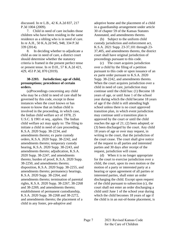<span id="page-11-0"></span>discussed. In re L.B., 42 K.A.2d 837, 217 P.3d 1004 (2009).

7. Child in need of care includes those children who have been residing in the same residence as a sibling who is in need of care. In re A.H., 50 K.A.2d 945, 948, 334 P.3d 339 (2014).

8. In deciding whether to adjudicate a child as one in need of care, a district court should determine whether the statutory criteria is framed in the present perfect tense or present tense. In re D.H., 57 K.A.2d 421, 429, 453 P.3d, 870 (2019).

# **38-2203. Jurisdiction; age of child, presumptions; precedence of certain orders.**

(a)Proceedings concerning any child who may be a child in need of care shall be governed by this code, except in those instances when the court knows or has reason to know that an Indian child is involved in the proceeding, in which case, the Indian child welfare act of 1978, 25 U.S.C. § 1901 et seq*.*, applies. The Indian child welfare act may apply to: The filing to initiate a child in need of care proceeding, K.S.A. 2020 Supp. 38-2234, and amendments thereto; ex parte custody orders, K.S.A. 2020 Supp. 38-2242, and amendments thereto; temporary custody hearing, K.S.A. 2020 Supp. 38-2243, and amendments thereto; adjudication, K.S.A. 2020 Supp. 38-2247, and amendments thereto; burden of proof, K.S.A. 2020 Supp. 38-2250, and amendments thereto; disposition, K.S.A. 2020 Supp. 38-2255, and amendments thereto; permanency hearings, K.S.A. 2020 Supp. 38-2264, and amendments thereto; termination of parental rights, K.S.A. 2020 Supp. 38-2267, 38-2268 and 38-2269, and amendments thereto; establishment of permanent custodianship, K.S.A. 2020 Supp. 38-2268 and 38-2272, and amendments thereto; the placement of a child in any foster, pre-adoptive and

adoptive home and the placement of a child in a guardianship arrangement under article 30 of chapter 59 of the Kansas Statutes Annotated, and amendments thereto.

(b) Subject to the uniform child custody jurisdiction and enforcement act, K.S.A. 2021 Supp. 23-37,101 through 23- 37,405, and amendments thereto, the district court shall have original jurisdiction of proceedings pursuant to this code.

(c) The court acquires jurisdiction over a child by the filing of a petition pursuant to this code or upon issuance of an ex parte order pursuant to K.S.A. 2020 Supp. 38-2242, and amendments thereto. When the court acquires jurisdiction over a child in need of care, jurisdiction may continue until the child has: (1) Become 18 years of age, or until June 1 of the school year during which the child became 18 years of age if the child is still attending high school unless there is no court approved transition plan, in which event jurisdiction may continue until a transition plan is approved by the court or until the child reaches the age of 21; (2) been adopted; or (3) been discharged by the court. Any child 18 years of age or over may request, in writing to the court, that the jurisdiction of the court cease. The court shall give notice of the request to all parties and interested parties and 30 days after receipt of the request, jurisdiction will cease.

(d) When it is no longer appropriate for the court to exercise jurisdiction over a child, the court, upon its own motion or the motion of a party or interested party at a hearing or upon agreement of all parties or interested parties, shall enter an order discharging the child. Except upon request of the child pursuant to subsection (c), the court shall not enter an order discharging a child until June 1 of the school year during which the child becomes 18 years of age if the child is in an out-of-home placement, is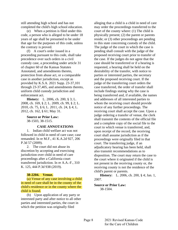<span id="page-12-0"></span>still attending high school and has not completed the child's high school education.

(e) When a petition is filed under this code, a person who is alleged to be under 18 years of age shall be presumed to be under that age for the purposes of this code, unless the contrary is proved.

(f) A court's order issued in a proceeding pursuant to this code, shall take precedence over such orders in a civil custody case, a proceeding under article 31 of chapter 60 of the Kansas Statutes Annotated, and amendments thereto, protection from abuse act, or a comparable case in another jurisdiction, except as provided by K.S.A. 2021 Supp. 23-37,101 through 23-37,405, and amendments thereto, uniform child custody jurisdiction and enforcement act.

**History:** L. 2006, ch. 200, § 3; L. 2008, ch. 169, § 2; L. 2009, ch. 99, § 2; L. 2010, ch. 75, § 6; L. 2011, ch. 24, § 4; L. 2012, ch. 162, § 61; May 31.

**Source or Prior Law:** 38-1503, 38-1515.

#### **CASE ANNOTATIONS**

1. Indian child welfare act was not followed in child in need of care case; case remanded. In re M.F., 41 K.A.2d 927, 206 P.3d 57 (2009).

2. The court did not abuse its discretion by accepting and exercising jurisdiction over child in need of care proceedings after a California court transferred jurisdiction. In re A.A.-F., 310 K. 125, 444 P.3d 938 (2019).

#### **38-2204. Venue.**

(a) Venue of any case involving a child in need of care shall be in the county of the child's residence or in the county where the child is found.

(b) Upon application of any party or interested party and after notice to all other parties and interested parties, the court in which the petition was originally filed

alleging that a child is a child in need of care may order the proceedings transferred to the court of the county where: (1) The child is physically present; (2) the parent or parents reside; or (3) other proceedings are pending in this state concerning custody of the child. The judge of the court in which the case is pending shall consult with the judge of the proposed receiving court prior to transfer of the case. If the judges do not agree that the case should be transferred or if a hearing is requested, a hearing shall be held on the desirability of the transfer, with notice to parties or interested parties, the secretary and the proposed receiving court. If the judge of the transferring court orders the case transferred, the order of transfer shall include findings stating why the case is being transferred and, if available, the names and addresses of all interested parties to whom the receiving court should provide notice of any further proceedings. The receiving court shall accept the case. Upon a judge ordering a transfer of venue, the clerk shall transmit the contents of the official file and a complete copy of the social file to the court to which venue is transferred, and, upon receipt of the record, the receiving court shall assume jurisdiction as if the proceedings were originally filed in that court. The transferring judge, if an adjudicatory hearing has been held, shall also transmit recommendations as to disposition. The court may return the case to the court where it originated if the child is not present in the receiving county or, the receiving county is not the residence of the child's parent or parents.

**History:** L. 2006, ch. 200, § 4; Jan. 1, 2007.

# **Source or Prior Law:**

38-1504.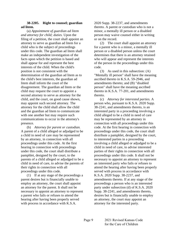# <span id="page-13-0"></span>**38-2205. Right to counsel; guardian ad litem.**

(a) *Appointment of guardian ad litem and attorney for child; duties.* Upon the filing of a petition, the court shall appoint an attorney to serve as guardian ad litem for a child who is the subject of proceedings under this code. The guardian ad litem shall make an independent investigation of the facts upon which the petition is based and shall appear for and represent the best interests of the child. When the child's position is not consistent with the determination of the guardian ad litem as to the child's best interests, the guardian ad litem shall inform the court of the disagreement. The guardian ad litem or the child may request the court to appoint a second attorney to serve as attorney for the child, and the court, on good cause shown, may appoint such second attorney. The attorney for the child shall allow the child and the guardian ad litem to communicate with one another but may require such communications to occur in the attorney's presence.

(b) *Attorney for parent or custodian.* A parent of a child alleged or adjudged to be a child in need of care may be represented by an attorney, in connection with all proceedings under this code. At the first hearing in connection with proceedings under this code, the court shall distribute a pamphlet, designed by the court, to the parents of a child alleged or adjudged to be a child in need of care, to advise the parents of their rights in connection with all proceedings under this code.

(1) If at any stage of the proceedings a parent desires but is financially unable to employ an attorney, the court shall appoint an attorney for the parent. It shall not be necessary to appoint an attorney to represent a parent who fails or refuses to attend the hearing after having been properly served with process in accordance with K.S.A.

2020 Supp. 38-2237, and amendments thereto. A parent or custodian who is not a minor, a mentally ill person or a disabled person may waive counsel either in writing or on the record.

(2) The court shall appoint an attorney for a parent who is a minor, a mentally ill person or a disabled person unless the court determines that there is an attorney retained who will appear and represent the interests of the person in the proceedings under this code.

(3) As used in this subsection: (A) "Mentally ill person" shall have the meaning ascribed thereto in K.S.A. 59-2946, and amendments thereto; and (B) "disabled person" shall have the meaning ascribed thereto in K.S.A. 77-201, and amendments thereto.

(c) *Attorney for interested parties.* A person who, pursuant to K.S.A. 2020 Supp. 38-2241, and amendments thereto, is an interested party in a proceeding involving a child alleged to be a child in need of care may be represented by an attorney in connection with all proceedings under this code. At the first hearing in connection with proceedings under this code, the court shall distribute a pamphlet, designed by the court, to interested parties in a proceeding involving a child alleged or adjudged to be a child in need of care, to advise interested parties of their rights in connection with all proceedings under this code. It shall not be necessary to appoint an attorney to represent an interested party who fails or refuses to attend the hearing after having been properly served with process in accordance with K.S.A. 2020 Supp. 38-2237, and amendments thereto. If at any stage of the proceedings a person who is an interested party under subsection (d) of K.S.A. 2020 Supp. 38-2241, and amendments thereto, desires but is financially unable to employ an attorney, the court may appoint an attorney for the interested party.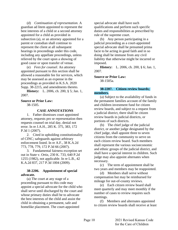<span id="page-14-0"></span>(d) *Continuation of representation.* A guardian ad litem appointed to represent the best interests of a child or a second attorney appointed for a child as provided in subsection (a), or an attorney appointed for a parent or custodian shall continue to represent the client at all subsequent hearings in proceedings under this code, including any appellate proceedings, unless relieved by the court upon a showing of good cause or upon transfer of venue.

(e) *Fees for counsel.* An attorney appointed pursuant to this section shall be allowed a reasonable fee for services, which may be assessed as an expense in the proceedings as provided in K.S.A. 2020 Supp. 38-2215, and amendments thereto.

**History:** L. 2006, ch. 200, § 5; Jan. 1, 2007.

# **Source or Prior Law:**

38-1505.

# **CASE ANNOTATIONS**

1. Father dismisses court appointed attorney, requests pro se representation then requests counsel on trial day, denial not error. In re J.A.H., 285 K. 375, 383, 172 P.3d 1 (2007).

2. Cited in upholding constitutionality of CINC; safeguards against arbitrary enforcement listed. In re A.F., 38 K.A.2d 773, 778, 779, 172 P.3d 66 (2007).

3. Fundamental fairness exception set out in State v. Ortiz, 230 K. 733, 640 P.2d 1255 (1982), not applicable. In re L.B., 42 K.A.2d 837, 217 P.3d 1004 (2009).

# **38-2206. Appointment of special advocate.**

(a) The court at any stage of a proceeding pursuant to this code may appoint a special advocate for the child who shall serve until discharged by the court and whose primary duties shall be to advocate the best interests of the child and assist the child in obtaining a permanent, safe and homelike placement. The court-appointed

special advocate shall have such qualifications and perform such specific duties and responsibilities as prescribed by rule of the supreme court.

(b) Any person participating in a judicial proceeding as a court-appointed special advocate shall be presumed prima facie to be acting in good faith and in so doing shall be immune from any civil liability that otherwise might be incurred or imposed.

**History:** L. 2006, ch. 200, § 6; Jan. 1, 2007.

**Source or Prior Law:**

38-1505a.

# **38-2207. Citizen review boards; members.**

(a) Subject to the availability of funds in the permanent families account of the family and children investment fund for citizen review boards, and subject to a request from a judicial district, there shall be citizen review boards in judicial districts, or portions of such districts.

(b) The chief judge of the judicial district, or another judge designated by the chief judge, shall appoint three to seven citizens from the community to serve on each citizen review board. Such members shall represent the various socioeconomic and ethnic groups of the judicial district, and shall have a special interest in children. Such judge may also appoint alternates when necessary.

(c) The term of appointment shall be two years and members may be reappointed.

(d) Members shall serve without compensation but may be reimbursed for mileage for out-of-county reviews.

(e) Each citizen review board shall meet quarterly and may meet monthly if the number of cases to review requires such meetings.

(f) Members and alternates appointed to citizen review boards shall receive at least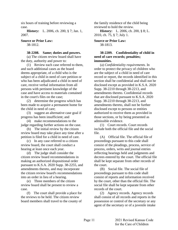<span id="page-15-0"></span>six hours of training before reviewing a case.

**History:** L. 2006, ch. 200, § 7; Jan. 1, 2007.

**Source or Prior Law:**

38-1812.

# **38-2208. Same; duties and powers.**

(a) The citizen review board shall have the duty, authority and power to:

(1) Review each case referred to them, and such additional cases as the board deems appropriate, of a child who is the subject of a child in need of care petition or who has been adjudicated a child in need of care, receive verbal information from all persons with pertinent knowledge of the case and have access to materials contained in the court's files on the case;

(2) determine the progress which has been made to acquire a permanent home for the child in need of care;

(3) suggest an alternative case goal if progress has been insufficient; and

(4) make recommendations to the judge regarding further actions on the case.

(b) The initial review by the citizen review board may take place any time after a petition is filed for a child in need of care.

(c) In any case referred to a citizen review board, the court shall conduct a hearing at least once each year.

(d) The judge shall consider the citizen review board recommendations in making an authorized dispositional order pursuant to K.S.A. 2020 Supp. 38-2255, and amendments thereto, and may incorporate the citizen review board's recommendations into an order in lieu of a hearing.

(e) Three members of the citizen review board shall be present to review a case.

(f) The court shall provide a place for the reviews to be held. The citizen review board members shall travel to the county of the family residence of the child being reviewed to hold the review.

**History:** L. 2006, ch. 200, § 8; L. 2010, ch. 75, § 7; July 1.

**Source or Prior Law:** 38-1813.

# **38-2209. Confidentiality of child in need of care records; penalties; immunities.**

(a) *Confidentiality requirements.* In order to protect the privacy of children who are the subject of a child in need of care record or report, the records identified in this section shall be confidential and shall not be disclosed except as provided in K.S.A. 2020 Supp. 38-2210 through 38-2213, and amendments thereto. Confidential records that are disclosed pursuant to K.S.A. 2020 Supp. 38-2210 through 38-2213, and amendments thereto, shall not be further disclosed except to persons or entities authorized to receive them as provided in those sections, or by being presented as admissible evidence.

(1) Court records. Court records include both the official file and the social file.

(A) Official file. The official file of proceedings pursuant to this code shall consist of the pleadings, process, service of process, orders, writs and journal entries reflecting hearings held and judgments and decrees entered by the court. The official file shall be kept separate from other records of the court.

(B) Social file. The social file of proceedings pursuant to this code shall consist of reports and information received by the court, other than the official file. The social file shall be kept separate from other records of the court.

(2) Agency records. Agency records shall consist of all records and reports in the possession or control of the secretary or any agent of the secretary or of a juvenile intake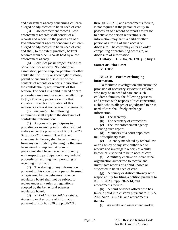<span id="page-16-0"></span>and assessment agency concerning children alleged or adjudicated to be in need of care.

(3) Law enforcement records. Law enforcement records shall consist of all records and reports in the possession of a law enforcement agency concerning children alleged or adjudicated to be in need of care and shall, to the extent practical, be kept separate from other records held by a law enforcement agency.

(b) *Penalties for improper disclosure of confidential records.* No individual, association, partnership, corporation or other entity shall willfully or knowingly disclose, permit or encourage disclosure of the contents of records or reports in violation of the confidentiality requirements of this section. The court in a child in need of care proceeding may impose a civil penalty of up to \$1,000 on any person or entity that violates this section. Violation of this section is a class A nonperson misdemeanor.

(c) *Immunity.* The following immunities shall apply to the disclosure of confidential information:

(1) Anyone who participates in providing or receiving information without malice under the provisions of K.S.A. 2020 Supp. 38-2210 through 38-2213, and amendments thereto, shall have immunity from any civil liability that might otherwise be incurred or imposed. Any such participant shall have the same immunity with respect to participation in any judicial proceedings resulting from providing or receiving information.

(2) The sharing of any information pursuant to this code by any person licensed or registered by the behavioral science regulatory board shall not be subject to review under any rules or regulations adopted by the behavioral sciences regulatory board.

(d) *Risk of harm to child or others.*  Access to or disclosure of information pursuant to K.S.A. 2020 Supp. 38-2210

through 38-2213, and amendments thereto, is not required if the person or entity in possession of a record or report has reason to believe the person requesting such information may harm a child or other person as a result of such access or disclosure. The court may enter an order compelling or prohibiting access to, or disclosure of information.

**History:** L. 2004, ch. 178, § 1; July 1.

# **Source or Prior Law:**

38-1505b.

# **38-2210. Parties exchanging information.**

To facilitate investigation and ensure the provision of necessary services to children who may be in need of care and such children's families, the following persons and entities with responsibilities concerning a child who is alleged or adjudicated to be in need of care shall freely exchange information:

(a) The secretary.

(b) The secretary of corrections.

(c) The law enforcement agency receiving such report.

(d) Members of a court appointed multidisciplinary team.

(e) An entity mandated by federal law or an agency of any state authorized to receive and investigate reports of a child known or suspected to be in need of care.

(f) A military enclave or Indian tribal organization authorized to receive and investigate reports of a child known or suspected to be in need of care.

(g) A county or district attorney with responsibility for filing a petition pursuant to K.S.A. 2020 Supp. 38-2214, and amendments thereto.

(h) A court services officer who has taken a child into custody pursuant to K.S.A. 2020 Supp. 38-2231, and amendments thereto.

(i) An intake and assessment worker.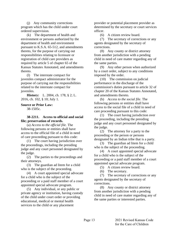<span id="page-17-0"></span>(j) Any community corrections program which has the child under court ordered supervision.

(k) The department of health and environment or persons authorized by the department of health and environment pursuant to K.S.A. 65-512, and amendments thereto, for the purpose of carrying out responsibilities relating to licensure or registration of child care providers as required by article 5 of chapter 65 of the Kansas Statutes Annotated, and amendments thereto.

(l) The interstate compact for juveniles compact administrator for the purpose of carrying out the responsibilities related to the interstate compact for juveniles.

**History:** L. 2004, ch. 178, § 2; L. 2016, ch. 102, § 10; July 1.

### **Source or Prior Law:** 38-1505c.

# **38-2211. Access to official and social file; preservation of records.**

(a) *Access to the official file.* The following persons or entities shall have access to the official file of a child in need of care proceeding pursuant to this code:

(1) The court having jurisdiction over the proceedings, including the presiding judge and any court personnel designated by the judge.

(2) The parties to the proceedings and their attorneys.

(3) The guardian ad litem for a child who is the subject of the proceeding.

(4) A court appointed special advocate for a child who is the subject of the proceeding or a paid staff member of a court appointed special advocate program.

(5) Any individual, or any public or private agency or institution, having custody of the child under court order or providing educational, medical or mental health services to the child or any placement

provider or potential placement provider as determined by the secretary or court services officer.

(6) A citizen review board.

(7) The secretary of corrections or any agents designated by the secretary of corrections.

(8) Any county or district attorney from another jurisdiction with a pending child in need of care matter regarding any of the same parties.

(9) Any other person when authorized by a court order, subject to any conditions imposed by the order.

(10) The commission on judicial performance in the discharge of the commission's duties pursuant to article 32 of chapter 20 of the Kansas Statutes Annotated, and amendments thereto.

(b) *Access to the social file*. The following persons or entities shall have access to the social file of a child in need of care proceeding pursuant to this code:

(1) The court having jurisdiction over the proceeding, including the presiding judge and any court personnel designated by the judge.

(2) The attorney for a party to the proceeding or the person or persons designated by an Indian tribe that is a party.

(3) The guardian ad litem for a child who is the subject of the proceeding.

(4) A court appointed special advocate for a child who is the subject of the proceeding or a paid staff member of a court appointed special advocate program.

(5) A citizen review board.

(6) The secretary.

(7) The secretary of corrections or any agents designated by the secretary of corrections.

(8) Any county or district attorney from another jurisdiction with a pending child in need of care matter regarding any of the same parties or interested parties.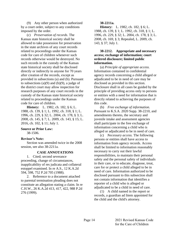<span id="page-18-0"></span>(9) Any other person when authorized by a court order, subject to any conditions imposed by the order.

(c) *Preservation of records*. The Kansas state historical society shall be allowed to take possession for preservation in the state archives of any court records related to proceedings under the Kansas code for care of children whenever such records otherwise would be destroyed. No such records in the custody of the Kansas state historical society shall be disclosed directly or indirectly to anyone for 70 years after creation of the records, except as provided in subsections (a) and (b). Pursuant to subsections  $(a)(9)$  and  $(b)(9)$ , a judge of the district court may allow inspection for research purposes of any court records in the custody of the Kansas state historical society related to proceedings under the Kansas code for care of children.

**History:** L. 1982, ch. 182, § 6; L. 1988, ch. 139, § 1; L. 1992, ch. 318, § 1; L. 1996, ch. 229, § 32; L. 2004, ch. 178, § 3; L. 2008, ch. 145, § 7; L. 2009, ch. 143, § 15; L. 2016, ch. 102, § 11; July 1.

#### **Source or Prior Law:**

38-1506.

#### **Revisor's Note:**

Section was amended twice in the 2008 session, see also 38-2211a.

# **CASE ANNOTATIONS**

1. Cited; second severance proceeding, change of circumstances, inapplicability of res judicata and collateral estoppel examined. In re A.S., 12 K.A.2d 594, 598, 752 P.2d 705 (1988).

2. Reference to a document attached to parental termination pleading does not constitute an allegation stating a claim. In re C.H.W., 26 K.A.2d 413, 417, 422, 988 P.2d 276 (1999).

#### **38-2211a.**

**History:** L. 1982, ch. 182, § 6; L. 1988, ch. 139, § 1; L. 1992, ch. 318, § 1; L. 1996, ch. 229, § 32; L. 2004, ch. 178, § 3; L. 2008, ch. 169, § 3; Repealed, L. 2009, ch. 143, § 37; July 1.

# **38-2212. Appropriate and necessary access; exchange of information; court ordered disclosure; limited public information.**

(a) *Principle of appropriate access.* Information contained in confidential agency records concerning a child alleged or adjudicated to be in need of care may be disclosed as provided in this section. Disclosure shall in all cases be guided by the principle of providing access only to persons or entities with a need for information that is directly related to achieving the purposes of this code.

(b) *Free exchange of information.*  Pursuant to K.S.A. 2020 Supp. 38-2210, and amendments thereto, the secretary and juvenile intake and assessment agencies shall participate in the free exchange of information concerning a child who is alleged or adjudicated to be in need of care.

(c) *Necessary access.* The following persons or entities shall have access to information from agency records. Access shall be limited to information reasonably necessary to carry out their lawful responsibilities, to maintain their personal safety and the personal safety of individuals in their care, or to educate, diagnose, treat, care for or protect a child alleged to be in need of care. Information authorized to be disclosed pursuant to this subsection shall not contain information that identifies a reporter of a child who is alleged or adjudicated to be a child in need of care.

(1) A child named in the report or records, a guardian ad litem appointed for the child and the child's attorney.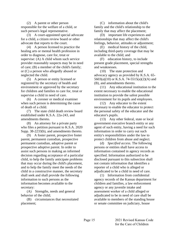(2) A parent or other person responsible for the welfare of a child, or such person's legal representative.

(3) A court-appointed special advocate for a child, a citizen review board or other advocate that reports to the court.

(4) A person licensed to practice the healing arts or mental health profession in order to diagnose, care for, treat or supervise: (A) A child whom such service provider reasonably suspects may be in need of care; (B) a member of the child's family; or (C) a person who allegedly abused or neglected the child.

(5) A person or entity licensed or registered by the secretary of health and environment or approved by the secretary for children and families to care for, treat or supervise a child in need of care.

(6) A coroner or medical examiner when such person is determining the cause of death of a child.

(7) The state child death review board established under K.S.A. 22a-243, and amendments thereto.

(8) An attorney for a private party who files a petition pursuant to K.S.A. 2020 Supp. 38-2233(b), and amendments thereto.

(9) A foster parent, prospective foster parent, permanent custodian, prospective permanent custodian, adoptive parent or prospective adoptive parent. In order to assist such persons in making an informed decision regarding acceptance of a particular child, to help the family anticipate problems that may occur during the child's placement, and to help the family meet the needs of the child in a constructive manner, the secretary shall seek and shall provide the following information to such persons as the information becomes available to the secretary:

(A) Strengths, needs and general behavior of the child;

(B) circumstances that necessitated placement;

(C) information about the child's family and the child's relationship to the family that may affect the placement;

(D) important life experiences and relationships that may affect the child's feelings, behavior, attitudes or adjustment;

(E) medical history of the child, including third-party coverage that may be available to the child; and

(F) education history, to include present grade placement, special strengths and weaknesses.

(10) The state protection and advocacy agency as provided by K.S.A. 65-  $5603(a)(10)$  or K.S.A. 74-5515(a)(2)(A) and (B), and amendments thereto.

(11) Any educational institution to the extent necessary to enable the educational institution to provide the safest possible environment for its pupils and employees.

(12) Any educator to the extent necessary to enable the educator to protect the personal safety of the educator and the educator's pupils.

(13) Any other federal, state or local government executive branch entity or any agent of such entity, having a need for such information in order to carry out such entity's responsibilities under the law to protect children from abuse and neglect.

(d) *Specified access*. The following persons or entities shall have access to information contained in agency records as specified. Information authorized to be disclosed pursuant to this subsection shall not contain information that identifies a reporter of a child who is alleged or adjudicated to be a child in need of care.

(1) Information from confidential agency records of the Kansas department for children and families, a law enforcement agency or any juvenile intake and assessment worker of a child alleged or adjudicated to be in need of care shall be available to members of the standing house or senate committee on judiciary, house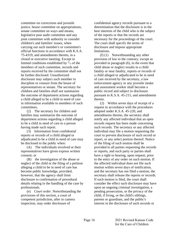committee on corrections and juvenile justice, house committee on appropriations, senate committee on ways and means, legislative post audit committee and any joint committee with authority to consider children's and families' issues, when carrying out such member's or committee's official functions in accordance with K.S.A. 75-4319, and amendments thereto, in a closed or executive meeting. Except in limited conditions established by  $\frac{2}{3}$  of the members of such committee, records and reports received by the committee shall not be further disclosed. Unauthorized disclosure may subject such member to discipline or censure from the house of representatives or senate. The secretary for children and families shall not summarize the outcome of department actions regarding a child alleged to be a child in need of care in information available to members of such committees.

(2) The secretary for children and families may summarize the outcome of department actions regarding a child alleged to be a child in need of care to a person having made such report.

(3) Information from confidential reports or records of a child alleged or adjudicated to be a child in need of care may be disclosed to the public when:

(A) The individuals involved or their representatives have given express written consent; or

(B) the investigation of the abuse or neglect of the child or the filing of a petition alleging a child to be in need of care has become public knowledge, provided, however, that the agency shall limit disclosure to confirmation of procedural details relating to the handling of the case by professionals.

(e) *Court order.* Notwithstanding the provisions of this section, a court of competent jurisdiction, after in camera inspection, may order disclosure of

confidential agency records pursuant to a determination that the disclosure is in the best interests of the child who is the subject of the reports or that the records are necessary for the proceedings of the court. The court shall specify the terms of disclosure and impose appropriate limitations.

(f) (1) Notwithstanding any other provision of law to the contrary, except as provided in paragraph (6), in the event that child abuse or neglect results in a child fatality or near fatality, reports or records of a child alleged or adjudicated to be in need of care received by the secretary, a law enforcement agency or any juvenile intake and assessment worker shall become a public record and subject to disclosure pursuant to K.S.A. 45-215, and amendments thereto.

(2) Within seven days of receipt of a request in accordance with the procedures adopted under K.S.A. 45-220, and amendments thereto, the secretary shall notify any affected individual that an open records request has been made concerning such records. The secretary or any affected individual may file a motion requesting the court to prevent disclosure of such record or report, or any select portion thereof. Notice of the filing of such motion shall be provided to all parties requesting the records or reports, and such party or parties shall have a right to hearing, upon request, prior to the entry of any order on such motion. If the affected individual does not file such motion within seven days of notification, and the secretary has not filed a motion, the secretary shall release the reports or records. If such motion is filed, the court shall consider the effect such disclosure may have upon an ongoing criminal investigation, a pending prosecution, or the privacy of the child, if living, or the child's siblings, parents or guardians, and the public's interest in the disclosure of such records or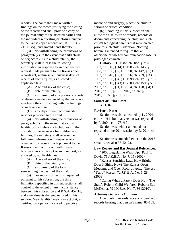reports. The court shall make written findings on the record justifying the closing of the records and shall provide a copy of the journal entry to the affected parties and the individual requesting disclosure pursuant to the Kansas open records act, K.S.A. 45- 215 et seq., and amendments thereto.

(3) Notwithstanding the provisions of paragraph (2), in the event that child abuse or neglect results in a child fatality, the secretary shall release the following information in response to an open records request made pursuant to the Kansas open records act, within seven business days of receipt of such request, as allowed by applicable law:

- (A) Age and sex of the child;
- (B) date of the fatality;

(C) a summary of any previous reports of abuse or neglect received by the secretary involving the child, along with the findings of such reports; and

(D) any department recommended services provided to the child.

(4) Notwithstanding the provisions of paragraph (2), in the event that a child fatality occurs while such child was in the custody of the secretary for children and families, the secretary shall release the following information in response to an open records request made pursuant to the Kansas open records act, within seven business days of receipt of such request, as allowed by applicable law:

- (A) Age and sex of the child;
- (B) date of the fatality; and

(C) a summary of the facts

surrounding the death of the child. (5) For reports or records requested pursuant to this subsection, the time limitations specified in this subsection shall control to the extent of any inconsistency between this subsection and K.S.A. 45-218, and amendments thereto. As used in this section, "near fatality" means an act that, as

certified by a person licensed to practice

medicine and surgery, places the child in serious or critical condition.

(6) Nothing in this subsection shall allow the disclosure of reports, records or documents concerning the child and such child's biological parents that were created prior to such child's adoption. Nothing herein is intended to require that an otherwise privileged communication lose its privileged character.

**History:** L. 1982, ch. 182, § 7; L. 1983, ch. 140, § 14; L. 1985, ch. 145, § 1; L. 1988, ch. 138, § 2; L. 1990, ch. 147, § 1; L. 1992, ch. 318, § 2; L. 1996, ch. 229, § 33; L. 1997, ch. 156, § 41; L. 1998, ch. 171, § 7; L. 1999, ch. 116, § 43; L. 2000, ch. 150, § 5; L. 2002, ch. 135, § 1; L. 2004, ch. 178, § 4; L. 2010, ch. 75, § 8; L. 2018, ch. 87, § 3; L. 2019, ch. 65, § 2; July 1.

#### **Source or Prior Law:**

38-1507.

#### **Revisor's Note:**

Section was also amended by L. 2004, ch. 144, § 1, but that version was repealed by L. 2004, ch. 178, § 7.

Section was neither amended nor repealed in the 2014 session by L. 2014, ch. 115.

Section was amended twice in the 2018 session, see also 38-2212a.

#### **Law Review and Bar Journal References:**

"2002 Legislative Wrap-Up," Paul T. Davis, 71 J.K.B.A. No. 7, 15 (2002).

"Kansas Sunshine Law: How Bright Does It Shine Now? The Kansas Open Meetings and Open Records Acts," Theresa "Terry" Marcel, 72 J.K.B.A. No. 5, 28 (2003).

"Caring When a Parent Does Not - The State's Role in Child Welfare," Roberta Sue McKenna, 79 J.K.B.A. No. 7, 36 (2010).

#### **Attorney General's Opinions:**

Open public records; access of person to records bearing that person's name. 85-105.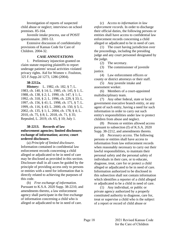<span id="page-22-0"></span>Investigation of reports of suspected child abuse or neglect; interviews on school premises. 85-164.

Juvenile intake process, use of POSIT questionnaire. 2001-53.

Extensive discussion of confidentiality provisions of Kansas Code for Care of Children. 2004-32.

# **CASE ANNOTATIONS**

1. Preliminary injunction granted on claim statute requiring plaintiffs to report underage patients' sexual activities violated privacy rights. Aid for Women v. Foulston, 325 F.Supp.2d 1273, 1286 (2004).

#### **38-2212a.**

**History:** L. 1982, ch. 182, § 7; L. 1983, ch. 140, § 14; L. 1985, ch. 145, § 1; L. 1988, ch. 138, § 2; L. 1990, ch. 147, § 1; L. 1992, ch. 318, § 2; L. 1996, ch. 229, § 33; L. 1997, ch. 156, § 41; L. 1998, ch. 171, § 7; L. 1999, ch. 116, § 43; L. 2000, ch. 150, § 5; L. 2002, ch. 135, § 1; L. 2004, ch. 178, § 4; L. 2010, ch. 75, § 8; L. 2018, ch. 71, § 35; Repealed, L. 2019, ch. 65, § 10; July 1.

# **38-2213. Records of law enforcement agencies; limited disclosure; exchange of information; access; court ordered disclosure.**

(a) *Principle of limited disclosure*. Information contained in confidential law enforcement records concerning a child alleged or adjudicated to be in need of care may be disclosed as provided in this section. Disclosure shall in all cases be guided by the principle of providing access only to persons or entities with a need for information that is directly related to achieving the purposes of this code.

(b) *Free exchange of information.* Pursuant to K.S.A. 2020 Supp. 38-2210, and amendments thereto, a law enforcement agency shall participate in the free exchange of information concerning a child who is alleged or adjudicated to be in need of care.

(c) *Access to information in law enforcement records.* In order to discharge their official duties, the following persons or entities shall have access to confidential law enforcement records concerning a child alleged or adjudicated to be in need of care.

(1) The court having jurisdiction over the proceedings, including the presiding judge and any court personnel designated by the judge.

(2) The secretary.

(3) The commissioner of juvenile justice.

(4) Law enforcement officers or county or district attorneys or their staff.

(5) Any juvenile intake and assessment worker.

(6) Members of a court-appointed multidisciplinary team.

(7) Any other federal, state or local government executive branch entity, or any agent of such entity, having a need for such information in order to carry out such entity's responsibilities under law to protect children from abuse and neglect.

(8) Persons or entities allowed access pursuant to subsection (f) of K.S.A. 2020 Supp. 38-2212, and amendments thereto.

(d) *Necessary access.* The following persons or entities shall have access to information from law enforcement records when reasonably necessary to carry out their lawful responsibilities, to maintain their personal safety and the personal safety of individuals in their care, or to educate, diagnose, treat, care for or protect a child alleged or adjudicated to be in need of care. Information authorized to be disclosed in this subsection shall not contain information which identifies a reporter of a child alleged or adjudicated to be a child in need of care.

(1) Any individual, or public or private agency authorized by a properly constituted authority to diagnose, care for, treat or supervise a child who is the subject of a report or record of child abuse or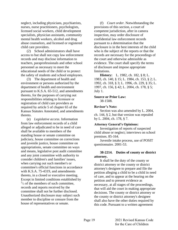<span id="page-23-0"></span>neglect, including physicians, psychiatrists, nurses, nurse practitioners, psychologists, licensed social workers, child development specialists, physician assistants, community mental health workers, alcohol and drug abuse counselors, and licensed or registered child care providers.

(2) School administrators shall have access to but shall not copy law enforcement records and may disclose information to teachers, paraprofessionals and other school personnel as necessary to meet the educational needs of the child or to protect the safety of students and school employees.

(3) The department of health and environment or persons authorized by the department of health and environment pursuant to K.S.A. 65-512, and amendments thereto, for the purposes of carrying out responsibilities relating to licensure or registration of child care providers as required by article 5 of chapter 65 of the Kansas Statutes Annotated, and amendments thereto.

(e) *Legislative access*. Information from law enforcement records of a child alleged or adjudicated to be in need of care shall be available to members of the standing house or senate committee on judiciary, house committee on corrections and juvenile justice, house committee on appropriations, senate committee on ways and means, legislative post audit committee and any joint committee with authority to consider children's and families' issues, when carrying out such member's or committee's official functions in accordance with K.S.A. 75-4319, and amendments thereto, in a closed or executive meeting. Except in limited conditions established by  $^{2}/_{3}$  of the members of such committee, records and reports received by the committee shall not be further disclosed. Unauthorized disclosure may subject such member to discipline or censure from the house of representatives or senate.

(f) *Court order.* Notwithstanding the provisions of this section, a court of competent jurisdiction, after in camera inspection, may order disclosure of confidential law enforcement records pursuant to a determination that the disclosure is in the best interests of the child who is the subject of the reports or that the records are necessary for the proceedings of the court and otherwise admissible as evidence. The court shall specify the terms of disclosure and impose appropriate limitations.

**History:** L. 1982, ch. 182, § 8; L. 1983, ch. 140, § 15; L. 1984, ch. 153, § 2; L. 1992, ch. 318, § 3; L. 1996, ch. 229, § 35; L. 1997, ch. 156, § 42; L. 2004, ch. 178, § 5; July 1.

#### **Source or Prior Law:**

38-1508.

# **Revisor's Note:**

Section was also amended by L. 2004, ch. 144, § 2, but that version was repealed by L. 2004, ch. 178, § 7.

# **Attorney General's Opinions:**

Investigation of reports of suspected child abuse or neglect; interviews on school premises. 85-164.

Juvenile intake process, use of POSIT questionnaire. 2001-53.

# **38-2214. Duties of county or district attorney.**

It shall be the duty of the county or district attorney or the county or district attorney's designee to prepare and file the petition alleging a child to be a child in need of care, and to appear at the hearing on the petition and to present evidence as necessary, at all stages of the proceedings, that will aid the court in making appropriate decisions. The county or district attorney or the county or district attorney's designee shall also have the other duties required by this code. Pursuant to a written agreement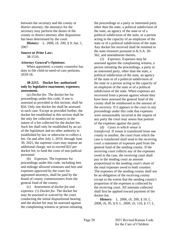<span id="page-24-0"></span>between the secretary and the county or district attorney, the attorneys for the secretary may perform the duties of the county or district attorney after disposition has been determined by the court.

**History:** L. 2006, ch. 200, § 9; Jan. 1, 2007.

# **Source or Prior Law:**

38-1510.

# **Attorney General's Opinions:**

When appointed, a county counselor has duty to file child-in-need-of-care petitions. 2018-18.

# **38-2215. Docket fee; authorized only by legislative enactment; expenses; assessment.**

(a) *Docket fee.* The docket fee for proceedings under this code, if one is assessed as provided in this section, shall be \$34. Only one docket fee shall be assessed in each case. Except as provided further, the docket fee established in this section shall be the only fee collected or moneys in the nature of a fee collected for the docket fee. Such fee shall only be established by an act of the legislature and no other authority is established by law or otherwise to collect a fee. On and after July 1, 2019, through June 30, 2025, the supreme court may impose an additional charge, not to exceed \$22 per docket fee, to fund the costs of non-judicial personnel.

(b) *Expenses.* The expenses for proceedings under this code, including fees and mileage allowed witnesses and fees and expenses approved by the court for appointed attorneys, shall be paid by the board of county commissioners from the general fund of the county.

(c) *Assessment of docket fee and expenses.* (1) *Docket fee.* The docket fee may be assessed or waived by the court conducting the initial dispositional hearing and the docket fee may be assessed against the complaining witness or person initiating the proceedings or a party or interested party other than the state, a political subdivision of the state, an agency of the state or of a political subdivision of the state, or a person acting in the capacity of an employee of the state or of a political subdivision of the state. Any docket fee received shall be remitted to the state treasurer pursuant to K.S.A. 20- 362, and amendments thereto.

(2) *Expenses.* Expenses may be assessed against the complaining witness, a person initiating the proceedings, a party or an interested party, other than the state, a political subdivision of the state, an agency of the state or of a political subdivision of the state or a person acting in the capacity of an employee of the state or of a political subdivision of the state. When expenses are recovered from a person against whom they have been assessed the general fund of the county shall be reimbursed in the amount of the recovery. If it appears to the court in any proceedings under this code that expenses were unreasonably incurred at the request of any party the court may assess that portion of the expenses against the party.

(d) *Cases in which venue is transferred.* If venue is transferred from one county to another, the court from which the case is transferred shall send to the receiving court a statement of expenses paid from the general fund of the sending county. If the receiving court collects any of the expenses owed in the case, the receiving court shall pay to the sending court an amount proportional to the sending court's share of the total expenses owed to both counties. The expenses of the sending county shall not be an obligation of the receiving county except to the extent that the sending county's proportion of the expenses is collected by the receiving court. All amounts collected shall first be applied toward payment of the docket fee.

**History:** L. 2006, ch. 200, § 10; L. 2008, ch. 95, § 9; L. 2009, ch. 116, § 17; L.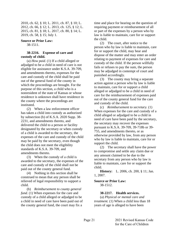<span id="page-25-0"></span>2010, ch. 62, § 10; L. 2011, ch. 87, § 10; L. 2012, ch. 66, § 12; L. 2013, ch. 125, § 12; L. 2015, ch. 81, § 18; L. 2017, ch. 80, § 14; L. 2019, ch. 58, § 15; July 1.

#### **Source or Prior Law:**

38-1511.

#### **38-2216. Expense of care and custody of child.**

(a) *How paid.* (1) If a child alleged or adjudged to be a child in need of care is not eligible for assistance under K.S.A. 39-709, and amendments thereto, expenses for the care and custody of the child shall be paid out of the general fund of the county in which the proceedings are brought. For the purpose of this section, a child who is a nonresident of the state of Kansas or whose residence is unknown shall have residence in the county where the proceedings are instituted.

(2) When a law enforcement officer has taken a child into custody as authorized by subsection (b) of K.S.A. 2020 Supp. 38- 2231, and amendments thereto, and delivered the child to a person or facility designated by the secretary or when custody of a child is awarded to the secretary, the expenses of the care and custody of the child may be paid by the secretary, even though the child does not meet the eligibility standards of K.S.A. 39-709, and amendments thereto.

(3) When the custody of a child is awarded to the secretary, the expenses of the care and custody of the child shall not be paid out of the county general fund.

(4) Nothing in this section shall be construed to mean that any person shall be relieved of legal responsibility to support a child.

(b) *Reimbursement to county general fund.* (1) When expenses for the care and custody of a child alleged or adjudged to be a child in need of care have been paid out of the county general fund, the court may fix a

time and place for hearing on the question of requiring payment or reimbursement of all or part of the expenses by a person who by law is liable to maintain, care for or support the child.

(2) The court, after notice to the person who by law is liable to maintain, care for or support the child, may hear and dispose of the matter and may enter an order relating to payment of expenses for care and custody of the child. If the person willfully fails or refuses to pay the sum, the person may be adjudged in contempt of court and punished accordingly.

(3) The county may bring a separate action against a person who by law is liable to maintain, care for or support a child alleged or adjudged to be a child in need of care for the reimbursement of expenses paid out of the county general fund for the care and custody of the child.

(c) *Reimbursement to secretary.* (1) When expenses for the care and custody of a child alleged or adjudged to be a child in need of care have been paid by the secretary, the secretary may recover the expenses pursuant to K.S.A. 39-709, 39-718b or 39- 755, and amendments thereto, or as otherwise provided by law, from any person who by law is liable to maintain, care for or support the child.

(2) The secretary shall have the power to compromise and settle any claim due or any amount claimed to be due to the secretary from any person who by law is liable to maintain, care for or support the child.

**History:** L. 2006, ch. 200, § 11; Jan. 1, 2007.

#### **Source or Prior Law:** 38-1512.

# **38-2217. Health services.**

(a) *Physical or mental care and treatment.* (1) When a child less than 18 years of age is alleged to have been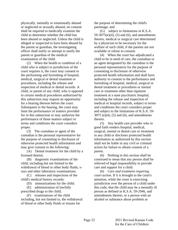physically, mentally or emotionally abused or neglected or sexually abused, no consent shall be required to medically examine the child to determine whether the child has been abused or neglected. Unless the child is alleged or suspected to have been abused by the parent or guardian, the investigating officer shall notify or attempt to notify the parent or guardian of the medical examination of the child.

(2) When the health or condition of a child who is subject to jurisdiction of the court requires it, the court may consent to the performing and furnishing of hospital, medical, surgical or dental treatment or procedures, including the release and inspection of medical or dental records. A child, or parent of any child, who is opposed to certain medical procedures authorized by this subsection may request an opportunity for a hearing thereon before the court. Subsequent to the hearing, the court may limit the performance of matters provided for in this subsection or may authorize the performance of those matters subject to terms and conditions the court considers proper.

(3) The custodian or agent of the custodian is the personal representative for the purpose of consenting to disclosure of otherwise protected health information and may give consent to the following:

(A) Dental treatment for the child by a licensed dentist;

(B) diagnostic examinations of the child, including but not limited to the withdrawal of blood or other body fluids, xrays and other laboratory examinations;

(C) releases and inspections of the child's medical history records;

(D) immunizations for the child;

(E) administration of lawfully prescribed drugs to the child;

(F) examinations of the child including, but not limited to, the withdrawal of blood or other body fluids or tissues for

the purpose of determining the child's parentage; and

(G) subject to limitations in K.S.A. 59-3075(e)(4), (5) and (6), and amendments thereto, medical or surgical care determined by a physician to be necessary for the welfare of such child, if the parents are not available or refuse to consent.

(4) When the court has adjudicated a child to be in need of care, the custodian or an agent designated by the custodian is the personal representative for the purpose of consenting to disclosure of otherwise protected health information and shall have authority to consent to the performance and furnishing of hospital, medical, surgical or dental treatment or procedures or mental care or treatment other than inpatient treatment at a state psychiatric hospital, including the release and inspection of medical or hospital records, subject to terms and conditions the court considers proper and subject to the limitations of K.S.A. 59- 3075 (e)(4), (5) and (6), and amendments thereto.

(5) Any health care provider who in good faith renders hospital, medical, surgical, mental or dental care or treatment to any child or discloses protected health information as authorized by this section shall not be liable in any civil or criminal action for failure to obtain consent of a parent.

(6) Nothing in this section shall be construed to mean that any person shall be relieved of legal responsibility to provide care and support for a child.

(b) *Care and treatment requiring court action.* If it is brought to the court's attention, while the court is exercising jurisdiction over the person of a child under this code, that the child may be a mentally ill person as defined in K.S.A. 59-2946, and amendments thereto, or a person with an alcohol or substance abuse problem as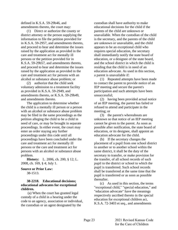<span id="page-27-0"></span>defined in K.S.A. 59-29b46, and amendments thereto, the court may:

(1) Direct or authorize the county or district attorney or the person supplying the information to file the petition provided for in K.S.A. 59-2957, and amendments thereto, and proceed to hear and determine the issues raised by the application as provided in the care and treatment act for mentally ill persons or the petition provided for in K.S.A. 59-29b57, and amendments thereto, and proceed to hear and determine the issues raised by the application as provided in the care and treatment act for persons with an alcohol or substance abuse problem; or

(2) authorize that the child seek voluntary admission to a treatment facility as provided in K.S.A. 59-2949, and amendments thereto, or K.S.A. 59-29b49, and amendments thereto.

The application to determine whether the child is a mentally ill person or a person with an alcohol or substance abuse problem may be filed in the same proceedings as the petition alleging the child to be a child in need of care, or may be brought in separate proceedings. In either event, the court may enter an order staying any further proceedings under this code until all proceedings have been concluded under the care and treatment act for mentally ill persons or the care and treatment act for persons with an alcohol or substance abuse problem.

**History:** L. 2006, ch. 200, § 12; L. 2008, ch. 169, § 4; July 1.

#### **Source or Prior Law:** 38-1513.

# **38-2218. Educational decisions; educational advocates for exceptional children.**

(a) When the court has granted legal custody of a child in a hearing under the code to an agency, association or individual, the custodian or an agent designated by the

custodian shall have authority to make educational decisions for the child if the parents of the child are unknown or unavailable. When the custodian of the child is the secretary, and the parents of the child are unknown or unavailable, and the child appears to be an exceptional child who requires special education, the secretary shall immediately notify the state board of education, or a designee of the state board, and the school district in which the child is residing that the child is in need of an education advocate. As used in this section, a parent is unavailable if:

(1) Repeated attempts have been made to contact the parent to provide notice of an IEP meeting and secure the parent's participation and such attempts have been unsuccessful;

(2) having been provided actual notice of an IEP meeting, the parent has failed or refused to attend and participate in the meeting; or

(3) the parent's whereabouts are unknown so that notice of an IEP meeting cannot be given to the parent. As soon as possible after notification, the state board of education, or its designee, shall appoint an education advocate for the child.

(b) If the secretary changes the placement of a pupil from one school district to another or to another school within the same district, it shall be the duty of the secretary to transfer, or make provision for the transfer, of all school records of such pupil to the district or school to which the pupil is transferred. Such school records shall be transferred at the same time that the pupil is transferred or as soon as possible thereafter.

(c) As used in this section, the terms "exceptional child," "special education," and "education advocate" have the meanings respectively ascribed thereto in the special education for exceptional children act, K.S.A. 72-3403 et seq., and amendments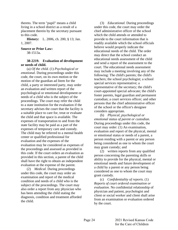<span id="page-28-0"></span>thereto. The term "pupil" means a child living in a school district as a result of a placement therein by the secretary pursuant to this code.

**History:** L. 2006, ch. 200, § 13; Jan. 1, 2007.

#### **Source or Prior Law:**

38-1513a.

# **38-2219. Evaluation of development or needs of child.**

(a) *Of the child.* (1) *Psychological or emotional.* During proceedings under this code, the court, on its own motion or the motion of the guardian ad litem for the child, a party or interested party, may order an evaluation and written report of the psychological or emotional development or needs of a child who is the subject of the proceedings. The court may refer the child to a state institution for the evaluation if the secretary advises the court that the facility is a suitable place to care for, treat or evaluate the child and that space is available. The expenses of transportation to and from the state facility may be paid as a part of the expenses of temporary care and custody. The child may be referred to a mental health center or qualified professional for evaluation and the expenses of the evaluation may be considered as expenses of the proceedings and assessed as provided in this code. If the court orders an evaluation as provided in this section, a parent of the child shall have the right to obtain an independent evaluation at the expense of the parent.

(2) *Medical.* During proceedings under this code, the court may order an examination and report of the medical condition and needs of a child who is the subject of the proceedings. The court may also order a report from any physician who has been attending the child stating the diagnosis, condition and treatment afforded the child.

(3) *Educational.* During proceedings under this code, the court may order the chief administrative officer of the school which the child attends or attended to provide to the court information that is readily available which the school officials believe would properly indicate the educational needs of the child. The order may direct that the school conduct an educational needs assessment of the child and send a report of the assessment to the court. The educational needs assessment may include a meeting involving any of the following: The child's parents; the child's teachers; the school psychologist; a school special services representative; a representative of the secretary; the child's court-appointed special advocate; the child's foster parents, legal guardian and permanent custodian; a court services officer; and other persons that the chief administrative officer of the school or the officer's designee considers appropriate.

(b) *Physical, psychological or emotional status of parent or custodian.* During proceedings under this code, the court may order: (1) An examination, evaluation and report of the physical, mental or emotional status or needs of a parent, a person residing with a parent or any person being considered as one to whom the court may grant custody; and

(2) written reports from any qualified person concerning the parenting skills or ability to provide for the physical, mental or emotional needs and future development of a child by a parent or any person being considered as one to whom the court may grant custody.

(c) *Confidentiality of reports.* (1) *Reports of court ordered examination or evaluation.* No confidential relationship of physician and patient, psychologist and client or social worker and client shall arise from an examination or evaluation ordered by the court.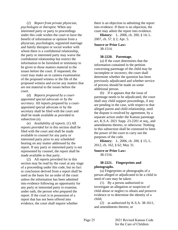<span id="page-29-0"></span>(2) *Report from private physician, psychologist or therapist.* When any interested party or party to proceedings under this code wishes the court to have the benefit of information or opinion from a physician, psychologist, registered marriage and family therapist or social worker with whom there is a confidential relationship, the party or interested party may waive the confidential relationship but restrict the information to be furnished or testimony to be given to those matters material to the issues before the court. If requested, the court may make an in camera examination of the proposed witness or the file of the proposed witness and excise any matters that are not material to the issues before the court.

(d) *Reports prepared by a courtappointed special advocate or by the secretary.* All reports prepared by a courtappointed special advocate or by the secretary shall be filed with the court and shall be made available as provided in subsection (e).

(e) *Availability of reports.* (1) All reports provided for in this section shall be filed with the court and shall be made available to counsel for any party or interested party prior to any scheduled hearing on any matter addressed by the report. If any party or interested party is not represented by counsel, the report shall be made available to that party.

(2) All reports provided for in this section may be read by the court at any stage of a proceeding under this code, but no fact or conclusion derived from a report shall be used as the basis for an order of the court unless the information has been admitted into evidence following an opportunity for any party or interested party to examine, under oath, the person who prepared the report. If the court is in possession of a report that has not been offered into evidence, the court shall inquire whether

there is an objection to admitting the report into evidence. If there is no objection, the court may admit the report into evidence.

**History:** L. 2006, ch. 200, § 14; L. 2007, ch. 57, § 2; Apr. 5.

**Source or Prior Law:** 38-1514.

# **38-2220. Parentage.**

(a) If the court determines that the information contained in the petition concerning parentage of the child may be incomplete or incorrect, the court shall determine whether the question has been previously adjudicated and whether service of process should be made on some additional person.

(b) If it appears that the issue of parentage needs to be adjudicated, the court shall stay child support proceedings, if any are pending in the case, with respect to that alleged parent and child relationship, until the dispute is resolved by agreement, by a separate action under the Kansas parentage act, K.S.A. 2021 Supp. 23-2201 et seq., and amendments thereto, or otherwise. Nothing in this subsection shall be construed to limit the power of the court to carry out the purposes of the code.

**History:** L. 2006, ch. 200, § 15; L. 2012, ch. 162, § 62; May 31.

**Source or Prior Law:** 38-1516.

# **38-2221. Fingerprints and photographs.**

(a) Fingerprints or photographs of a person alleged or adjudicated to be a child in need of care may be taken:

(1) By a person authorized to investigate an allegation or suspicion of child abuse or neglect to obtain and preserve evidence or to determine the identity of a child;

(2) as authorized by K.S.A. 38-1611, and amendments thereto; or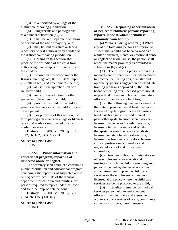<span id="page-30-0"></span>(3) if authorized by a judge of the district court having jurisdiction.

(b) Fingerprints and photographs taken under subsection (a)(3):

(1) Shall be kept separate from those of persons of the age of majority; and

(2) may be sent to a state or federal repository only if authorized by a judge of the district court having jurisdiction.

(c) Nothing in this section shall preclude the custodian of the child from authorizing photographs or fingerprints of the child to:

(1) Be used in any action under the Kansas parentage act, K.S.A. 2021 Supp. 23-2201 et seq., and amendments thereto;

(2) assist in the apprehension of a runaway child;

(3) assist in the adoption or other permanent placement of a child; or

(4) provide the child or the child's parents with a history of the child's life and development.

(d) For purposes of this section, the term photograph means an image or likeness of a child made or reproduced by any medium or means.

**History:** L. 2006, ch. 200, § 16; L. 2012, ch. 162, § 63; May 31.

# **Source or Prior Law:**

38-1518.

# **38-2222. Public information and educational program; reporting of suspected abuse or neglect.**

The secretary shall conduct a continuing public information and educational program concerning the reporting of suspected abuse or neglect for local staff of the Kansas department for children and families, for persons required to report under this code and for other appropriate persons.

**History:** L. 2006, ch. 200, § 17; L. 2014, ch. 115, § 60; July 1.

**Source or Prior Law:** 38-1521.

**38-2223. Reporting of certain abuse or neglect of children; persons reporting; reports, made to whom; penalties; immunity from liability.**

(a) *Persons making reports.* (1) When any of the following persons has reason to suspect that a child has been harmed as a result of physical, mental or emotional abuse or neglect or sexual abuse, the person shall report the matter promptly as provided in subsections (b) and (c);

(A) The following persons providing medical care or treatment: Persons licensed to practice the healing arts, dentistry and optometry, persons engaged in postgraduate training programs approved by the state board of healing arts, licensed professional or practical nurses and chief administrative officers of medical care facilities;

(B) the following persons licensed by the state to provide mental health services: Licensed psychologists, licensed masters level psychologists, licensed clinical psychotherapists, licensed social workers, licensed marriage and family therapists, licensed clinical marriage and family therapists, licensed behavioral analysts, licensed assistant behavioral analysts, licensed professional counselors, licensed clinical professional counselors and registered alcohol and drug abuse counselors;

(C) teachers, school administrators or other employees of an educational institution which the child is attending and persons licensed by the secretary of health and environment to provide child care services or the employees of persons so licensed at the place where the child care services are being provided to the child;

(D) firefighters, emergency medical services personnel, law enforcement officers, juvenile intake and assessment workers, court services officers, community corrections officers, case managers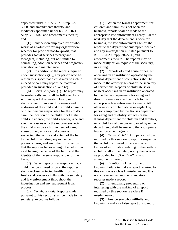appointed under K.S.A. 2021 Supp. 23- 3508, and amendments thereto, and mediators appointed under K.S.A. 2021 Supp. 23-3502, and amendments thereto; and

(E) any person employed by or who works as a volunteer for any organization, whether for profit or not-for-profit, that provides social services to pregnant teenagers, including, but not limited to, counseling, adoption services and pregnancy education and maintenance.

(2) In addition to the reports required under subsection  $(a)(1)$ , any person who has reason to suspect that a child may be a child in need of care may report the matter as provided in subsection (b) and (c).

(b) *Form of report.* (1) The report may be made orally and shall be followed by a written report if requested. Every report shall contain, if known: The names and addresses of the child and the child's parents or other persons responsible for the child's care; the location of the child if not at the child's residence; the child's gender, race and age; the reasons why the reporter suspects the child may be a child in need of care; if abuse or neglect or sexual abuse is suspected, the nature and extent of the harm to the child, including any evidence of previous harm; and any other information that the reporter believes might be helpful in establishing the cause of the harm and the identity of the persons responsible for the harm.

(2) When reporting a suspicion that a child may be in need of care, the reporter shall disclose protected health information freely and cooperate fully with the secretary and law enforcement throughout the investigation and any subsequent legal process.

(c) *To whom made.* Reports made pursuant to this section shall be made to the secretary, except as follows:

(1) When the Kansas department for children and families is not open for business, reports shall be made to the appropriate law enforcement agency. On the next day that the department is open for business, the law enforcement agency shall report to the department any report received and any investigation initiated pursuant to K.S.A. 2020 Supp. 38-2226, and amendments thereto. The reports may be made orally or, on request of the secretary, in writing.

(2) Reports of child abuse or neglect occurring in an institution operated by the Kansas department of corrections shall be made to the attorney general or the secretary of corrections. Reports of child abuse or neglect occurring in an institution operated by the Kansas department for aging and disability services shall be made to the appropriate law enforcement agency. All other reports of child abuse or neglect by persons employed by the Kansas department for aging and disability services or the Kansas department for children and families, or of children of persons employed by either department, shall be made to the appropriate law enforcement agency.

(d) *Death of child.* Any person who is required by this section to report a suspicion that a child is in need of care and who knows of information relating to the death of a child shall immediately notify the coroner as provided by K.S.A. 22a-242, and amendments thereto.

(e) *Violations.* (1) Willful and knowing failure to make a report required by this section is a class B misdemeanor. It is not a defense that another mandatory reporter made a report.

(2) Intentionally preventing or interfering with the making of a report required by this section is a class B misdemeanor.

(3) Any person who willfully and knowingly makes a false report pursuant to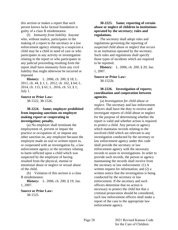<span id="page-32-0"></span>this section or makes a report that such person knows lacks factual foundation is guilty of a class B misdemeanor.

(f) *Immunity from liability.* Anyone who, without malice, participates in the making of a report to the secretary or a law enforcement agency relating to a suspicion a child may be a child in need of care or who participates in any activity or investigation relating to the report or who participates in any judicial proceeding resulting from the report shall have immunity from any civil liability that might otherwise be incurred or imposed.

**History:** L. 2006, ch. 200, § 18; L. 2011, ch. 44, § 1; L. 2012, ch. 162, § 64; L. 2014, ch. 115, § 61; L. 2016, ch. 53, § 1; July 1.

**Source or Prior Law:** 38-1522, 38-1526.

**38-2224. Same; employer prohibited from imposing sanctions on employee making report or cooperating in investigation; penalty.**

(a) No employer shall terminate the employment of, prevent or impair the practice or occupation of, or impose any other sanction on, any employee because the employee made an oral or written report to, or cooperated with an investigation by, a law enforcement agency or the secretary relating to harm inflicted upon a child which was suspected by the employee of having resulted from the physical, mental or emotional abuse or neglect or sexual abuse of the child.

(b) Violation of this section is a class B misdemeanor.

**History:** L. 2006, ch. 200, § 19; Jan. 1, 2007.

#### **Source or Prior Law:**

38-1525.

# **38-2225. Same; reporting of certain abuse or neglect of children in institutions operated by the secretary; rules and regulations.**

The secretary shall adopt rules and regulations governing the reporting of suspected child abuse or neglect that occurs in an institution operated by the secretary. Such rules and regulations shall specify those types of incidents which are required to be reported.

**History:** L. 2006, ch. 200, § 20; Jan. 1, 2007.

**Source or Prior Law:**

38-1522b.

# **38-2226. Investigation of reports; coordination and cooperation between agencies.**

(a) *Investigation for child abuse or neglect.* The secretary and law enforcement officers shall have the duty to receive and investigate reports of child abuse or neglect for the purpose of determining whether the report is valid and whether action is required to protect a child. Any person or agency which maintains records relating to the involved child which are relevant to any investigation conducted by the secretary or law enforcement agency under this code shall provide the secretary or law enforcement agency with the necessary records to assist in investigations. In order to provide such records, the person or agency maintaining the records shall receive from the secretary or law enforcement: (1) A written request for information; and (2) a written notice that the investigation is being conducted by the secretary or law enforcement. If the secretary and such officers determine that no action is necessary to protect the child but that a criminal prosecution should be considered, such law enforcement officers shall make a report of the case to the appropriate law enforcement agency.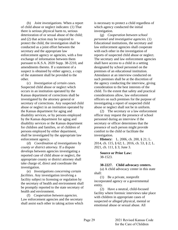<span id="page-33-0"></span>(b) *Joint investigations.* When a report of child abuse or neglect indicates: (1) That there is serious physical harm to, serious deterioration of or sexual abuse of the child; and (2) that action may be required to protect the child, the investigation shall be conducted as a joint effort between the secretary and the appropriate law enforcement agency or agencies, with a free exchange of information between them pursuant to K.S.A. 2020 Supp. 38-2210, and amendments thereto. If a statement of a suspect is obtained by either agency, a copy of the statement shall be provided to the other.

(c) *Investigation of certain cases.* Suspected child abuse or neglect which occurs in an institution operated by the Kansas department of corrections shall be investigated by the attorney general or secretary of corrections. Any suspected child abuse or neglect in an institution operated by the Kansas department for aging and disability services, or by persons employed by the Kansas department for aging and disability services or the Kansas department for children and families, or of children of persons employed by either department, shall be investigated by the appropriate law enforcement agency.

(d) *Coordination of investigations by county or district attorney.* If a dispute develops between agencies investigating a reported case of child abuse or neglect, the appropriate county or district attorney shall take charge of, direct and coordinate the investigation.

(e) *Investigations concerning certain facilities.* Any investigation involving a facility subject to licensing or regulation by the secretary of health and environment shall be promptly reported to the state secretary of health and environment.

(f) *Cooperation between agencies.* Law enforcement agencies and the secretary shall assist each other in taking action which is necessary to protect a child regardless of which agency conducted the initial investigation.

(g) *Cooperation between school personnel and investigative agencies.* (1) Educational institutions, the secretary and law enforcement agencies shall cooperate with each other in the investigation of reports of suspected child abuse or neglect. The secretary and law enforcement agencies shall have access to a child in a setting designated by school personnel on the premises of an educational institution. Attendance at an interview conducted on such premises shall be at the discretion of the agency conducting the interview, giving consideration to the best interests of the child. To the extent that safety and practical considerations allow, law enforcement officers on such premises for the purpose of investigating a report of suspected child abuse or neglect shall not be in uniform.

(2) The secretary or a law enforcement officer may request the presence of school personnel during an interview if the secretary or officer determines that the presence of such person might provide comfort to the child or facilitate the investigation.

**History:** L. 2006, ch. 200, § 21; L. 2014, ch. 115, § 62; L. 2016, ch. 53, § 2; L. 2021, ch. 111, § 3; June 3.

**Source or Prior Law:** 38-1523.

**38-2227. Child advocacy centers.**

(a) A child advocacy center in this state shall:

(1) Be a private, nonprofit incorporated agency or a governmental entity.

(2) Have a neutral, child-focused facility where forensic interviews take place with children in appropriate cases of suspected or alleged physical, mental or emotional abuse or sexual abuse. All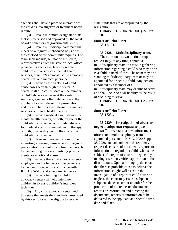<span id="page-34-0"></span>agencies shall have a place to interact with the child as investigative or treatment needs require.

(3) Have a minimum designated staff that is supervised and approved by the local board of directors or governmental entity.

(4) Have a multidisciplinary team that meets on a regularly scheduled basis or as the caseload of the community requires. The team shall include, but not be limited to, representatives from the state or local office prosecuting such case, law enforcement, child protective services, mental health services, a victim's advocate, child advocacy center staff and medical personnel.

(5) Provide case tracking of child abuse cases seen through the center. A center shall also collect data on the number of child abuse cases seen at the center, by sex, race, age, and other relevant data, the number of cases referred for prosecution, and the number of cases referred for medical services or mental health therapy.

(6) Provide medical exam services or mental health therapy, or both, on site at the child advocacy center, or provide referrals for medical exams or mental health therapy, or both, to a facility not on the site of the child advocacy center.

(7) Have an interagency commitment, in writing, covering those aspects of agency participation in a multidisciplinary approach to the handling of cases involving physical, mental or emotional abuse.

(8) Provide that child advocacy center employees and volunteers at the center are trained and screened in accordance with K.S.A. 65-516, and amendments thereto.

(9) Provide training for child advocacy center staff who interview children in forensic children's interview technique.

(b) Any child advocacy center within this state that meets the standards prescribed by this section shall be eligible to receive

state funds that are appropriated by the legislature.

**History:** L. 2006, ch. 200, § 22; Jan. 1, 2007.

**Source or Prior Law:** 38-15,101.

**38-2228. Multidisciplinary team.**

The court on its own motion or upon request may, at any time, appoint a multidisciplinary team to assist in gathering information regarding a child who may be or is a child in need of care. The team may be a standing multidisciplinary team or may be appointed for a specific child. Any person appointed as a member of a multidisciplinary team may decline to serve and shall incur no civil liability as the result of declining to serve.

**History:** L. 2006, ch. 200, § 23; Jan. 1, 2007.

**Source or Prior Law:**

38-1523a.

**38-2229. Investigation of abuse or neglect; subpoena; request to quash.**

(a) The secretary, a law enforcement officer, or a multidisciplinary team appointed pursuant to K.S.A. 2020 Supp. 38-2228, and amendments thereto, may request disclosure of documents, reports or information in regard to a child, who is the subject of a report of abuse or neglect, by making a written verified application to the district court. Upon a finding by the court that there is probable cause to believe the information sought will assist in the investigation of a report of child abuse or neglect, the court may issue a subpoena, subpoena duces tecum or an order for the production of the requested documents, reports or information and directing the documents, reports or information to be delivered to the applicant at a specific time, date and place.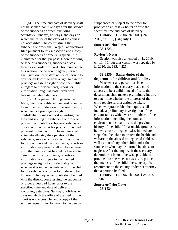<span id="page-35-0"></span>(b) The time and date of delivery shall not be sooner than five days after the service of the subpoena or order, excluding Saturdays, Sundays, holidays, and days on which the office of the clerk of the court is not accessible. The court issuing the subpoena or order shall keep all applications filed pursuant to this subsection and a copy of the subpoena or order in a special file maintained for that purpose. Upon receiving service of a subpoena, subpoena duces tecum or an order for production pursuant to this section, the person or agency served shall give oral or written notice of service to any person known to have a right to assert a privilege or assert a right of confidentiality in regard to the documents, reports or information sought at least seven days before the date of delivery.

(c) Any parent, child, guardian ad litem, person or entity subpoenaed or subject to an order of production or person or entity who claims a privilege or right of confidentiality may request in writing that the court issuing the subpoena or order of production quash the subpoena, subpoena duces tecum or order for production issued pursuant to this section. The request shall automatically stay the operation of the subpoena, subpoena duces tecum or order for production and the documents, reports or information requested shall not be delivered until the issuing court has held a hearing to determine if the documents, reports or information are subject to the claimed privilege or right of confidentiality, and whether it is in the best interests of the child for the subpoena or order to produce to be honored. The request to quash shall be filed with the district court issuing the subpoena or order at least 24 hours prior to the specified time and date of delivery, excluding Saturdays, Sundays, holidays, or days on which the office of the clerk of the court is not accessible, and a copy of the written request must be given to the person

subpoenaed or subject to the order for production at least 24 hours prior to the specified time and date of delivery.

**History:** L. 2006, ch. 200, § 24; L. 2010, ch. 135, § 46; July 1.

**Source or Prior Law:** 38-1523.

#### **Revisor's Note:**

Section was also amended by L. 2010, ch. 11, § 3, but that version was repealed by L. 2010, ch. 135, § 225.

# **38-2230. Same; duties of the department for children and families.**

Whenever any person furnishes information to the secretary that a child appears to be a child in need of care, the department shall make a preliminary inquiry to determine whether the interests of the child require further action be taken. Whenever practicable, the inquiry shall include a preliminary investigation of the circumstances which were the subject of the information, including the home and environmental situation and the previous history of the child. If reasonable grounds to believe abuse or neglect exist, immediate steps shall be taken to protect the health and welfare of the abused or neglected child as well as that of any other child under the same care who may be harmed by abuse or neglect. After the inquiry, if the secretary determines it is not otherwise possible to provide those services necessary to protect the interests of the child, the secretary shall recommend to the county or district attorney that a petition be filed.

**History:** L. 2006, ch. 200, § 25; Jan. 1, 2007.

# **Source or Prior Law:**

38-1524.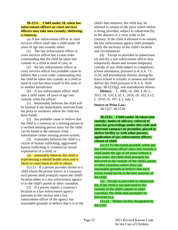# **38-2231. Child under 18, when law enforcement officers or court services officers may take into custody; sheltering a runaway.**

(a) A law enforcement officer or court services officer shall take a child under 18 years of age into custody when:

(1) The law enforcement officer or court services officer has a court order commanding that the child be taken into custody as a child in need of care; or

(2) the law enforcement officer or court services officer has probable cause to believe that a court order commanding that the child be taken into custody as a child in need of care has been issued in this state or in another jurisdiction.

(b) A law enforcement officer shall take a child under 18 years of age into custody when the officer:

(1) Reasonably believes the child will be harmed if not immediately removed from the place or residence where the child has been found;

(2) has probable cause to believe that the child is a runaway or a missing person or a verified missing person entry for the child can be found in the national crime information center missing person system;

(3) reasonably believes the child is a victim of human trafficking, aggravated human trafficking or commercial sexual exploitation of a child; or

(4) reasonably believes the child is experiencing a mental health crisis and is likely to cause harm to self or others.

(c) (1) If a person provides shelter to a child whom the person knows is a runaway, such person shall promptly report the child's location either to a law enforcement agency or to the child's parent or other custodian.

(2) If a person reports a runaway's location to a law enforcement agency pursuant to this section and a law enforcement officer of the agency has reasonable grounds to believe that it is in the child's best interests, the child may be allowed to remain in the place where shelter is being provided, subject to subsection (b), in the absence of a court order to the contrary. If the child is allowed to so remain, the law enforcement agency shall promptly notify the secretary of the child's location and circumstances.

(d) Except as provided in subsections (a) and (b), a law enforcement officer may temporarily detain and assume temporary custody of any child subject to compulsory school attendance, pursuant to K.S.A. 72- 3120, and amendments thereto, during the hours school is actually in session and shall deliver the child pursuant to K.S.A. 2020 Supp.  $38-2232(g)$ , and amendments thereto.

**History:** L. 2006, ch. 200, § 26; L. 2013, ch. 120, § 32; L. 2016, ch. 102, § 12; L. 2018, ch. 107, § 2; July 1.

**Source or Prior Law:** 38-1527, 38-1530.

**38-2232. Child under 18 taken into custody; duties of officers; referral of cases for proceedings under this code and interstate compact on juveniles; placed in shelter facility or with other person; application of law enforcement officer; release of child.**

(a) (1) To the extent possible, when any law enforcement officer takes into custody a child under the age of 18 years without a court order, the child shall promptly be delivered to the custody of the child's parent or other custodian unless there are reasonable grounds to believe that such action would not be in the best interests of the child.

(2) Except as provided in subsection (b), if the child is not delivered to the custody of the child's parent or other custodian, the child shall promptly be delivered to a:

(A) (i) Shelter facility designated by the court;

 $-1$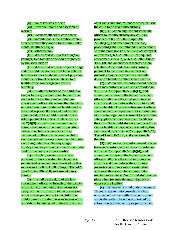(ii) court services officer;

(iii) juvenile intake and assessment worker;

(iv) licensed attendant care center;

(v) juvenile crisis intervention center after written authorization by a community mental health center; or

(vi) other person;

(B) if the child is 15 years of age or younger, to a facility or person designated by the secretary; or

(C) if the child is 16 or 17 years of age and the child has no identifiable parental or family resources or shows signs of physical, mental, emotional or sexual abuse, to a facility or person designated by the secretary.

(3) If, after delivery of the child to a shelter facility, the person in charge of the shelter facility at that time and the law enforcement officer determine that the child will not remain in the shelter facility and if the child is presently alleged, but not yet adjudicated, to be a child in need of care solely pursuant to K.S.A. 2020 Supp. 38-  $2202(d)(9)$  or (d)(10), and amendments thereto, the law enforcement officer shall deliver the child to a secure facility, designated by the court, where the child shall be detained for not more than 24 hours, excluding Saturdays, Sundays, legal holidays, and days on which the office of the clerk of the court is not accessible.

(4) No child taken into custody pursuant to this code shall be placed in a secure facility, except as authorized by this section and by K.S.A. 2020 Supp. 38-2242, 38-2243 and 38-2260, and amendments thereto.

(5) It shall be the duty of the law enforcement officer to furnish to the county or district attorney, without unnecessary delay, all the information in the possession of the officer pertaining to the child, the child's parents or other persons interested in or likely to be interested in the child and all

other facts and circumstances which caused the child to be taken into custody.

(b) (1) When any law enforcement officer takes into custody any child as provided in K.S.A. 2020 Supp. 38-  $2231(b)(2)$ , and amendments thereto, proceedings shall be initiated in accordance with the provisions of the interstate compact on juveniles, K.S.A. 38-1001 et seq., and amendments thereto, or K.S.A. 2020 Supp. 38-1008, and amendments thereto, when effective. Any child taken into custody pursuant to the interstate compact on juveniles may be detained in a juvenile detention facility or other secure facility.

(2) When any law enforcement officer takes into custody any child as provided in K.S.A. 2020 Supp. 38-2231(b)(3), and amendments thereto, the law enforcement officer shall place the child in protective custody and may deliver the child to a staff secure facility. The law enforcement officer shall contact the department for children and families to begin an assessment to determine safety, placement and treatment needs for the child. Such child shall not be placed in a secure facility, except as authorized by this section and by K.S.A. 2020 Supp. 38-2242, 38-2243 and 38-2260, and amendments thereto.

(3) When any law enforcement officer takes into custody any child as provided in K.S.A. 2020 Supp. 38-2231(b)(4), and amendments thereto, the law enforcement officer shall place the child in protective custody and may deliver the child to a juvenile crisis intervention center after written authorization by a community mental health center. Such child shall not be placed in a juvenile detention facility or other secure facility.

(c) Whenever a child under the age of 18 years is taken into custody by a law enforcement officer without a court order and is thereafter placed as authorized by subsection (a), the facility or person shall,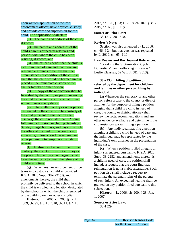upon written application of the law enforcement officer, have physical custody and provide care and supervision for the child. The application shall state:

(1) The name and address of the child, if known;

(2) the names and addresses of the child's parents or nearest relatives and persons with whom the child has been residing, if known; and

(3) the officer's belief that the child is a child in need of care and that there are reasonable grounds to believe that the circumstances or condition of the child is such that the child would be harmed unless placed in the immediate custody of the shelter facility or other person.

(d) A copy of the application shall be furnished by the facility or person receiving the child to the county or district attorney without unnecessary delay.

(e) The shelter facility or other person designated by the court who has custody of the child pursuant to this section shall discharge the child not later than 72 hours following admission, excluding Saturdays, Sundays, legal holidays, and days on which the office of the clerk of the court is not accessible, unless a court has entered an order pertaining to temporary custody or release.

(f) In absence of a court order to the contrary, the county or district attorney or the placing law enforcement agency shall have the authority to direct the release of the child at any time.

(g) When any law enforcement officer takes into custody any child as provided in K.S.A. 2020 Supp. 38-2231(d), and amendments thereto, the child shall promptly be delivered to the school in which the child is enrolled, any location designated by the school in which the child is enrolled or the child's parent or other custodian.

**History:** L. 2006, ch. 200, § 27; L. 2009, ch. 99, § 3; L. 2010, ch. 11, § 4; L. 2013, ch. 120, § 33; L. 2018, ch. 107, § 3; L. 2019, ch. 65, § 3; July 1.

#### **Source or Prior Law:** 38-1517, 38-1528.

**Revisor's Note:**

Section was also amended by L. 2016, ch. 46, § 24, but that version was repealed by L. 2019, ch. 65, § 10.

**Law Review and Bar Journal References:**

"Breaking the Victimization Cycle: Domestic Minor Trafficking in Kansas," Leslie Klaassen, 52 W.L.J. 581 (2013).

# **38-2233. Filing of petition on referral by the department for children and families or other person; filing by individual.**

(a) Whenever the secretary or any other person refers a case to the county or district attorney for the purpose of filing a petition alleging that a child is a child in need of care, the county or district attorney shall review the facts, recommendations and any other evidence available and determine if the circumstances warrant filing a petition.

(b) Any individual may file a petition alleging a child is a child in need of care and the individual may be represented by the individual's own attorney in the presentation of the case.

(c) When a petition is filed alleging an infant surrendered pursuant to K.S.A. 2020 Supp. 38-2282, and amendments thereto, is a child in need of care, the petition shall include a request that the court find that reintegration is not a viable alternative. Such petition also shall include a request to terminate the parental rights of the parents of such infant. An expedited hearing shall be granted on any petition filed pursuant to this subsection.

**History:** L. 2006, ch. 200, § 28; Jan. 1, 2007.

**Source or Prior Law:** 38-1529.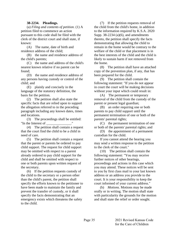# **38-2234. Pleadings.**

(a) *Filing and contents of petition.* (1) A petition filed to commence an action pursuant to this code shall be filed with the clerk of the district court and shall state, if known:

(A) The name, date of birth and residence address of the child;

(B) the name and residence address of the child's parents;

(C) the name and address of the child's nearest known relative if no parent can be found;

(D) the name and residence address of any persons having custody or control of the child; and

(E) plainly and concisely in the language of the statutory definition, the basis for the petition.

(2) The petition shall also state the specific facts that are relied upon to support the allegation referred to in the preceding paragraph including any known dates, times and locations.

(3) The proceedings shall be entitled: "In the Interest of  $\blacksquare$ "

(4) The petition shall contain a request that the court find the child to be a child in need of care.

(5) The petition shall contain a request that the parent or parents be ordered to pay child support. The request for child support may be omitted with respect to a parent already ordered to pay child support for the child and shall be omitted with respect to one or both parents upon written request of the secretary.

(6) If the petition requests custody of the child to the secretary or a person other than the child's parent, the petition shall specify the efforts known to the petitioner to have been made to maintain the family and prevent the transfer of custody, or it shall specify the facts demonstrating that an emergency exists which threatens the safety to the child.

(7) If the petition requests removal of the child from the child's home, in addition to the information required by K.S.A. 2020 Supp. 38-2234 (a)(6), and amendments thereto, the petition shall specify the facts demonstrating that allowing the child to remain in the home would be contrary to the welfare of the child or that placement is in the best interests of the child and the child is likely to sustain harm if not removed from the home.

(8) The petition shall have an attached copy of the prevention plan, if any, that has been prepared for the child.

(9) The petition shall contain the following statement: "If you do not appear in court the court will be making decisions without your input which could result in:

(A) The permanent or temporary removal of the child from the custody of the parent or present legal guardian;

(B) an order requiring one or both parents to pay child support until the permanent termination of one or both of the parents' parental rights;

(C) the permanent termination of one or both of the parents' parental rights; and

(D) the appointment of a permanent custodian for the child.

If you cannot attend the hearing you may send a written response to the petition to the clerk of the court."

(10) The petition shall contain the following statement: "You may receive further notices of other hearings, proceedings and actions in this case which you may attend. These notices will be sent to you by first class mail to your last known address or an address you provide to the court. It is your responsibility to keep the court informed of your current address."

(b) *Motions.* Motions may be made orally or in writing. The motion shall state with particularity the grounds for the motion and shall state the relief or order sought.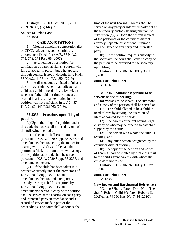**History:** L. 2006, ch. 200, § 29; L. 2019, ch. 43, § 4; May 2.

# **Source or Prior Law:**

38-1531.

# **CASE ANNOTATIONS**

1. Cited in upholding constitutionality of CINC; safeguards against arbitrary enforcement listed. In re A.F., 38 K.A.2d 773, 778, 172 P.3d 66 (2007).

2. At a hearing on a motion for termination of parental rights, a parent who fails to appear in person but who appears through counsel is not in default. In re K.H., 56 K.A.2d 1135, 444 P.3d 354 (2019).

3. A district court violated a father's due process rights when it adjudicated a child as a child in need of care by default when the father did not timely appear at pretrial hearing; a blanket notice in the petition was not sufficient. In re J.L., 57 K.A.2d 60, 449 P.3d 762 (2019).

# **38-2235. Procedure upon filing of petition.**

(a) Upon the filing of a petition under this code the court shall proceed by one of the following methods:

(1) The court shall issue summons pursuant to K.S.A. 2020 Supp. 38-2236, and amendments thereto, setting the matter for hearing within 30 days of the date the petition is filed. The summons, with a copy of the petition attached, shall be served pursuant to K.S.A. 2020 Supp. 38-2237, and amendments thereto.

(2) If the child has been taken into protective custody under the provisions of K.S.A. 2020 Supp. 38-2242, and amendments thereto, and a temporary custody hearing is held as required by K.S.A. 2020 Supp. 38-2243, and amendments thereto, a copy of the petition shall be served at the hearing on each party and interested party in attendance and a record of service made a part of the proceedings. The court shall announce the

time of the next hearing. Process shall be served on any party or interested party not at the temporary custody hearing pursuant to subsection  $(a)(1)$ . Upon the written request of the petitioner or the county or district attorney, separate or additional summons shall be issued to any party and interested party.

(b) If the petition requests custody to the secretary, the court shall cause a copy of the petition to be provided to the secretary upon filing.

**History:** L. 2006, ch. 200, § 30; Jan. 1, 2007.

**Source or Prior Law:** 38-1532.

## **38-2236. Summons; persons to be served; notice of hearing.**

(a) *Persons to be served.* The summons and a copy of the petition shall be served on:

(1) The child alleged to be a child in need of care by serving the guardian ad litem appointed for the child;

(2) the parents or parent having legal custody or who may be ordered to pay child support by the court;

(3) the person with whom the child is residing; and

(4) any other person designated by the county or district attorney.

(b) A copy of the petition and notice of hearing shall be mailed by first class mail to the child's grandparents with whom the child does not reside.

**History:** L. 2006, ch. 200, § 31; Jan. 1, 2007.

#### **Source or Prior Law:** 38-1533.

**Law Review and Bar Journal References:**

"Caring When a Parent Does Not - The State's Role in Child Welfare," Roberta Sue McKenna, 79 J.K.B.A. No. 7, 36 (2010).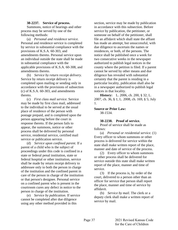## **38-2237. Service of process.**

Summons, notice of hearings and other process may be served by one of the following methods:

(a) *Personal and residence service.* Personal and residence service is completed by service in substantial compliance with the provisions of K.S.A. 60-303, and amendments thereto. Personal service upon an individual outside the state shall be made in substantial compliance with the applicable provisions of K.S.A. 60-308, and amendments thereto.

(b) *Service by return receipt delivery.* Service by return receipt delivery is completed upon mailing or sending only in accordance with the provisions of subsection (c) of K.S.A. 60-303, and amendments thereto.

(c) *First class mail service.* Service may be made by first class mail, addressed to the individual to be served at the usual place of residence of the person with postage prepaid, and is completed upon the person appearing before the court in response thereto. If the person fails to appear, the summons, notice or other process shall be delivered by personal service, residential service, certified mail service or publication service.

(d) *Service upon confined parent.* If a parent of a child who is the subject of proceedings under this code is confined in a state or federal penal institution, state or federal hospital or other institution, service shall be made by return receipt delivery to addressee only to both the person in charge of the institution and the confined parent in care of the person in charge of the institution or that person's designee. Personal service on a confined parent who is present in the courtroom cures any defect in notice to the person in charge of the institution.

(e) *Service by publication.* If service cannot be completed after due diligence using any other method provided in this

section, service may be made by publication in accordance with this subsection. Before service by publication, the petitioner, or someone on behalf of the petitioner, shall file an affidavit which shall state the affiant has made an attempt, but unsuccessful, with due diligence to ascertain the names or residences, or both, of the persons. The notice shall be published once a week for two consecutive weeks in the newspaper authorized to publish legal notices in the county where the petition is filed. If a parent cannot be served by other means and due diligence has revealed with substantial certainty that the parent is residing in a particular locality, publication shall also be in a newspaper authorized to publish legal notices in that locality.

**History:** L. 2006, ch. 200, § 32; L. 2007, ch. 36, § 1; L. 2008, ch. 169, § 5; July 1.

#### **Source or Prior Law:**

38-1534.

# **38-2238. Proof of service.**

Proof of service shall be made as follows:

(a) *Personal or residential service.* (1) Every officer to whom summons or other process is delivered for service within the state shall make written report of the place, manner and date of service of the process.

(2) Every officer to whom summons or other process shall be delivered for service outside this state shall make written report of the place, manner and time of service.

(3) If the process is, by order of the court, delivered to a person other than an officer for service that person shall report the place, manner and time of service by affidavit.

(b) *Service by mail.* The clerk or a deputy clerk shall make a written report of service by mail.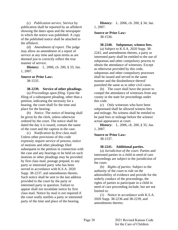(c) *Publication service.* Service by publication shall be reported by an affidavit showing the dates upon and the newspaper in which the notice was published. A copy of the published notice shall be attached to the affidavit.

(d) *Amendment of report.* The judge may allow an amendment of a report of service at any time and upon terms as are deemed just to correctly reflect the true manner of service.

**History:** L. 2006, ch. 200, § 33; Jan. 1, 2007.

**Source or Prior Law:**

38-1535.

# **38-2239. Service of other pleadings.**

(a) *Proceedings upon filing.* Upon the filing of a subsequent pleading, other than a petition, indicating the necessity for a hearing, the court shall fix the time and place for the hearing.

(b) *Notice.* The notice of hearing shall be given by the clerk, unless otherwise ordered by the court. The notice shall be dated the day it is issued, contain the name of the court and the caption in the case.

(c) *Notification by first class mail.* Unless other provisions of this code expressly require service of process, notice of motions and other pleadings filed subsequent to the petition in connection with the case and any hearings to be held on such motions or other pleadings may be provided by first class mail, postage prepaid, to any party or interested party who has been served in accordance with K.S.A. 2020 Supp. 38-2237, and amendments thereto. Such notice shall be sent to the last address provided to the court by the party or interested party in question. Failure to appear shall not invalidate notice by first class mail. Notice by mail is not required if the court orally notifies a party or interested party of the time and place of the hearing.

**History:** L. 2006, ch. 200, § 34; Jan. 1, 2007.

#### **Source or Prior Law:** 38-1536.

# **38-2240. Subpoenas; witness fees.**

(a) Subject to K.S.A. 2020 Supp. 38- 2241, and amendments thereto, a party or interested party shall be entitled to the use of subpoenas and other compulsory process to obtain the attendance of witnesses. Except as otherwise provided by this code, subpoenas and other compulsory processes shall be issued and served in the same manner and the disobedience thereof punished the same as in other civil cases.

(b) The court shall have the power to compel the attendance of witnesses from any county in the state for proceedings under this code.

(c) Only witnesses who have been subpoenaed shall be allowed witness fees and mileage. No witness shall be entitled to be paid fees or mileage before the witness' actual appearance at court.

**History:** L. 2006, ch. 200, § 35; Jan. 1, 2007.

## **Source or Prior Law:** 38-1537.

# **38-2241. Additional parties.**

(a) *Jurisdiction of the court.* Parties and interested parties in a child in need of care proceedings are subject to the jurisdiction of the court.

(b) *Rights of parties.* Subject to the authority of the court to rule on the admissibility of evidence and provide for the orderly conduct of the proceedings, the rights of parties to participate in a child in need of care proceeding include, but are not limited to:

(1) Notice in accordance with K.S.A. 2020 Supp. 38-2236 and 38-2239, and amendments thereto;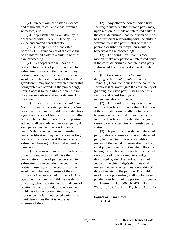(2) present oral or written evidence and argument, to call and cross-examine witnesses; and

(3) representation by an attorney in accordance with K.S.A. 2020 Supp. 38- 2205, and amendments thereto.

(c) *Grandparents as interested parties.* (1) A grandparent of the child shall be an interested party to a child in need of care proceeding.

(2) Grandparents shall have the participatory rights of parties pursuant to subsection (b), except that the court may restrict those rights if the court finds that it would be in the best interests of the child. A grandparent may not be prevented under this paragraph from attending the proceedings, having access to the child's official file in the court records or making a statement to the court.

(d) *Persons with whom the child has been residing as interested parties.* (1) Any person with whom the child has resided for a significant period of time within six months of the date the child in need of care petition is filed shall be made an interested party, if such person notifies the court of such person's desire to become an interested party. Notification may be made in writing, orally or by appearance at the initial or a subsequent hearing on the child in need of care petition.

(2) Persons with interested party status under this subsection shall have the participatory rights of parties pursuant to subsection (b), except that the court may restrict those rights if the court finds that it would be in the best interests of the child.

(e) *Other interested parties.* (1) Any person with whom the child has resided at any time, who is within the fourth degree of relationship to the child, or to whom the child has close emotional ties may, upon motion, be made an interested party if the court determines that it is in the best interests of the child.

(2) Any other person or Indian tribe seeking to intervene that is not a party may, upon motion, be made an interested party if the court determines that the person or tribe has a sufficient relationship with the child to warrant interested party status or that the person's or tribe's participation would be beneficial to the proceedings.

(3) The court may, upon its own motion, make any person an interested party if the court determines that interested party status would be in the best interests of the child.

(f) *Procedure for determining, denying or terminating interested party status.* (1) Upon the request of the court, the secretary shall investigate the advisability of granting interested party status under this section and report findings and recommendations to the court.

(2) The court may deny or terminate interested party status under this subsection if the court determines, after notice and a hearing, that a person does not qualify for interested party status or that there is good cause to deny or terminate interested party status.

(3) A person who is denied interested party status or whose status as an interested party has been terminated may petition for review of the denial or termination by the chief judge of the district in which the court having jurisdiction over the child in need of care proceeding is located, or a judge designated by the chief judge. The chief judge or the chief judge's designee shall review the denial or termination within 30 days of receiving the petition. The child in need of care proceeding shall not be stayed pending resolution of the petition for review.

**History:** L. 2006, ch. 200, § 36; L. 2008, ch. 169, § 6; L. 2011, ch. 60, § 3; July 1.

**Source or Prior Law:**

38-1541.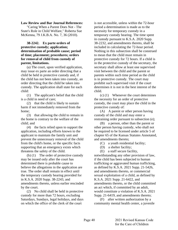# **Law Review and Bar Journal References:**

"Caring When a Parent Does Not - The State's Role in Child Welfare," Roberta Sue McKenna, 79 J.K.B.A. No. 7, 36 (2010).

# **38-2242. Ex parte orders of protective custody; application; determination of probable cause; period of time; placement; procedures; orders for removal of child from custody of parent, limitations.**

(a) The court, upon verified application, may issue ex parte an order directing that a child be held in protective custody and, if the child has not been taken into custody, an order directing that the child be taken into custody. The application shall state for each child:

(1) The applicant's belief that the child is a child in need of care;

(2) that the child is likely to sustain harm if not immediately removed from the home;

(3) that allowing the child to remain in the home is contrary to the welfare of the child; and

(4) the facts relied upon to support the application, including efforts known to the applicant to maintain the family unit and prevent the unnecessary removal of the child from the child's home, or the specific facts supporting that an emergency exists which threatens the safety of the child.

(b) (1) The order of protective custody may be issued only after the court has determined there is probable cause to believe the allegations in the application are true. The order shall remain in effect until the temporary custody hearing provided for in K.S.A. 2020 Supp. 38-2243, and amendments thereto, unless earlier rescinded by the court.

(2) No child shall be held in protective custody for more than 72 hours, excluding Saturdays, Sundays, legal holidays, and days on which the office of the clerk of the court

is not accessible, unless within the 72-hour period a determination is made as to the necessity for temporary custody in a temporary custody hearing. The time spent in custody pursuant to K.S.A. 2020 Supp. 38-2232, and amendments thereto, shall be included in calculating the 72-hour period. Nothing in this subsection shall be construed to mean that the child must remain in protective custody for 72 hours. If a child is in the protective custody of the secretary, the secretary shall allow at least one supervised visit between the child and the parent or parents within such time period as the child is in protective custody. The court may prohibit such supervised visit if the court determines it is not in the best interest of the child.

(c) (1) Whenever the court determines the necessity for an order of protective custody, the court may place the child in the protective custody of:

(A) A parent or other person having custody of the child and may enter a restraining order pursuant to subsection (e);

(B) a person, other than the parent or other person having custody, who shall not be required to be licensed under article 5 of chapter 65 of the Kansas Statutes Annotated, and amendments thereto;

(C) a youth residential facility;

(D) a shelter facility;

(E) a staff secure facility,

notwithstanding any other provision of law, if the child has been subjected to human trafficking or aggravated human trafficking, as defined by K.S.A. 2021 Supp. 21-5426, and amendments thereto, or commercial sexual exploitation of a child, as defined by K.S.A. 2021 Supp. 21-6422, and amendments thereto, or the child committed an act which, if committed by an adult, would constitute a violation of K.S.A. 2021 Supp. 21-6419, and amendments thereto;

(F) after written authorization by a community mental health center, a juvenile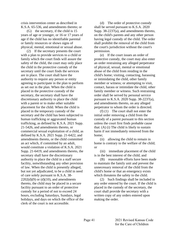crisis intervention center as described in K.S.A. 65-536, and amendments thereto; or

(G) the secretary, if the child is 15 years of age or younger, or 16 or 17 years of age if the child has no identifiable parental or family resources or shows signs of physical, mental, emotional or sexual abuse.

(2) If the secretary presents the court with a plan to provide services to a child or family which the court finds will assure the safety of the child, the court may only place the child in the protective custody of the secretary until the court finds the services are in place. The court shall have the authority to require any person or entity agreeing to participate in the plan to perform as set out in the plan. When the child is placed in the protective custody of the secretary, the secretary shall have the discretionary authority to place the child with a parent or to make other suitable placement for the child. When the child is placed in the temporary custody of the secretary and the child has been subjected to human trafficking or aggravated human trafficking, as defined by K.S.A. 2021 Supp. 21-5426, and amendments thereto, or commercial sexual exploitation of a child, as defined by K.S.A. 2021 Supp. 21-6422, and amendments thereto, or the child committed an act which, if committed by an adult, would constitute a violation of K.S.A. 2021 Supp. 21-6419, and amendments thereto, the secretary shall have the discretionary authority to place the child in a staff secure facility, notwithstanding any other provision of law. When the child is presently alleged, but not yet adjudicated, to be a child in need of care solely pursuant to K.S.A. 38-  $2202(d)(9)$  or (d)(10), and amendments thereto, the child may be placed in a secure facility pursuant to an order of protective custody for a period of not to exceed 24 hours, excluding Saturdays, Sundays, legal holidays, and days on which the office of the clerk of the court is not accessible.

(d) The order of protective custody shall be served pursuant to K.S.A. 2020 Supp. 38-2237(a), and amendments thereto, on the child's parents and any other person having legal custody of the child. The order shall prohibit the removal of the child from the court's jurisdiction without the court's permission.

(e) If the court issues an order of protective custody, the court may also enter an order restraining any alleged perpetrator of physical, sexual, mental or emotional abuse of the child from residing in the child's home; visiting, contacting, harassing or intimidating the child, other family member or witness; or attempting to visit, contact, harass or intimidate the child, other family member or witness. Such restraining order shall be served by personal service pursuant to K.S.A. 2020 Supp. 38-2237(a), and amendments thereto, on any alleged perpetrator to whom the order is directed.

(f) (1) The court shall not enter the initial order removing a child from the custody of a parent pursuant to this section unless the court first finds probable cause that: (A) (i) The child is likely to sustain harm if not immediately removed from the home;

(ii) allowing the child to remain in home is contrary to the welfare of the child; or

(iii) immediate placement of the child is in the best interest of the child; and

(B) reasonable efforts have been made to maintain the family unit and prevent the unnecessary removal of the child from the child's home or that an emergency exists which threatens the safety to the child.

(2) Such findings shall be included in any order entered by the court. If the child is placed in the custody of the secretary, the court shall provide the secretary with a written copy of any orders entered upon making the order.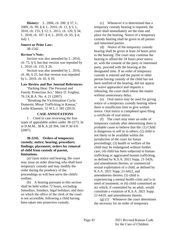**History:** L. 2006, ch. 200, § 37; L. 2009, ch. 99, § 4; L. 2010, ch. 11, § 5; L. 2010, ch. 155, § 12; L. 2013, ch. 120, § 34; L. 2018, ch. 107, § 4; L. 2019, ch. 65, § 4; July 1.

# **Source or Prior Law:**

38-1542.

# **Revisor's Note:**

Section was also amended by L. 2010, ch. 75, § 9, but that version was repealed by L. 2010, ch. 155, § 26.

Section was also amended by L. 2016, ch. 46, § 25, but that version was repealed by L. 2019, ch. 65, § 10.

## **Law Review and Bar Journal References:**

"Packing Heat: The Personal and Family Protection Act," Mary D. Feighny, 76 J.K.B.A. No. 4, 21 (2007).

"Breaking the Victimization Cycle: Domestic Minor Trafficking in Kansas," Leslie Klaassen, 52 W.L.J. 581 (2013).

## **CASE ANNOTATIONS**

1. Cited in case reviewing the four types of appealable orders under 38-2273. In re D.M.M., 38 K.A.2d 394, 166 P.3d 431 (2007).

# **38-2243. Orders of temporary custody; notice; hearing; procedure; findings; placement; orders for removal of child from custody of parent, limitations.**

(a) Upon notice and hearing, the court may issue an order directing who shall have temporary custody and may modify the order during the pendency of the proceedings as will best serve the child's welfare.

(b) A hearing pursuant to this section shall be held within 72 hours, excluding Saturdays, Sundays, legal holidays, and days on which the office of the clerk of the court is not accessible, following a child having been taken into protective custody.

(c) Whenever it is determined that a temporary custody hearing is required, the court shall immediately set the time and place for the hearing. Notice of a temporary custody hearing shall be given to all parties and interested parties.

(d) Notice of the temporary custody hearing shall be given at least 24 hours prior to the hearing. The court may continue the hearing to afford the 24 hours prior notice or, with the consent of the party or interested party, proceed with the hearing at the designated time. If an order of temporary custody is entered and the parent or other person having custody of the child has not been notified of the hearing, did not appear or waive appearance and requests a rehearing, the court shall rehear the matter without unnecessary delay.

(e) Oral notice may be used for giving notice of a temporary custody hearing where there is insufficient time to give written notice. Oral notice is completed upon filing a certificate of oral notice.

(f) The court may enter an order of temporary custody after determining there is probable cause to believe that the: (1) Child is dangerous to self or to others; (2) child is not likely to be available within the jurisdiction of the court for future proceedings; (3) health or welfare of the child may be endangered without further care; (4) child has been subjected to human trafficking or aggravated human trafficking, as defined by K.S.A. 2021 Supp. 21-5426, and amendments thereto, or commercial sexual exploitation of a child, as defined by K.S.A. 2021 Supp. 21-6422, and amendments thereto; (5) child is experiencing a mental health crisis and is in need of treatment; or (6) child committed an act which, if committed by an adult, would constitute a violation of K.S.A. 2021 Supp. 21-6419, and amendments thereto.

(g) (1) Whenever the court determines the necessity for an order of temporary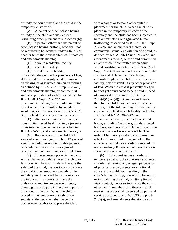custody the court may place the child in the temporary custody of:

(A) A parent or other person having custody of the child and may enter a restraining order pursuant to subsection (h);

(B) a person, other than the parent or other person having custody, who shall not be required to be licensed under article 5 of chapter 65 of the Kansas Statutes Annotated, and amendments thereto;

- (C) a youth residential facility;
- (D) a shelter facility;
- (E) a staff secure facility,

notwithstanding any other provision of law, if the child has been subjected to human trafficking or aggravated human trafficking, as defined by K.S.A. 2021 Supp. 21-5426, and amendments thereto, or commercial sexual exploitation of a child, as defined by K.S.A. 2021 Supp. 21-6422, and amendments thereto, or the child committed an act which, if committed by an adult, would constitute a violation of K.S.A. 2021 Supp. 21-6419, and amendments thereto;

(F) after written authorization by a community mental health center, a juvenile crisis intervention center, as described in K.S.A. 65-536, and amendments thereto; or

(G) the secretary, if the child is 15 years of age or younger, or 16 or 17 years of age if the child has no identifiable parental or family resources or shows signs of physical, mental, emotional or sexual abuse.

(2) If the secretary presents the court with a plan to provide services to a child or family which the court finds will assure the safety of the child, the court may only place the child in the temporary custody of the secretary until the court finds the services are in place. The court shall have the authority to require any person or entity agreeing to participate in the plan to perform as set out in the plan. When the child is placed in the temporary custody of the secretary, the secretary shall have the discretionary authority to place the child

with a parent or to make other suitable placement for the child. When the child is placed in the temporary custody of the secretary and the child has been subjected to human trafficking or aggravated human trafficking, as defined by K.S.A. 2021 Supp. 21-5426, and amendments thereto, or commercial sexual exploitation of a child, as defined by K.S.A. 2021 Supp. 21-6422, and amendments thereto, or the child committed an act which, if committed by an adult, would constitute a violation of K.S.A. 2021 Supp. 21-6419, and amendments thereto, the secretary shall have the discretionary authority to place the child in a staff secure facility, notwithstanding any other provision of law. When the child is presently alleged, but not yet adjudicated to be a child in need of care solely pursuant to K.S.A. 38-  $2202(d)(9)$  or  $(d)(10)$ , and amendments thereto, the child may be placed in a secure facility, but the total amount of time that the child may be held in such facility under this section and K.S.A. 38-2242, and amendments thereto, shall not exceed 24 hours, excluding Saturdays, Sundays, legal holidays, and days on which the office of the clerk of the court is not accessible. The order of temporary custody shall remain in effect until modified or rescinded by the court or an adjudication order is entered but not exceeding 60 days, unless good cause is shown and stated on the record.

(h) If the court issues an order of temporary custody, the court may also enter an order restraining any alleged perpetrator of physical, sexual, mental or emotional abuse of the child from residing in the child's home; visiting, contacting, harassing or intimidating the child; or attempting to visit, contact, harass or intimidate the child, other family members or witnesses. Such restraining order shall be served by personal service pursuant to K.S.A. 2020 Supp. 38- 2237(a), and amendments thereto, on any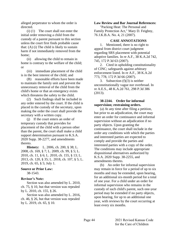alleged perpetrator to whom the order is directed.

(i) (1) The court shall not enter the initial order removing a child from the custody of a parent pursuant to this section unless the court first finds probable cause that: (A) (i) The child is likely to sustain harm if not immediately removed from the home;

(ii) allowing the child to remain in home is contrary to the welfare of the child; or

(iii) immediate placement of the child is in the best interest of the child; and

(B) reasonable efforts have been made to maintain the family unit and prevent the unnecessary removal of the child from the child's home or that an emergency exists which threatens the safety to the child.

(2) Such findings shall be included in any order entered by the court. If the child is placed in the custody of the secretary, upon making the order the court shall provide the secretary with a written copy.

(j) If the court enters an order of temporary custody that provides for placement of the child with a person other than the parent, the court shall make a child support determination pursuant to K.S.A. 2020 Supp. 38-2277, and amendments thereto.

**History:** L. 2006, ch. 200, § 38; L. 2008, ch. 169, § 7; L. 2009, ch. 99, § 5; L. 2010, ch. 11, § 6; L. 2010, ch. 155, § 13; L. 2013, ch. 120, § 35; L. 2018, ch. 107, § 5; L. 2019, ch. 65, § 5; July 1.

# **Source or Prior Law:**

38-1543.

# **Revisor's Note:**

Section was also amended by L. 2010, ch. 75, § 10, but that version was repealed by L. 2010, ch. 155, § 26.

Section was also amended by L. 2016, ch. 46, § 26, but that version was repealed by L. 2019, ch. 65, § 10.

## **Law Review and Bar Journal References:**

"Packing Heat: The Personal and Family Protection Act," Mary D. Feighny, 76 J.K.B.A. No. 4, 21 (2007).

## **CASE ANNOTATIONS**

1. Mentioned, there is no right to appeal from district court judgment regarding SRS placement with potential adoptive families. In re A.F., 38 K.A.2d 742, 745, 172 P.3d 63 (2007).

2. Cited in upholding constitutionality of CINC; safeguards against arbitrary enforcement listed. In re A.F., 38 K.A.2d 773, 778, 172 P.3d 66 (2007).

3. Subsection  $(f)(3)$  is neither unconstitutionally vague nor overbroad. In re A.E.S., 48 K.A.2d 761, 298 P.3d 386 (2013).

# **38-2244. Order for informal supervision; restraining orders.**

(a) At any time after filing a petition, but prior to an adjudication, the court may enter an order for continuance and informal supervision without an adjudication if no party objects. Upon granting the continuance, the court shall include in the order any conditions with which the parties and interested parties are expected to comply and provide the parties and interested parties with a copy of the order. The conditions may include appropriate dispositional alternatives authorized by K.S.A. 2020 Supp. 38-2255, and amendments thereto.

(b) An order for informal supervision may remain in force for a period of up to six months and may be extended, upon hearing, for an additional six-month period for a total of one year. For a child under an order for informal supervision who remains in the custody of such child's parent, such one-year period may be extended if no party objects, upon hearing, for up to an additional one year, with reviews by the court occurring at least every six months.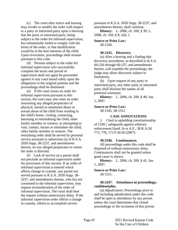(c) The court after notice and hearing may revoke or modify the order with respect to a party or interested party upon a showing that the party or interested party, being subject to the order for informal supervision, has substantially failed to comply with the terms of the order, or that modification would be in the best interests of the child. Upon revocation, proceedings shall resume pursuant to this code.

(d) Persons subject to the order for informal supervision who successfully complete the terms and period of supervision shall not again be proceeded against in any court based solely upon the allegations in the original petition and the proceedings shall be dismissed.

(e) If the court issues an order for informal supervision pursuant to this section, the court may also enter an order restraining any alleged perpetrator of physical, mental or emotional abuse or sexual abuse of the child from residing in the child's home, visiting, contacting, harassing or intimidating the child, other family member or witness; or attempting to visit, contact, harass or intimidate the child, other family member or witness. The restraining order shall be served by personal service pursuant to subsection (a) of K.S.A. 2020 Supp. 38-2237, and amendments thereto, on any alleged perpetrator to whom the order is directed.

(f) Lack of service on a parent shall not preclude an informal supervision under the provisions of this section. If an order of informal supervision is entered which effects change in custody, any parent not served pursuant to K.S.A. 2020 Supp. 38- 2237, and amendments thereto, who has not consented to the informal supervision, may request reconsideration of the order of informal supervision. The court shall hear the request without unnecessary delay. If the informal supervision order effects a change in custody, efforts to accomplish service

pursuant to K.S.A. 2020 Supp. 38-2237, and amendments thereto, shall continue.

**History:** L. 2006, ch. 200, § 39; L. 2008, ch. 169, § 8; July 1.

**Source or Prior Law:** 38-1544.

# **38-2245. Discovery.**

(a) After a hearing and a finding that discovery procedures, as described in K.S.A. 60-226 through 60-237, and amendments thereto, will expedite the proceedings, the judge may allow discovery subject to limitations.

(b) Upon request of any party or interested party, any other party or interested party shall disclose the names of all potential witnesses.

**History:** L. 2006, ch. 200, § 40; Jan. 1, 2007.

## **Source or Prior Law:**

38-1545, 38-1551.

## **CASE ANNOTATIONS**

1. Cited in upholding constitutionality of CINC; safeguards against arbitrary enforcement listed. In re A.F., 38 K.A.2d 773, 778, 172 P.3d 66 (2007).

#### **38-2246. Continuances.**

All proceedings under this code shall be disposed of without unnecessary delay. Continuances shall not be granted unless good cause is shown.

**History:** L. 2006, ch. 200, § 41; Jan. 1, 2007.

#### **Source or Prior Law:** 38-1551.

# **38-2247. Attendance at proceedings; confidentiality.**

(a) *Adjudication.* Proceedings prior to and including adjudication under this code shall be open to attendance by any person unless the court determines that closed proceedings or the exclusion of that person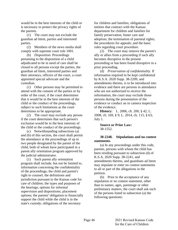would be in the best interests of the child or is necessary to protect the privacy rights of the parents.

(1) The court may not exclude the guardian ad litem, parties and interested parties.

(2) Members of the news media shall comply with supreme court rule 1001.

(b) *Disposition.* Proceedings pertaining to the disposition of a child adjudicated to be in need of care shall be closed to all persons except the parties, the guardian ad litem, interested parties and their attorneys, officers of the court, a court appointed special advocate and the custodian.

(1) Other persons may be permitted to attend with the consent of the parties or by order of the court, if the court determines that it would be in the best interests of the child or the conduct of the proceedings, subject to such limitations as the court determines to be appropriate.

(2) The court may exclude any person if the court determines that such person's exclusion would be in the best interests of the child or the conduct of the proceedings.

(c) Notwithstanding subsections (a) and (b) of this section, the court shall permit the attendance at the proceedings of up to two people designated by the parent of the child, both of whom have participated in a parent ally orientation program approved by the judicial administrator.

(1) Such parent ally orientation program shall include, but not be limited to, information concerning the confidentiality of the proceedings; the child and parent's right to counsel; the definitions and jurisdiction pursuant to the Kansas code for care of children; the types and purposes of the hearings; options for informal supervision and dispositions; placement options; the parents' obligation to financially support the child while the child is in the state's custody; obligations of the secretary

for children and families; obligations of entities that contract with the Kansas department for children and families for family preservation, foster care and adoption; the termination of parental rights; the procedures for appeals; and the basic rules regarding court procedure.

(2) The court may remove the parent's ally or allies from a proceeding if such ally becomes disruptive in the present proceeding or has been found disruptive in a prior proceeding.

(d) *Preservation of confidentiality.* If information required to be kept confidential by K.S.A. 2020 Supp. 38-2209, and amendments thereto, is to be introduced into evidence and there are persons in attendance who are not authorized to receive the information, the court may exclude those persons during the presentation of the evidence or conduct an in camera inspection of the evidence.

**History:** L. 2006, ch. 200, § 42; L. 2008, ch. 169, § 9; L. 2014, ch. 115, § 63; July 1.

**Source or Prior Law:** 38-1552.

# **38-2248. Stipulations and no contest statements.**

(a) In any proceedings under this code, parents, persons with whom the child has been residing pursuant to subsection (d) of K.S.A. 2020 Supp. 38-2241, and amendments thereto, and guardians ad litem may stipulate or enter no contest statements to all or part of the allegations in the petition.

(b) Prior to the acceptance of any stipulation or no contest statement, other than to names, ages, parentage or other preliminary matters, the court shall ask each of the persons listed in subsection (a) the following questions: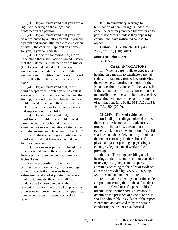(1) Do you understand that you have a right to a hearing on the allegations contained in the petition?

(2) Do you understand that you may be represented by an attorney and, if you are a parent and financially unable to employ an attorney, the court will appoint an attorney for you, if you so request?

(3) One of the following: (A) Do you understand that a stipulation is an admission that the statements in the petition are true or (B) Do you understand that a no contest statement neither admits nor denies the statement in the petition but allows the court to find that the statements in the petition are true?

(4) Do you understand that, if the court accepts your stipulation or no contest statement, you will not be able to appeal that finding, the court may find the child to be a child in need of care and the court will then make further orders as to the care, custody and supervision of the child?

(5) Do you understand that, if the court finds the child to be a child in need of care, the court is not bound by any agreement or recommendation of the parties as to disposition and placement of the child?

(c) Before accepting a stipulation the court shall find that there is a factual basis for the stipulation.

(d) Before an adjudication based on a no contest statement, the court shall find from a proffer of evidence that there is a factual basis.

(e) In proceedings other than termination of parental rights proceedings under this code if all persons listed in subsection (a) do not stipulate or enter no contest statements, the court shall hear evidence as to those persons, if they are present. The case may proceed by proffer as to persons not present, unless they appear by counsel and have instructed counsel to object.

(f) In evidentiary hearings for termination of parental rights under this code, the case may proceed by proffer as to parties not present, unless they appear by counsel and have instructed counsel to object.

**History:** L. 2006, ch. 200, § 43; L. 2008, ch. 169, § 10; July 1.

# **Source or Prior Law:** 38-1553.

# **CASE ANNOTATIONS**

1. When a parent fails to appear at a hearing on a motion to terminate parental rights, the state may proceed by proffering the evidence supporting the motion if there is no objection by counsel for the parent, but if the parent has instructed counsel to object to a proffer, then the state should proceed by presenting evidence to the court in support of termination. In re K.H., 56 K.A.2d 1135, 444 P.3d 354 (2019).

## **38-2249. Rules of evidence.**

(a) In all proceedings under this code, the rules of evidence of the code of civil procedure shall apply, except that no evidence relating to the condition of a child shall be excluded solely on the ground that the matter is or may be the subject of a physician-patient privilege, psychologistclient privilege or social worker-client privilege.

(b) (1) The judge presiding at all hearings under this code shall not consider or rely upon any report not properly admitted according to the rules of evidence, except as provided by K.S.A. 2020 Supp. 38-2219, and amendments thereto.

(2) In all proceedings under this code, a report concerning the results and analysis of a court-ordered test of a person's blood, breath, urine or other bodily substance to determine the presence of alcohol or drugs shall be admissible in evidence if the report is prepared and attested to by the person conducting the test or an authorized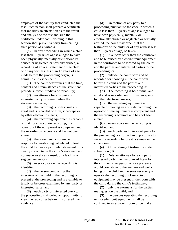employee of the facility that conducted the test. Such person shall prepare a certificate that includes an attestation as to the result and analysis of the test and sign the certificate under oath. Nothing in this section shall prevent a party from calling such person as a witness.

(c) In any proceeding in which a child less than 13 years of age is alleged to have been physically, mentally or emotionally abused or neglected or sexually abused, a recording of an oral statement of the child, or of any witness less than 13 years of age, made before the proceeding began, is admissible in evidence if:

(1) The court determines that the time, content and circumstances of the statement provide sufficient indicia of reliability;

(2) no attorney for any party or interested party is present when the statement is made;

(3) the recording is both visual and aural and is recorded on film, videotape or by other electronic means;

(4) the recording equipment is capable of making an accurate recording, the operator of the equipment is competent and the recording is accurate and has not been altered;

(5) the statement is not made in response to questioning calculated to lead the child to make a particular statement or is clearly shown to be the child's statement and not made solely as a result of a leading or suggestive question;

(6) every voice on the recording is identified;

(7) the person conducting the interview of the child in the recording is present at the proceeding and is available to testify or be cross-examined by any party or interested party; and

(8) each party or interested party to the proceeding is afforded an opportunity to view the recording before it is offered into evidence.

(d) On motion of any party to a proceeding pursuant to the code in which a child less than 13 years of age is alleged to have been physically, mentally or emotionally abused or neglected or sexually abused, the court may order that the testimony of the child, or of any witness less than 13 years of age, be taken:

(1) In a room other than the courtroom and be televised by closed-circuit equipment in the courtroom to be viewed by the court and the parties and interested parties to the proceeding; or

(2) outside the courtroom and be recorded for showing in the courtroom before the court and the parties and interested parties to the proceeding if:

(A) The recording is both visual and aural and is recorded on film, videotape or by other electronic means;

(B) the recording equipment is capable of making an accurate recording, the operator of the equipment is competent and the recording is accurate and has not been altered;

(C) every voice on the recording is identified; and

(D) each party and interested party to the proceeding is afforded an opportunity to view the recording before it is shown in the courtroom.

(e) At the taking of testimony under subsection (d):

(1) Only an attorney for each party, interested party, the guardian ad litem for the child or other person whose presence would contribute to the welfare and wellbeing of the child and persons necessary to operate the recording or closed-circuit equipment may be present in the room with the child during the child's testimony;

(2) only the attorneys for the parties may question the child; and

(3) the persons operating the recording or closed-circuit equipment shall be confined to an adjacent room or behind a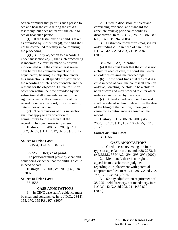screen or mirror that permits such person to see and hear the child during the child's testimony, but does not permit the child to see or hear such person.

(f) If the testimony of a child is taken as provided by subsection (d), the child shall not be compelled to testify in court during the proceeding.

(g) (1) Any objection to a recording under subsection  $(d)(2)$  that such proceeding is inadmissible must be made by written motion filed with the court at least seven days before the commencement of the adjudicatory hearing. An objection under this subsection shall specify the portion of the recording which is objectionable and the reasons for the objection. Failure to file an objection within the time provided by this subsection shall constitute waiver of the right to object to the admissibility of the recording unless the court, in its discretion, determines otherwise.

(2) The provisions of this subsection shall not apply to any objection to admissibility for the reason that the recording has been materially altered.

**History:** L. 2006, ch. 200, § 44; L. 2007, ch. 57, § 1; L. 2017, ch. 58, § 3; July 1.

**Source or Prior Law:**

38-1554, 38-1557, 38-1558.

#### **38-2250. Degree of proof.**

The petitioner must prove by clear and convincing evidence that the child is a child in need of care.

**History:** L. 2006, ch. 200, § 45; Jan. 1, 2007.

#### **Source or Prior Law:**

38-1555.

#### **CASE ANNOTATIONS**

1. In CINC case state's evidence must be clear and convincing. In re J.D.C., 284 K. 155, 170, 159 P.3d 974 (2007).

2. Cited in discussion of "clear and convincing evidence" and standard for appellate review; prior court holdings disapproved. In re B.D.-Y., 286 K. 686, 687, 690, 187 P.3d 594 (2008).

3. District court overturns magistrate's order finding child in need of care. In re L.C.W., 42 K.A.2d 293, 211 P.3d 829 (2009).

#### **38-2251. Adjudication.**

(a) If the court finds that the child is not a child in need of care, the court shall enter an order dismissing the proceedings.

(b) If the court finds that the child is a child in need of care, the court shall enter an order adjudicating the child to be a child in need of care and may proceed to enter other orders as authorized by this code.

(c) A final adjudication or dismissal shall be entered within 60 days from the date of the filing of the petition, unless good cause for a continuance is shown on the record.

**History:** L. 2006, ch. 200, § 46; L. 2008, ch. 169, § 11; L. 2010, ch. 75, § 11; July 1.

# **Source or Prior Law:**

38-1556.

# **CASE ANNOTATIONS**

1. Cited in case reviewing the four types of appealable orders under 38-2273. In re D.M.M., 38 K.A.2d 394, 398, 399 (2007).

2. Mentioned, there is no right to appeal from district court judgment regarding SRS placement with potential adoptive families. In re A.F., 38 K.A.2d 742, 745, 172 P.3d 63 (2007).

3. 60-day adjudication requirement of 38-2251 held directory, not mandatory. In re L.C.W., 42 K.A.2d 293, 211 P.3d 829 (2009).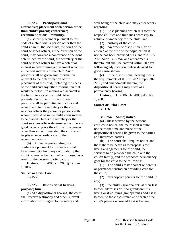# **38-2252. Predispositional alternative; placement with person other than child's parent; conference; recommendations; immunity.**

(a) Before placement pursuant to this code of a child with a person other than the child's parent, the secretary, the court or the court services officer, at the direction of the court, may convene a conference of persons determined by the court, the secretary or the court services officer to have a potential interest in determining a placement which is in the best interests of the child. Such persons shall be given any information relevant to the determination of the placement of the child, including the needs of the child and any other information that would be helpful in making a placement in the best interests of the child. After presentation of the information, such persons shall be permitted to discuss and recommend to the secretary or the court services officer the person or persons with whom it would be in the child's best interest to be placed. Unless the secretary or the court services officer determines that there is good cause to place the child with a person other than as recommended, the child shall be placed in accordance with the recommendations.

(b) A person participating in a conference pursuant to this section shall have immunity from any civil liability that might otherwise be incurred or imposed as a result of the person's participation.

**History:** L. 2006, ch. 200, § 47; Jan. 1, 2007.

# **Source or Prior Law:**

38-1559.

# **38-2253. Dispositional hearing; purpose; time.**

(a) At a dispositional hearing, the court shall receive testimony and other relevant information with regard to the safety and

well being of the child and may enter orders regarding:

(1) Case planning which sets forth the responsibilities and timelines necessary to achieve permanency for the child; and

(2) custody of the child.

(b) An order of disposition may be entered at the time of the adjudication if notice has been provided pursuant to K.S.A. 2020 Supp. 38-2254, and amendments thereto, but shall be entered within 30 days following adjudication, unless delayed for good cause shown.

(c) If the dispositional hearing meets the requirements of K.S.A. 2020 Supp. 38- 2265, and amendments thereto, the dispositional hearing may serve as a permanency hearing.

**History:** L. 2006, ch. 200, § 48; Jan. 1, 2007.

# **Source or Prior Law:**

38-1561.

# **38-2254. Same; notice.**

(a) Unless waived by the persons entitled to notice, the court shall require notice of the time and place of the dispositional hearing be given to the parties and interested parties.

(b) The court shall require notice and the right to be heard as to proposals for living arrangements for the child, the services to be provided the child and the child's family, and the proposed permanency goal for the child to the following:

(1) The child's foster parent or parents or permanent custodian providing care for the child;

(2) preadoptive parents for the child, if any;

(3) the child's grandparents at their last known addresses or if no grandparent is living or if no living grandparent's address is known, to the closest relative of each of the child's parents whose address is known;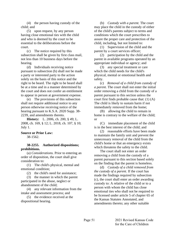(4) the person having custody of the child; and

(5) upon request, by any person having close emotional ties with the child and who is deemed by the court to be essential to the deliberations before the court.

(c) The notice required by this subsection shall be given by first class mail, not less than 10 business days before the hearing.

(d) Individuals receiving notice pursuant to subsection (b) shall not be made a party or interested party to the action solely on the basis of this notice and the right to be heard. The right to be heard shall be at a time and in a manner determined by the court and does not confer an entitlement to appear in person at government expense.

(e) The provisions of this subsection shall not require additional notice to any person otherwise receiving notice of the hearing pursuant to K.S.A. 2020 Supp. 38- 2239, and amendments thereto.

**History:** L. 2006, ch. 200, § 49; L. 2008, ch. 169, § 12; L. 2018, ch. 107, § 10; July 1.

# **Source or Prior Law:**

38-1562.

**38-2255. Authorized dispositions; prohibitions.**

(a) *Considerations.* Prior to entering an order of disposition, the court shall give consideration to:

(1) The child's physical, mental and emotional condition;

(2) the child's need for assistance;

(3) the manner in which the parent participated in the abuse, neglect or abandonment of the child;

(4) any relevant information from the intake and assessment process; and

(5) the evidence received at the dispositional hearing.

(b) *Custody with a parent.* The court may place the child in the custody of either of the child's parents subject to terms and conditions which the court prescribes to assure the proper care and protection of the child, including, but not limited to:

(1) Supervision of the child and the parent by a court services officer;

(2) participation by the child and the parent in available programs operated by an appropriate individual or agency; and

(3) any special treatment or care which the child needs for the child's physical, mental or emotional health and safety.

(c) *Removal of a child from custody of a parent.* The court shall not enter the initial order removing a child from the custody of a parent pursuant to this section unless the court first finds probable cause that: (1) (A) The child is likely to sustain harm if not immediately removed from the home;

(B) allowing the child to remain in home is contrary to the welfare of the child; or

(C) immediate placement of the child is in the best interest of the child; and

(2) reasonable efforts have been made to maintain the family unit and prevent the unnecessary removal of the child from the child's home or that an emergency exists which threatens the safety to the child.

The court shall not enter an order removing a child from the custody of a parent pursuant to this section based solely on the finding that the parent is homeless.

(d) *Custody of a child removed from the custody of a parent.* If the court has made the findings required by subsection (c), the court shall enter an order awarding custody to: A relative of the child or to a person with whom the child has close emotional ties who shall not be required to be licensed under article 5 of chapter 65 of the Kansas Statutes Annotated, and amendments thereto; any other suitable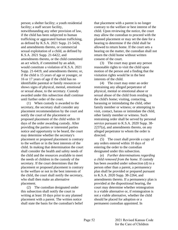person; a shelter facility; a youth residential facility; a staff secure facility, notwithstanding any other provision of law, if the child has been subjected to human trafficking or aggravated human trafficking, as defined by K.S.A. 2021 Supp. 21-5426, and amendments thereto, or commercial sexual exploitation of a child, as defined by K.S.A. 2021 Supp. 21-6422, and amendments thereto, or the child committed an act which, if committed by an adult, would constitute a violation of K.S.A. 2021 Supp. 21-6419, and amendments thereto; or, if the child is 15 years of age or younger, or 16 or 17 years of age if the child has no identifiable parental or family resources or shows signs of physical, mental, emotional or sexual abuse, to the secretary. Custody awarded under this subsection shall continue until further order of the court.

(1) When custody is awarded to the secretary, the secretary shall consider any placement recommendation by the court and notify the court of the placement or proposed placement of the child within 10 days of the order awarding custody. After providing the parties or interested parties notice and opportunity to be heard, the court may determine whether the secretary's placement or proposed placement is contrary to the welfare or in the best interests of the child. In making that determination the court shall consider the health and safety needs of the child and the resources available to meet the needs of children in the custody of the secretary. If the court determines that the placement or proposed placement is contrary to the welfare or not in the best interests of the child, the court shall notify the secretary, who shall then make an alternative placement.

(2) The custodian designated under this subsection shall notify the court in writing at least 10 days prior to any planned placement with a parent. The written notice shall state the basis for the custodian's belief that placement with a parent is no longer contrary to the welfare or best interest of the child. Upon reviewing the notice, the court may allow the custodian to proceed with the planned placement or may set the date for a hearing to determine if the child shall be allowed to return home. If the court sets a hearing on the matter, the custodian shall not return the child home without written consent of the court.

(3) The court may grant any person reasonable rights to visit the child upon motion of the person and a finding that the visitation rights would be in the best interests of the child.

(4) The court may enter an order restraining any alleged perpetrator of physical, mental or emotional abuse or sexual abuse of the child from residing in the child's home; visiting, contacting, harassing or intimidating the child, other family member or witness; or attempting to visit, contact, harass or intimidate the child, other family member or witness. Such restraining order shall be served by personal service pursuant to K.S.A. 2020 Supp. 38-  $2237(a)$ , and amendments thereto, on any alleged perpetrator to whom the order is directed.

(5) The court shall provide a copy of any orders entered within 10 days of entering the order to the custodian designated under this subsection.

(e) *Further determinations regarding a child removed from the home.* If custody has been awarded under subsection (d) to a person other than a parent, a permanency plan shall be provided or prepared pursuant to K.S.A. 2020 Supp. 38-2264, and amendments thereto. If a permanency plan is provided at the dispositional hearing, the court may determine whether reintegration is a viable alternative or, if reintegration is not a viable alternative, whether the child should be placed for adoption or a permanent custodian appointed. In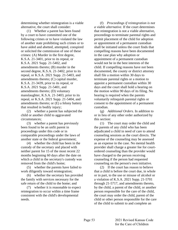determining whether reintegration is a viable alternative, the court shall consider:

(1) Whether a parent has been found by a court to have committed one of the following crimes or to have violated the law of another state prohibiting such crimes or to have aided and abetted, attempted, conspired or solicited the commission of one of these crimes: (A) Murder in the first degree, K.S.A. 21-3401, prior to its repeal, or K.S.A. 2021 Supp. 21-5402, and amendments thereto; (B) murder in the second degree, K.S.A. 21-3402, prior to its repeal, or K.S.A. 2021 Supp. 21-5403, and amendments thereto; (C) capital murder, K.S.A. 21-3439, prior to its repeal, or K.S.A. 2021 Supp. 21-5401, and amendments thereto; (D) voluntary manslaughter, K.S.A. 21-3403, prior to its repeal, or K.S.A. 2021 Supp. 21-5404, and amendments thereto; or (E) a felony battery that resulted in bodily injury;

(2) whether a parent has subjected the child or another child to aggravated circumstances;

(3) whether a parent has previously been found to be an unfit parent in proceedings under this code or in comparable proceedings under the laws of another state or the federal government;

(4) whether the child has been in the custody of the secretary and placed with neither parent for 15 of the most recent 22 months beginning 60 days after the date on which a child in the secretary's custody was removed from the child's home;

(5) whether the parents have failed to work diligently toward reintegration;

(6) whether the secretary has provided the family with services necessary for the safe return of the child to the home; and

(7) whether it is reasonable to expect reintegration to occur within a time frame consistent with the child's developmental needs.

(f) *Proceedings if reintegration is not a viable alternative.* If the court determines that reintegration is not a viable alternative, proceedings to terminate parental rights and permit placement of the child for adoption or appointment of a permanent custodian shall be initiated unless the court finds that compelling reasons have been documented in the case plan why adoption or appointment of a permanent custodian would not be in the best interests of the child. If compelling reasons have not been documented, the county or district attorney shall file a motion within 30 days to terminate parental rights or a motion to appoint a permanent custodian within 30 days and the court shall hold a hearing on the motion within 90 days of its filing. No hearing is required when the parents voluntarily relinquish parental rights or consent to the appointment of a permanent custodian.

(g) *Additional Orders.* In addition to or in lieu of any other order authorized by this section:

(1) The court may order the child and the parents of any child who has been adjudicated a child in need of care to attend counseling sessions as the court directs. The expense of the counseling may be assessed as an expense in the case. No mental health provider shall charge a greater fee for courtordered counseling than the provider would have charged to the person receiving counseling if the person had requested counseling on the person's own initiative.

(2) If the court has reason to believe that a child is before the court due, in whole or in part, to the use or misuse of alcohol or a violation of K.S.A. 2021 Supp. 21-5701 through 21-5717, and amendments thereto, by the child, a parent of the child, or another person responsible for the care of the child, the court may order the child, parent of the child or other person responsible for the care of the child to submit to and complete an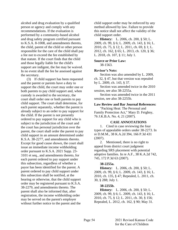alcohol and drug evaluation by a qualified person or agency and comply with any recommendations. If the evaluation is performed by a community-based alcohol and drug safety program certified pursuant to K.S.A. 8-1008, and amendments thereto, the child, parent of the child or other person responsible for the care of the child shall pay a fee not to exceed the fee established by that statute. If the court finds that the child and those legally liable for the child's support are indigent, the fee may be waived. In no event shall the fee be assessed against the secretary.

(3) If child support has been requested and the parent or parents have a duty to support the child, the court may order one or both parents to pay child support and, when custody is awarded to the secretary, the court shall order one or both parents to pay child support. The court shall determine, for each parent separately, whether the parent is already subject to an order to pay support for the child. If the parent is not presently ordered to pay support for any child who is subject to the jurisdiction of the court and the court has personal jurisdiction over the parent, the court shall order the parent to pay child support in an amount determined under K.S.A. 38-2277, and amendments thereto. Except for good cause shown, the court shall issue an immediate income withholding order pursuant to K.S.A. 2021 Supp. 23- 3101 et seq., and amendments thereto, for each parent ordered to pay support under this subsection, regardless of whether a payor has been identified for the parent. A parent ordered to pay child support under this subsection shall be notified, at the hearing or otherwise, that the child support order may be registered pursuant to K.S.A. 38-2279, and amendments thereto. The parent shall also be informed that, after registration, the income withholding order may be served on the parent's employer without further notice to the parent and the

child support order may be enforced by any method allowed by law. Failure to provide this notice shall not affect the validity of the child support order.

**History:** L. 2006, ch. 200, § 50; L. 2009, ch. 99, § 6; L. 2009, ch. 143, § 16; L. 2010, ch. 75, § 12; L. 2011, ch. 69, § 1; L. 2012, ch. 162, § 65; L. 2013, ch. 120, § 36; L. 2018, ch. 107, § 11; July 1.

#### **Source or Prior Law:** 38-1563.

# **Revisor's Note:**

Section was also amended by L. 2009, ch. 32, § 47, but that version was repealed by L. 2009, ch. 143, § 37.

Section was amended twice in the 2010 session, see also 38-2255a.

Section was amended twice in the 2011 session, see also 38-2255b.

**Law Review and Bar Journal References:** "Packing Heat: The Personal and Family Protection Act," Mary D. Feighny, 76 J.K.B.A. No. 4, 21 (2007).

# **CASE ANNOTATIONS**

1. Cited in case reviewing the four types of appealable orders under 38-2273. In re D.M.M., 38 K.A.2d 394, 166 P.3d 431 (2007).

2. Mentioned, there is no right to appeal from district court judgment regarding SRS placement with potential adoptive families. In re A.F., 38 K.A.2d 742, 745, 172 P.3d 63 (2007).

# **38-2255a.**

**History:** L. 2006, ch. 200, § 50; L. 2009, ch. 99, § 6; L. 2009, ch. 143, § 16; L. 2010, ch. 135, § 47; Repealed, L. 2011, ch. 30, § 288; July 1.

# **38-2255b.**

**History:** L. 2006, ch. 200, § 50; L. 2009, ch. 99, § 6; L. 2009, ch. 143, § 16; L. 2010, ch. 75, § 12; L. 2011, ch. 30, § 156; Repealed, L. 2012, ch. 162, § 90; May 31.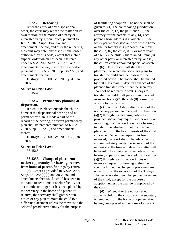## **38-2256. Rehearing.**

After the entry of any dispositional order, the court may rehear the matter on its own motion or the motion of a party or interested party. Upon notice, pursuant to K.S.A. 2020 Supp. 38-2254, and amendments thereto, and after the rehearing, the court may enter any dispositional order authorized by this code, except that a child support order which has been registered under K.S.A. 2020 Supp. 38-2279, and amendments thereto, may only be modified pursuant to K.S.A. 2020 Supp. 38-2279, and amendments thereto.

**History:** L. 2006, ch. 200, § 51; Jan. 1, 2007.

# **Source or Prior Law:**

38-1564.

**38-2257. Permanency planning at disposition.**

If a child is placed outside the child's home at the dispositional hearing and no permanency plan is made a part of the record of the hearing, a written permanency plan shall be prepared pursuant to K.S.A. 2020 Supp. 38-2263, and amendments thereto.

**History:** L. 2006, ch. 200, § 52; Jan. 1, 2007.

**Source or Prior Law:**

38-1565.

# **38-2258. Change of placement; notice; opportunity for hearing; removal from home of parent, findings by court.**

(a) Except as provided in K.S.A. 2020 Supp. 38-2255(d)(2) and 38-2259, and amendments thereto, if a child has been in the same foster home or shelter facility for six months or longer, or has been placed by the secretary in the home of a parent or relative, the secretary shall give written notice of any plan to move the child to a different placement unless the move is to the selected preadoptive family for the purpose

of facilitating adoption. The notice shall be given to: (1) The court having jurisdiction over the child; (2) the petitioner; (3) the attorney for the parents, if any; (4) each parent whose address is available; (5) the foster parent or custodian from whose home or shelter facility it is proposed to remove the child; (6) the child, if 12 or more years of age; (7) the child's guardian ad litem; (8) any other party or interested party; and (9) the child's court appointed special advocate.

(b) The notice shall state the placement to which the secretary plans to transfer the child and the reason for the proposed action. The notice shall be mailed by first class mail 30 days in advance of the planned transfer, except that the secretary shall not be required to wait 30 days to transfer the child if all persons enumerated in subsection (a)(2) through (8) consent in writing to the transfer.

(c) Within 14 days after receipt of the notice, any person enumerated in subsection  $(a)(2)$  through  $(8)$  receiving notice as provided above may request, either orally or in writing, that the court conduct a hearing to determine whether or not the change in placement is in the best interests of the child concerned. When the request has been received, the court shall schedule a hearing and immediately notify the secretary of the request and the time and date the matter will be heard. The court shall give notice of the hearing to persons enumerated in subsection  $(a)(2)$  through  $(9)$ . If the court does not receive a request for hearing within the specified time, the change in placement may occur prior to the expiration of the 30 days. The secretary shall not change the placement of the child, except for the purpose of adoption, unless the change is approved by the court.

(d) When, after the notice set out above, a child in the custody of the secretary is removed from the home of a parent after having been placed in the home of a parent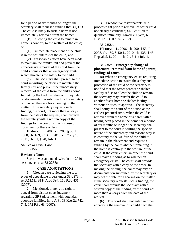for a period of six months or longer, the secretary shall request a finding that: (1) (A) The child is likely to sustain harm if not immediately removed from the home;

(B) allowing the child to remain in home is contrary to the welfare of the child; or

(C) immediate placement of the child is in the best interest of the child; and

(2) reasonable efforts have been made to maintain the family unit and prevent the unnecessary removal of the child from the child's home or that an emergency exists which threatens the safety to the child.

(e) The secretary shall present to the court in writing the efforts to maintain the family unit and prevent the unnecessary removal of the child from the child's home. In making the findings, the court may rely on documentation submitted by the secretary or may set the date for a hearing on the matter. If the secretary requests such finding, the court, not more than 45 days from the date of the request, shall provide the secretary with a written copy of the findings by the court for the purpose of documenting these orders.

**History:** L. 2006, ch. 200, § 53; L. 2008, ch. 169, § 13; L. 2010, ch. 75, § 13; L. 2011, ch. 91, § 20; July 1.

#### **Source or Prior Law:**

38-1566.

#### **Revisor's Note:**

Section was amended twice in the 2010 session, see also 38-2258a.

#### **CASE ANNOTATIONS**

1. Cited in case reviewing the four types of appealable orders under 38-2273. In re D.M.M., 38 K.A.2d 394, 166 P.3d 431 (2007).

2. Mentioned, there is no right to appeal from district court judgment regarding SRS placement with potential adoptive families. In re A.F., 38 K.A.2d 742, 745, 172 P.3d 63 (2007).

3. Preadoptive foster parents' due process right prior to removal of foster child not clearly established; SRS entitled to qualified immunity. Elwell v. Byers, 699 F.3d  $1208$  ( $10^{th}$  Cir. 2012).

## **38-2258a.**

**History:** L. 2006, ch. 200, § 53; L. 2008, ch. 169, § 13; L. 2010, ch. 135, § 48; Repealed, L. 2011, ch. 91, § 41; July 1.

# **38-2259. Emergency change of placement; removal from home of parent, findings of court.**

(a) When an emergency exists requiring immediate action to assure the safety and protection of the child or the secretary is notified that the foster parents or shelter facility refuse to allow the child to remain, the secretary may transfer the child to another foster home or shelter facility without prior court approval. The secretary shall notify the court of the action at the earliest practical time. When the child is removed from the home of a parent after having been placed in the home for a period of six months or longer, the secretary shall present to the court in writing the specific nature of the emergency and reasons why it is contrary to the welfare of the child to remain in the placement and request a finding by the court whether remaining in the home is contrary to the welfare of the child. If the court enters an order the court shall make a finding as to whether an emergency exists. The court shall provide the secretary with a copy of the order. In making the finding, the court may rely on documentation submitted by the secretary or may set the date for a hearing on the matter. If the secretary requests such a finding, the court shall provide the secretary with a written copy of the finding by the court not more than 45 days from the date of the request.

(b) The court shall not enter an order approving the removal of a child from the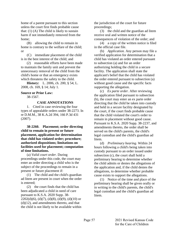home of a parent pursuant to this section unless the court first finds probable cause that: (1) (A) The child is likely to sustain harm if not immediately removed from the home;

(B) allowing the child to remain in home is contrary to the welfare of the child; or

(C) immediate placement of the child is in the best interest of the child; and

(2) reasonable efforts have been made to maintain the family unit and prevent the unnecessary removal of the child from the child's home or that an emergency exists which threatens the safety to the child.

**History:** L. 2006, ch. 200, § 54; L. 2008, ch. 169, § 14; July 1.

# **Source or Prior Law:**

38-1567.

## **CASE ANNOTATIONS**

1. Cited in case reviewing the four types of appealable orders under 38-2273. In re D.M.M., 38 K.A.2d 394, 166 P.3d 431 (2007).

**38-2260. Placement; order directing child to remain in present or future placement, application for determination that child has violated order; procedure; authorized dispositions; limitations on facilities used for placement; computation of time limitations.**

(a) *Valid court order.* During proceedings under this code, the court may enter an order directing a child who is the subject of the proceedings to remain in a present or future placement if:

(1) The child and the child's guardian ad litem are present in court when the order is entered;

(2) the court finds that the child has been adjudicated a child in need of care pursuant to K.S.A. 2020 Supp. 38-  $2202(d)(6)$ , (d)(7), (d)(8), (d)(9), (d)(10) or  $(d)(12)$ , and amendments thereto, and that the child is not likely to be available within the jurisdiction of the court for future proceedings;

(3) the child and the guardian ad litem receive oral and written notice of the consequences of violation of the order; and

(4) a copy of the written notice is filed in the official case file.

(b) *Application.* Any person may file a verified application for determination that a child has violated an order entered pursuant to subsection (a) and for an order authorizing holding the child in a secure facility. The application shall state the applicant's belief that the child has violated the order entered pursuant to subsection (a) without good cause and the specific facts supporting the allegation.

(c) *Ex parte order.* After reviewing the application filed pursuant to subsection (b), the court may enter an ex parte order directing that the child be taken into custody and held in a secure facility designated by the court, if the court finds probable cause that the child violated the court's order to remain in placement without good cause. Pursuant to K.S.A. 2020 Supp. 38-2237, and amendments thereto, the order shall be served on the child's parents, the child's legal custodian and the child's guardian ad litem.

(d) *Preliminary hearing.* Within 24 hours following a child's being taken into custody pursuant to an order issued under subsection (c), the court shall hold a preliminary hearing to determine whether the child admits or denies the allegations of the application and, if the child denies the allegations, to determine whether probable cause exists to support the allegations.

(1) Notice of the time and place of the preliminary hearing shall be given orally or in writing to the child's parents, the child's legal custodian and the child's guardian ad litem.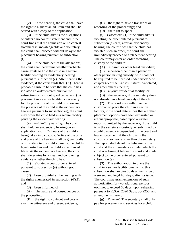(2) At the hearing, the child shall have the right to a guardian ad litem and shall be served with a copy of the application.

(3) If the child admits the allegations or enters a no contest statement and if the court finds that the admission or no contest statement is knowledgeable and voluntary, the court shall proceed without delay to the placement hearing pursuant to subsection (f).

(4) If the child denies the allegations, the court shall determine whether probable cause exists to hold the child in a secure facility pending an evidentiary hearing pursuant to subsection (e). After hearing the evidence, if the court finds that: (A) There is probable cause to believe that the child has violated an order entered pursuant to subsection (a) without good cause; and (B) placement in a secure facility is necessary for the protection of the child or to assure the presence of the child at the evidentiary hearing pursuant to subsection (e), the court may order the child held in a secure facility pending the evidentiary hearing.

(e) *Evidentiary hearing.* The court shall hold an evidentiary hearing on an application within 72 hours of the child's being taken into custody. Notice of the time and place of the hearing shall be given orally or in writing to the child's parents, the child's legal custodian and the child's guardian ad litem. At the evidentiary hearing, the court shall determine by a clear and convincing evidence whether the child has:

(1) Violated a court order entered pursuant to subsection (a) without good cause;

(2) been provided at the hearing with the rights enumerated in subsection  $(d)(2)$ ; and

(3) been informed of:

(A) The nature and consequences of the proceeding;

(B) the right to confront and crossexamine witnesses and present evidence;

(C) the right to have a transcript or recording of the proceedings; and

(D) the right to appeal.

(f) *Placement.* (1) If the child admits violating the order entered pursuant to subsection (a) or if, after an evidentiary hearing, the court finds that the child has violated such an order, the court shall immediately proceed to a placement hearing. The court may enter an order awarding custody of the child to:

(A) A parent or other legal custodian;

(B) a person other than a parent or other person having custody, who shall not be required to be licensed under article 5 of chapter 65 of the Kansas Statutes Annotated, and amendments thereto;

(C) a youth residential facility; or

(D) the secretary, if the secretary does not already have legal custody of the child.

(2) The court may authorize the custodian to place the child in a secure facility, if the court determines that all other placement options have been exhausted or are inappropriate, based upon a written report submitted by the secretary, if the child is in the secretary's custody, or submitted by a public agency independent of the court and law enforcement, if the child is in the custody of someone other than the secretary. The report shall detail the behavior of the child and the circumstances under which the child was brought before the court and made subject to the order entered pursuant to subsection (a).

(3) The authorization to place the child in a secure facility pursuant to this subsection shall expire 60 days, inclusive of weekend and legal holidays, after its issue. The court may grant extensions of such authorization for two additional periods, each not to exceed 60 days, upon rehearing pursuant to K.S.A. 2020 Supp. 38-2256, and amendments thereto.

(g) *Payment.* The secretary shall only pay for placement and services for a child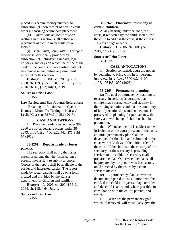placed in a secure facility pursuant to subsection (f) upon receipt of a valid court order authorizing secure care placement.

(h) *Limitations on facilities used.* Nothing in this section shall authorize placement of a child in an adult jail or lockup.

(i) *Time limits, computation.* Except as otherwise specifically provided by subsection (f), Saturdays, Sundays, legal holidays, and days on which the office of the clerk of the court is not accessible shall not be counted in computing any time limit imposed by this section.

**History:** L. 2006, ch. 200, § 55; L. 2008, ch. 169, § 15; L. 2010, ch. 11, § 7; L. 2016, ch. 46, § 27; July 1, 2019.

# **Source or Prior Law:**

38-1568.

### **Law Review and Bar Journal References:**

"Breaking the Victimization Cycle: Domestic Minor Trafficking in Kansas," Leslie Klaassen, 52 W.L.J. 581 (2013).

#### **CASE ANNOTATIONS**

1. Placement orders issued under 38- 2260 are not appealable orders under 38- 2273. In re C.E., 47 K.A.2d 442, 275 P.3d 67 (2012).

### **38-2261. Reports made by foster parents.**

The secretary shall notify the foster parent or parents that the foster parent or parents have a right to submit a report. Copies of the report shall be available to the parties and interested parties. The report made by foster parents shall be on a form created and provided by the Kansas department for children and families.

**History:** L. 2006, ch. 200, § 56; L. 2014, ch. 115, § 64; July 1.

#### **Source or Prior Law:**

38-1569.

## **38-2262. Placement; testimony of certain children.**

At any hearing under the code, the court, if requested by the child, shall allow the child to address the court, if the child is 10 years of age or older.

**History:** L. 2006, ch. 200, § 57; L. 2011, ch. 24, § 5; July 1.

## **Source or Prior Law:** 38-1570.

## **CASE ANNOTATIONS**

1. Section construed; court did not err by declining to bring child in for personal interview. In re A.A., 38 K.A.2d 1100, 1107, 176 P.3d 237 (2008).

#### **38-2263. Permanency planning.**

(a) The goal of permanency planning is to assure, in so far as is possible, that children have permanency and stability in their living situations and that the continuity of family relationships and connections is preserved. In planning for permanency, the safety and well being of children shall be paramount.

(b) Whenever a child is subject to the jurisdiction of the court pursuant to the code, an initial permanency plan shall be developed for the child and submitted to the court within 30 days of the initial order of the court. If the child is in the custody of the secretary, or the secretary is providing services to the child, the secretary shall prepare the plan. Otherwise, the plan shall be prepared by the person who has custody or, if directed by the court, by a court services officer.

(c) A permanency plan is a written document prepared in consultation with the child, if the child is 14 years of age or older and the child is able, and, where possible, in consultation with the child's parents, and which:

(1) Describes the permanency goal which, if achieved, will most likely give the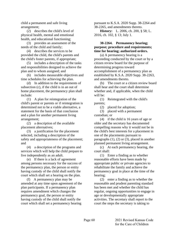child a permanent and safe living arrangement;

(2) describes the child's level of physical health, mental and emotional health, and educational functioning;

(3) provides an assessment of the needs of the child and family;

(4) describes the services to be provided the child, the child's parents and the child's foster parents, if appropriate;

(5) includes a description of the tasks and responsibilities designed to achieve the plan and to whom assigned; and

(6) includes measurable objectives and time schedules for achieving the plan.

(d) In addition to the requirements of subsection (c), if the child is in an out of home placement, the permanency plan shall include:

(1) A plan for reintegration of the child's parent or parents or if reintegration is determined not to be a viable alternative, a statement for the basis of that conclusion and a plan for another permanent living arrangement;

(2) a description of the available placement alternatives;

(3) a justification for the placement selected, including a description of the safety and appropriateness of the placement; and

(4) a description of the programs and services which will help the child prepare to live independently as an adult.

(e) If there is a lack of agreement among persons necessary for the success of the permanency plan, the person or entity having custody of the child shall notify the court which shall set a hearing on the plan.

(f) A permanency plan may be amended at any time upon agreement of the plan participants. If a permanency plan requires amendment which changes the permanency goal, the person or entity having custody of the child shall notify the court which shall set a permanency hearing

pursuant to K.S.A. 2020 Supp. 38-2264 and 38-2265, and amendments thereto.

**History:** L. 2006, ch. 200, § 58; L. 2016, ch. 102, § 13; July 1.

# **38-2264. Permanency hearing; purpose; procedure and requirements; time for hearing; authorized orders.**

(a) A permanency hearing is a proceeding conducted by the court or by a citizen review board for the purpose of determining progress toward accomplishment of a permanency plan as established by K.S.A. 2020 Supp. 38-2263, and amendments thereto.

(b) The court or a citizen review board shall hear and the court shall determine whether and, if applicable, when the child will be:

(1) Reintegrated with the child's parents;

(2) placed for adoption;

(3) placed with a permanent custodian; or

(4) if the child is 16 years of age or older and the secretary has documented compelling reasons why it would not be in the child's best interests for a placement in one of the placements pursuant to paragraphs  $(1)$ ,  $(2)$  or  $(3)$ , placed in another planned permanent living arrangement.

(c) At each permanency hearing, the court shall:

(1) Enter a finding as to whether reasonable efforts have been made by appropriate public or private agencies to rehabilitate the family and achieve the permanency goal in place at the time of the hearing;

(2) enter a finding as to whether the reasonable and prudent parenting standard has been met and whether the child has regular, ongoing opportunities to engage in age or developmentally appropriate activities. The secretary shall report to the court the steps the secretary is taking to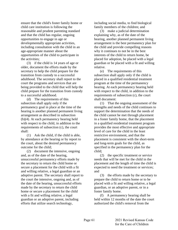ensure that the child's foster family home or child care institution is following the reasonable and prudent parenting standard and that the child has regular, ongoing opportunities to engage in age or developmentally appropriate activities, including consultation with the child in an age-appropriate manner about the opportunities of the child to participate in the activities;

(3) if the child is 14 years of age or older, document the efforts made by the secretary to help the child prepare for the transition from custody to a successful adulthood. The secretary shall report to the court the programs and services that are being provided to the child that will help the child prepare for the transition from custody to a successful adulthood.

(d) The requirements of this subsection shall apply only if the permanency goal in place at the time of the hearing is another planned permanent living arrangement as described in subsection (b)(4). At each permanency hearing held with respect to the child, in addition to the requirements of subsection (c), the court shall:

(1) Ask the child, if the child is able, by attendance at the hearing or by report to the court, about the desired permanency outcome for the child;

(2) document the intensive, ongoing and, as of the date of the hearing, unsuccessful permanency efforts made by the secretary to return the child home or secure a placement for the child with a fit and willing relative, a legal guardian or an adoptive parent. The secretary shall report to the court the intensive, ongoing and, as of the date of the hearing, unsuccessful efforts made by the secretary to return the child home or secure a placement for the child with a fit and willing relative, a legal guardian or an adoptive parent, including efforts that utilize search technology,

including social media, to find biological family members of the children; and

(3) make a judicial determination explaining why, as of the date of the hearing, another planned permanent living arrangement is the best permanency plan for the child and provide compelling reasons why it continues to not be in the best interests of the child to return home, be placed for adoption, be placed with a legal guardian or be placed with a fit and willing relative.

(e) The requirements of this subsection shall apply only if the child is placed in a qualified residential treatment program at the time of the permanency hearing. At each permanency hearing held with respect to the child, in addition to the requirements of subsection (c), the court shall document:

(1) That the ongoing assessment of the strengths and needs of the child continues to support the determination that the needs of the child cannot be met through placement in a foster family home, that the placement in a qualified residential treatment program provides the most effective and appropriate level of care for the child in the least restrictive environment, and that the placement is consistent with the short-term and long-term goals for the child, as specified in the permanency plan for the child;

(2) the specific treatment or service needs that will be met for the child in the placement and the length of time the child is expected to need the treatment or services; and

(3) the efforts made by the secretary to prepare the child to return home or to be placed with a fit and willing relative, a legal guardian, or an adoptive parent, or in a foster family home.

(f) A permanency hearing shall be held within 12 months of the date the court authorized the child's removal from the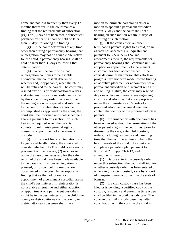home and not less frequently than every 12 months thereafter. If the court makes a finding that the requirements of subsection  $(c)(1)$  or  $(2)$  have not been met, a subsequent permanency hearing shall be held no later than 60 days following the finding.

(g) If the court determines at any time other than during a permanency hearing that reintegration may not be a viable alternative for the child, a permanency hearing shall be held no later than 30 days following that determination.

(h) When the court finds that reintegration continues to be a viable alternative, the court shall determine whether and, if applicable, when the child will be returned to the parent. The court may rescind any of its prior dispositional orders and enter any dispositional order authorized by this code or may order that a new plan for the reintegration be prepared and submitted to the court. If reintegration cannot be accomplished as approved by the court, the court shall be informed and shall schedule a hearing pursuant to this section. No such hearing is required when the parents voluntarily relinquish parental rights or consent to appointment of a permanent custodian.

(i) If the court finds reintegration is no longer a viable alternative, the court shall consider whether: (1) The child is in a stable placement with a relative; (2) services set out in the case plan necessary for the safe return of the child have been made available to the parent with whom reintegration is planned; or (3) compelling reasons are documented in the case plan to support a finding that neither adoption nor appointment of a permanent custodian are in the child's best interest. If reintegration is not a viable alternative and either adoption or appointment of a permanent custodian might be in the best interests of the child, the county or district attorney or the county or district attorney's designee shall file a

motion to terminate parental rights or a motion to appoint a permanent custodian within 30 days and the court shall set a hearing on such motion within 90 days of the filing of such motion.

(j) If the court enters an order terminating parental rights to a child, or an agency has accepted a relinquishment pursuant to K.S.A. 59-2124, and amendments thereto, the requirements for permanency hearings shall continue until an adoption or appointment of a permanent custodian has been accomplished. If the court determines that reasonable efforts or progress have not been made toward finding an adoptive placement or appointment of a permanent custodian or placement with a fit and willing relative, the court may rescind its prior orders and make others regarding custody and adoption that are appropriate under the circumstances. Reports of a proposed adoptive placement need not contain the identity of the proposed adoptive parents.

(k) If permanency with one parent has been achieved without the termination of the other parent's rights, the court may, prior to dismissing the case, enter child custody orders, including residency and parenting time that the court determines to be in the best interests of the child. The court shall complete a parenting plan pursuant to K.S.A. 2021 Supp. 23-3213, and amendments thereto.

(1) Before entering a custody order under this subsection, the court shall inquire whether a custody order has been entered or is pending in a civil custody case by a court of competent jurisdiction within the state of Kansas.

(2) If a civil custody case has been filed or is pending, a certified copy of the custody, residency and parenting time orders shall be filed in the civil custody case. The court in the civil custody case may, after consultation with the court in the child in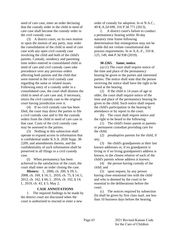need of care case, enter an order declaring that the custody order in the child in need of care case shall become the custody order in the civil custody case.

(3) A district court, on its own motion or upon the motion of any party, may order the consolidation of the child in need of care case with any open civil custody case involving the child and both of the child's parents. Custody, residency and parenting time orders entered in consolidated child in need of care and civil custody cases take precedence over any previous orders affecting both parents and the child that were entered in the civil custody case regarding the same or related issues. Following entry of a custody order in a consolidated case, the court shall dismiss the child in need of care case and, if necessary, return the civil custody case to the original court having jurisdiction over it.

(4) If no civil custody case has been filed, the court may direct the parties to file a civil custody case and to file the custody orders from the child in need of care case in that case. Costs of the civil custody case may be assessed to the parties.

(5) Nothing in this subsection shall operate to expand access to information that is confidential under K.S.A. 2020 Supp. 38- 2209, and amendments thereto, and the confidentiality of such information shall be preserved in all filings in a civil custody case.

(l) When permanency has been achieved to the satisfaction of the court, the court shall enter an order closing the case.

**History:** L. 2006, ch. 200, § 59; L. 2008, ch. 169, § 16; L. 2010, ch. 75, § 14; L. 2012, ch. 162, § 66; L. 2016, ch. 102, § 14; L. 2019, ch. 43, § 5; May 2.

#### **CASE ANNOTATIONS**

1. The required findings to be made by the district court are discussed when the court is authorized to rescind or enter a new

order of custody for adoption. In re N.A.C., 49 K.A.2d 699, 316 P.3d 771 (2013).

2. A district court's failure to conduct a permanency hearing within 30-day statutory time frame following determination that reintegration may not be viable did not violate constitutional due process requirements. In re A.A.-F., 310 K. 125, 149, 444 P.3d 938 (2019).

#### **38-2265. Same; notice.**

(a) (1) The court shall require notice of the time and place of the permanency hearing be given to the parties and interested parties. The notice shall state that the person receiving the notice shall have the right to be heard at the hearing.

(2) If the child is 14 years of age or older, the court shall require notice of the time and place of the permanency hearing be given to the child. Such notice shall request the child's participation in the hearing by attendance or by report to the court.

(b) The court shall require notice and the right to be heard to the following:

(1) The child's foster parent or parents or permanent custodian providing care for the child;

(2) preadoptive parents for the child, if any;

(3) the child's grandparents at their last known addresses or, if no grandparent is living or if no living grandparent's address is known, to the closest relative of each of the child's parents whose address is known;

(4) the person having custody of the child; and

(5) upon request, by any person having close emotional ties with the child and who is deemed by the court to be essential to the deliberations before the court.

(c) The notices required by subsection (b) shall be given by first class mail, not less than 10 business days before the hearing.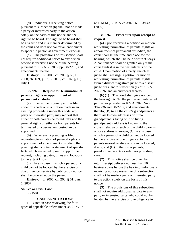(d) Individuals receiving notice pursuant to subsection (b) shall not be made a party or interested party to the action solely on the basis of this notice and the right to be heard. The right to be heard shall be at a time and in a manner determined by the court and does not confer an entitlement to appear in person at government expense.

(e) The provisions of this section shall not require additional notice to any person otherwise receiving notice of the hearing pursuant to K.S.A. 2020 Supp. 38-2239, and amendments thereto.

**History:** L. 2006, ch. 200, § 60; L. 2008, ch. 169, § 17; L. 2016, ch. 102, § 15; July 1.

# **38-2266. Request for termination of parental rights or appointment of permanent custodian.**

(a) Either in the original petition filed under this code or in a motion made in an existing proceeding under this code, any party or interested party may request that either or both parents be found unfit and the parental rights of either or both parents be terminated or a permanent custodian be appointed.

(b) Whenever a pleading is filed requesting termination of parental rights or appointment of a permanent custodian, the pleading shall contain a statement of specific facts which are relied upon to support the request, including dates, times and locations to the extent known.

(c) In any case in which a parent of a child cannot be located by the exercise of due diligence, service by publication notice shall be ordered upon the parent.

**History:** L. 2006, ch. 200, § 61; Jan. 1, 2007.

# **Source or Prior Law:**

38-1581.

# **CASE ANNOTATIONS**

1. Cited in case reviewing the four types of appealable orders under 38-2273. In

re D.M.M., 38 K.A.2d 394, 166 P.3d 431 (2007).

# **38-2267. Procedure upon receipt of request.**

(a) Upon receiving a petition or motion requesting termination of parental rights or appointment of permanent custodian, the court shall set the time and place for the hearing, which shall be held within 90 days. A continuance shall be granted only if the court finds it is in the best interests of the child. Upon motion of a party, the chief judge shall reassign a petition or motion requesting termination of parental rights from a district magistrate judge to a district judge pursuant to subsection (e) of K.S.A. 20-302b, and amendments thereto.

(b) (1) The court shall give notice of the hearing: (A) To the parties and interested parties, as provided in K.S.A. 2020 Supp. 38-2236 and 38-2237, and amendments thereto; (B) to all the child's grandparents at their last known addresses or, if no grandparent is living or if no living grandparent's address is known, to the closest relative of each of the child's parents whose address is known; (C) in any case in which a parent of a child cannot be located by the exercise of due diligence, to the parents nearest relative who can be located, if any; and (D) to the foster parents, preadoptive parents or relatives providing care.

(2) This notice shall be given by return receipt delivery not less than 10 business days before the hearing. Individuals receiving notice pursuant to this subsection shall not be made a party or interested party to the action solely on the basis of this notice.

(3) The provisions of this subsection shall not require additional service to any party or interested party who could not be located by the exercise of due diligence in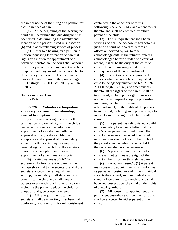the initial notice of the filing of a petition for a child in need of care.

(c) At the beginning of the hearing the court shall determine that due diligence has been used in determining the identity and location of the persons listed in subsection (b) and in accomplishing service of process.

(d) Prior to a hearing on a petition, a motion requesting termination of parental rights or a motion for appointment of a permanent custodian, the court shall appoint an attorney to represent any parent who fails to appear and may award a reasonable fee to the attorney for services. The fee may be assessed as an expense in the proceedings.

**History:** L. 2006, ch. 200, § 62; Jan. 1, 2007.

# **Source or Prior Law:**

38-1582.

# **38-2268. Voluntary relinquishment; voluntary permanent custodianship; consent to adoption.**

(a) Prior to a hearing to consider the termination of parental rights, if the child's permanency plan is either adoption or appointment of a custodian, with the approval of the guardian ad litem and acceptance and approval of the secretary, either or both parents may: Relinquish parental rights to the child to the secretary; consent to an adoption; or consent to appointment of a permanent custodian.

(b) *Relinquishment of child to secretary.* (1) Any parent or parents may relinquish a child to the secretary, and if the secretary accepts the relinquishment in writing, the secretary shall stand in loco parentis to the child and shall have and possess over the child all rights of a parent, including the power to place the child for adoption and give consent thereto.

(2) All relinquishments to the secretary shall be in writing, in substantial conformity with the form for relinquishment contained in the appendix of forms following K.S.A. 59-2143, and amendments thereto, and shall be executed by either parent of the child.

(3) The relinquishment shall be in writing and shall be acknowledged before a judge of a court of record or before an officer authorized by law to take acknowledgments. If the relinquishment is acknowledged before a judge of a court of record, it shall be the duty of the court to advise the relinquishing parent of the consequences of the relinquishment.

(4) Except as otherwise provided, in all cases where a parent has relinquished a child to the agency pursuant to K.S.A. 59- 2111 through 59-2143, and amendments thereto, all the rights of the parent shall be terminated, including the right to receive notice in a subsequent adoption proceeding involving the child. Upon such relinquishment, all the rights of the parents to such child, including such parent's right to inherit from or through such child, shall cease.

(5) If a parent has relinquished a child to the secretary based on a belief that the child's other parent would relinquish the child to the secretary or would be found unfit, and this does not occur, the rights of the parent who has relinquished a child to the secretary shall not be terminated.

(6) A parent's relinquishment of a child shall not terminate the right of the child to inherit from or through the parent.

(c) *Permanent custody.* (1) A parent may consent to appointment of an individual as permanent custodian and if the individual accepts the consent, such individual shall stand in loco parentis to the child and shall have and possess over the child all the rights of a legal guardian.

(2) All consents to appointment of a permanent custodian shall be in writing and shall be executed by either parent of the child.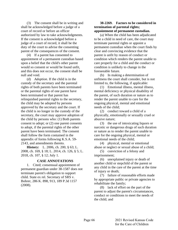(3) The consent shall be in writing and shall be acknowledged before a judge of a court of record or before an officer authorized by law to take acknowledgments. If the consent is acknowledged before a judge of a court of record, it shall be the duty of the court to advise the consenting parent of the consequences of the consent.

(4) If a parent has consented to appointment of a permanent custodian based upon a belief that the child's other parent would so consent or would be found unfit, and this does not occur, the consent shall be null and void.

(d) *Adoption.* If the child is in the custody of the secretary and the parental rights of both parents have been terminated or the parental rights of one parent have been terminated or that parent has relinquished parental rights to the secretary, the child may be adopted by persons approved by the secretary and the court. If the child is no longer in the custody of the secretary, the court may approve adoption of the child by persons who: (1) Both parents consent to adopt; or (2) one parent consents to adopt, if the parental rights of the other parent have been terminated. The consent shall follow the form contained in the appendix of forms following K.S.A. 59- 2143, and amendments thereto.

**History:** L. 2006, ch. 200, § 63; L. 2008, ch. 169, § 18; L. 2014, ch. 126, § 5; L. 2018, ch. 107, § 12; July 1.

#### **CASE ANNOTATIONS**

1. Cited; consensual appointment of permanent guardian under 38-1587 does not terminate parent's obligation to support child. State ex rel. Secretary of SRS v. Bohrer, 286 K. 898, 913, 189 P.3d 1157 (2008).

## **38-2269. Factors to be considered in termination of parental rights; appointment of permanent custodian.**

(a) When the child has been adjudicated to be a child in need of care, the court may terminate parental rights or appoint a permanent custodian when the court finds by clear and convincing evidence that the parent is unfit by reason of conduct or condition which renders the parent unable to care properly for a child and the conduct or condition is unlikely to change in the foreseeable future.

(b) In making a determination of unfitness the court shall consider, but is not limited to, the following, if applicable:

(1) Emotional illness, mental illness, mental deficiency or physical disability of the parent, of such duration or nature as to render the parent unable to care for the ongoing physical, mental and emotional needs of the child;

(2) conduct toward a child of a physically, emotionally or sexually cruel or abusive nature;

(3) the use of intoxicating liquors or narcotic or dangerous drugs of such duration or nature as to render the parent unable to care for the ongoing physical, mental or emotional needs of the child;

(4) physical, mental or emotional abuse or neglect or sexual abuse of a child;

(5) conviction of a felony and imprisonment;

(6) unexplained injury or death of another child or stepchild of the parent or any child in the care of the parent at the time of injury or death;

(7) failure of reasonable efforts made by appropriate public or private agencies to rehabilitate the family;

(8) lack of effort on the part of the parent to adjust the parent's circumstances, conduct or conditions to meet the needs of the child; and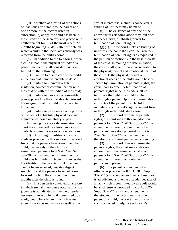(9) whether, as a result of the actions or inactions attributable to the parent and one or more of the factors listed in subsection (c) apply, the child has been in the custody of the secretary and placed with neither parent for 15 of the most recent 22 months beginning 60 days after the date on which a child in the secretary's custody was removed from the child's home.

(c) In addition to the foregoing, when a child is not in the physical custody of a parent, the court, shall consider, but is not limited to, the following:

(1) Failure to assure care of the child in the parental home when able to do so;

(2) failure to maintain regular visitation, contact or communication with the child or with the custodian of the child;

(3) failure to carry out a reasonable plan approved by the court directed toward the integration of the child into a parental home; and

(4) failure to pay a reasonable portion of the cost of substitute physical care and maintenance based on ability to pay.

In making the above determination, the court may disregard incidental visitations, contacts, communications or contributions.

(d) A finding of unfitness may be made as provided in this section if the court finds that the parents have abandoned the child, the custody of the child was surrendered pursuant to K.S.A. 2020 Supp. 38-2282, and amendments thereto, or the child was left under such circumstances that the identity of the parents is unknown and cannot be ascertained, despite diligent searching, and the parents have not come forward to claim the child within three months after the child is found.

(e) If a person is convicted of a felony in which sexual intercourse occurred, or if a juvenile is adjudicated a juvenile offender because of an act which, if committed by an adult, would be a felony in which sexual intercourse occurred, and as a result of the

sexual intercourse, a child is conceived, a finding of unfitness may be made.

(f) The existence of any one of the above factors standing alone may, but does not necessarily, establish grounds for termination of parental rights.

(g) (1) If the court makes a finding of unfitness, the court shall consider whether termination of parental rights as requested in the petition or motion is in the best interests of the child. In making the determination, the court shall give primary consideration to the physical, mental and emotional health of the child. If the physical, mental or emotional needs of the child would best be served by termination of parental rights, the court shall so order. A termination of parental rights under the code shall not terminate the right of a child to inherit from or through a parent. Upon such termination all rights of the parent to such child, including, such parent's right to inherit from or through such child, shall cease.

(2) If the court terminates parental rights, the court may authorize adoption pursuant to K.S.A. 2020 Supp. 38-2270, and amendments thereto, appointment of a permanent custodian pursuant to K.S.A. 2020 Supp. 38-2272, and amendments thereto, or continued permanency planning.

(3) If the court does not terminate parental rights, the court may authorize appointment of a permanent custodian pursuant to K.S.A. 2020 Supp. 38-2272, and amendments thereto, or continued permanency planning.

(h) If a parent is convicted of an offense as provided in K.S.A. 2020 Supp.  $38-2271(a)(7)$ , and amendments thereto, or is adjudicated a juvenile offender because of an act which if committed by an adult would be an offense as provided in K.S.A. 2020 Supp.  $38-2271(a)(7)$ , and amendments thereto, and if the victim was the other parent of a child, the court may disregard such convicted or adjudicated parent's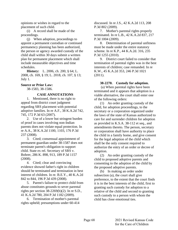opinions or wishes in regard to the placement of such child.

(i) A record shall be made of the proceedings.

(j) When adoption, proceedings to appoint a permanent custodian or continued permanency planning has been authorized, the person or agency awarded custody of the child shall within 30 days submit a written plan for permanent placement which shall include measurable objectives and time schedules.

**History:** L. 2006, ch. 200, § 64; L. 2008, ch. 169, § 19; L. 2018, ch. 107, § 13; July 1.

### **Source or Prior Law:**

38-1583, 38-1586.

# **CASE ANNOTATIONS**

1. Mentioned, there is no right to appeal from district court judgment regarding SRS placement with potential adoptive families. In re A.F., 38 K.A.2d 742, 745, 172 P.3d 63 (2007).

2. Use of a lower but stringent burden of proof in cases involving non-Indian parents does not violate equal protection. In re A.A., 38 K.A.2d 1100, 1103, 176 P.3d 237 (2008).

3. Cited; consensual appointment of permanent guardian under 38-1587 does not terminate parent's obligation to support child. State ex rel. Secretary of SRS v. Bohrer, 286 K. 898, 913, 189 P.3d 1157 (2008).

4. Cited; clear and convincing evidence showed father's right in children should be terminated and termination in best interest of children. In re. B.E.Y., 40 K.A.2d 842 to 844, 196 P.3d 439 (2008).

5. Parent's failure to protect child from abuse constitutes grounds to sever parental rights per section 38-2269(b)(2). In re S.D., 41 K.A.2d 780, 204 P.3d 1182 (2009).

6. Termination of mother's parental rights upheld; presumptions under 60-414 discussed. In re J.S., 42 K.A.2d 113, 208 P.3d 802 (2009).

7. Mother's parental rights properly terminated. In re L.B., 42 K.A.2d 837, 217 P.3d 1004 (2009).

8. Determination of parental unfitness must be made under the entire statutory scheme. In re K.P., 44 K.A.2d. 316, 235 P.3d 1255 (2010).

9. District court failed to consider that termination of parental rights was in the best interests of children; case remanded. In re K.W., 45 K.A.2d 353, 246 P.3d 1021 (2011).

# **38-2270. Custody for adoption.**

(a) When parental rights have been terminated and it appears that adoption is a viable alternative, the court shall enter one of the following orders:

(1) An order granting custody of the child, for adoption proceedings, to the secretary or a corporation organized under the laws of the state of Kansas authorized to care for and surrender children for adoption as provided in K.S.A. 38-112 et seq., and amendments thereto. The person, secretary or corporation shall have authority to place the child in a family home, and give consent for the legal adoption of the child which shall be the only consent required to authorize the entry of an order or decree of adoption.

(2) An order granting custody of the child to proposed adoptive parents and consenting to the adoption of the child by the proposed adoptive parents.

(b) In making an order under subsection (a), the court shall give preference, to the extent that the court finds it is in the best interests of the child, first to granting such custody for adoption to a relative of the child and second to granting such custody to a person with whom the child has close emotional ties.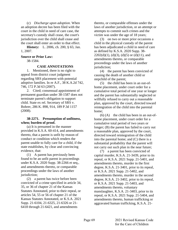(c) *Discharge upon adoption.* When an adoption decree has been filed with the court in the child in need of care case, the secretary's custody shall cease, the court's jurisdiction over the child shall cease and the court shall enter an order to that effect.

**History:** L. 2006, ch. 200, § 65; Jan. 1, 2007.

#### **Source or Prior Law:**

38-1584.

#### **CASE ANNOTATIONS**

1. Mentioned, there is no right to appeal from district court judgment regarding SRS placement with potential adoptive families. In re A.F., 38 K.A.2d 742, 746, 172 P.3d 63 (2007).

2. Cited; consensual appointment of permanent guardian under 38-1587 does not terminate parent's obligation to support child. State ex rel. Secretary of SRS v. Bohrer, 286 K. 898, 914, 189 P.3d 1157 (2008).

### **38-2271. Presumption of unfitness, when; burden of proof.**

(a) It is presumed in the manner provided in K.S.A. 60-414, and amendments thereto, that a parent is unfit by reason of conduct or condition which renders the parent unable to fully care for a child, if the state establishes, by clear and convincing evidence, that:

(1) A parent has previously been found to be an unfit parent in proceedings under K.S.A. 2020 Supp. 38-2266 et seq., and amendments thereto, or comparable proceedings under the laws of another jurisdiction:

(2) a parent has twice before been convicted of a crime specified in article 34, 35, or 36 of chapter 21 of the Kansas Statutes Annotated, prior to their repeal, or articles 54, 55 or 56 of chapter 21 of the Kansas Statutes Annotated, or K.S.A. 2021 Supp. 21-6104, 21-6325, 21-6326 or 21- 6418 through 21-6421, and amendments

thereto, or comparable offenses under the laws of another jurisdiction, or an attempt or attempts to commit such crimes and the victim was under the age of 18 years;

(3) on two or more prior occasions a child in the physical custody of the parent has been adjudicated a child in need of care as defined by K.S.A. 2020 Supp. 38-  $2202(d)(1)$ , (d)(3), (d)(5) or (d)(11), and amendments thereto, or comparable proceedings under the laws of another jurisdiction;

(4) the parent has been convicted of causing the death of another child or stepchild of the parent;

(5) the child has been in an out-ofhome placement, under court order for a cumulative total period of one year or longer and the parent has substantially neglected or willfully refused to carry out a reasonable plan, approved by the court, directed toward reintegration of the child into the parental home;

 $(6)$  (A) the child has been in an out-ofhome placement, under court order for a cumulative total period of two years or longer; (B) the parent has failed to carry out a reasonable plan, approved by the court, directed toward reintegration of the child into the parental home; and (C) there is a substantial probability that the parent will not carry out such plan in the near future;

(7) a parent has been convicted of capital murder, K.S.A. 21-3439, prior to its repeal, or K.S.A. 2021 Supp. 21-5401, and amendments thereto, murder in the first degree, K.S.A. 21-3401, prior to its repeal, or K.S.A. 2021 Supp. 21-5402, and amendments thereto, murder in the second degree, K.S.A. 21-3402, prior to its repeal, or K.S.A. 2021 Supp. 21-5403, and amendments thereto, voluntary manslaughter, K.S.A. 21-3403, prior to its repeal, or K.S.A. 2021 Supp. 21-5404, and amendments thereto, human trafficking or aggravated human trafficking, K.S.A. 21-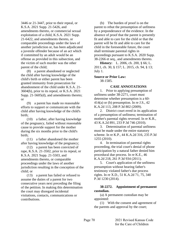3446 or 21-3447, prior to their repeal, or K.S.A. 2021 Supp. 21-5426, and amendments thereto, or commercial sexual exploitation of a child, K.S.A. 2021 Supp. 21-6422, and amendments thereto, or comparable proceedings under the laws of another jurisdiction or, has been adjudicated a juvenile offender because of an act which if committed by an adult would be an offense as provided in this subsection, and the victim of such murder was the other parent of the child;

(8) a parent abandoned or neglected the child after having knowledge of the child's birth or either parent has been granted immunity from prosecution for abandonment of the child under K.S.A. 21- 3604(b), prior to its repeal, or K.S.A. 2021 Supp. 21-5605(d), and amendments thereto; or

(9) a parent has made no reasonable efforts to support or communicate with the child after having knowledge of the child's birth;

(10) a father, after having knowledge of the pregnancy, failed without reasonable cause to provide support for the mother during the six months prior to the child's birth;

(11) a father abandoned the mother after having knowledge of the pregnancy;

(12) a parent has been convicted of rape, K.S.A. 21-3502, prior to its repeal, or K.S.A. 2021 Supp. 21-5503, and amendments thereto, or comparable proceedings under the laws of another jurisdiction resulting in the conception of the child; or

(13) a parent has failed or refused to assume the duties of a parent for two consecutive years next preceding the filing of the petition. In making this determination the court may disregard incidental visitations, contacts, communications or contributions.

(b) The burden of proof is on the parent to rebut the presumption of unfitness by a preponderance of the evidence. In the absence of proof that the parent is presently fit and able to care for the child or that the parent will be fit and able to care for the child in the foreseeable future, the court shall terminate parental rights in proceedings pursuant to K.S.A. 2020 Supp. 38-2266 et seq., and amendments thereto.

**History:** L. 2006, ch. 200, § 66; L. 2011, ch. 30, § 157; L. 2015, ch. 94, § 13; July 1.

**Source or Prior Law:**

38-1585.

### **CASE ANNOTATIONS**

1. Prior to applying presumption of unfitness under 38-2271, court must determine whether presumption is a 60-  $414(a)$  or (b) presumption. In re J.S.,  $42$ K.A.2d 113, 208 P.3d 802 (2009).

2. District court erred in its application of a presumption of unfitness; termination of mother's parental rights reversed. In re K.R., 43 K.A.2d 891, 233 P.3d 746 (2010).

3. Determination of parental unfitness must be made under the entire statutory scheme. In re K.P., 44 K.A.2d 316, 235 P.3d 1255 (2010).

4. In termination of parental rights proceeding, the trial court's denial of phone participation by a natural father denied him procedural due process. In re K.E., 46 K.A.2d 218, 261 P.3d 934 (2011).

5. Court's application of the unfitness presumption without hearing father's testimony violated father's due process rights. In re X.D., 51 K.A.2d 71, 75, 340 P.3d 1230 (2014).

# **38-2272. Appointment of permanent custodian.**

(a) A permanent custodian may be appointed:

(1) With the consent and agreement of the parents and approval by the court;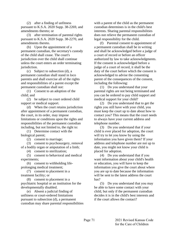(2) after a finding of unfitness pursuant to K.S.A. 2020 Supp. 38-2269, and amendments thereto; or

(3) after termination of parental rights pursuant to K.S.A. 2020 Supp. 38-2270, and amendments thereto.

(b) Upon the appointment of a permanent custodian, the secretary's custody of the child shall cease. The court's jurisdiction over the child shall continue unless the court enters an order terminating jurisdiction.

(c) Subject to subsection (d), a permanent custodian shall stand in loco parentis and shall exercise all of the rights and responsibilities of a parent except the permanent custodian shall not:

(1) Consent to an adoption of the child; and

(2) be subject to court ordered child support or medical support.

(d) When the court retains jurisdiction after appointment of a permanent custodian, the court, in its order, may impose limitations or conditions upon the rights and responsibilities of the permanent custodian including, but not limited to, the right to:

(1) Determine contact with the biological parent;

(2) consent to marriage;

(3) consent to psychosurgery, removal of a bodily organ or amputation of a limb;

(4) consent to sterilization;

(5) consent to behavioral and medical experiments;

(6) consent to withholding lifeprolonging medical treatment;

(7) consent to placement in a treatment facility; or

(8) consent to placement in a psychiatric hospital or an institution for the developmentally disabled.

(e) Absent a judicial finding of unfitness or court-ordered limitations pursuant to subsection (d), a permanent custodian may share parental responsibilities with a parent of the child as the permanent custodian determines is in the child's best interests. Sharing parental responsibilities does not relieve the permanent custodian of legal responsibility for the child.

(f) Parental consent to appointment of a permanent custodian shall be in writing and shall be acknowledged before a judge of a court of record or before an officer authorized by law to take acknowledgments. If the consent is acknowledged before a judge of a court of record, it shall be the duty of the court before which the consent is acknowledged to advise the consenting parent of the consequences of the consent, including the following:

(1) Do you understand that your parental rights are not being terminated and you can be ordered to pay child support and medical support for your child?

(2) Do you understand that to get the rights you still have with your child, you must keep the court up to date about how to contact you? This means that the court needs to always have your current address and telephone number.

(3) Do you understand that if your child is ever placed for adoption, the court will try to let you know by using the information you have given them? If your address and telephone number are not up to date, you might not know your child is placed for adoption.

(4) Do you understand that if you want information about your child's health or education, you will have to keep the information you give the court about where you are up to date because the information will be sent to the latest address the court has?

(5) Do you understand that you may be able to have some contact with your child, but only if the permanent custodian decides it is in the child's best interests and if the court allows the contact?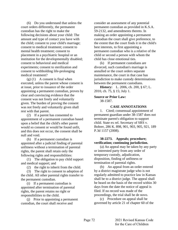(6) Do you understand that unless the court orders differently, the permanent custodian has the right to make the following decisions about your child: The amount and type of contact you have with the child; consent to your child's marriage; consent to medical treatment; consent to mental health treatment; consent to placement in a psychiatric hospital or an institution for the developmentally disabled; consent to behavioral and medical experiments; consent to sterilization and consent to withholding life-prolonging medical treatment?

 $(g)$  (1) A consent is final when executed, unless the parent whose consent is at issue, prior to issuance of the order appointing a permanent custodian, proves by clear and convincing evidence that the consent was not freely and voluntarily given. The burden of proving the consent was not freely and voluntarily given shall rest with that parent.

(2) If a parent has consented to appointment of a permanent custodian based upon a belief that the child's other parent would so consent or would be found unfit, and this does not occur, the consent shall be null and void.

(h) If a permanent custodian is appointed after a judicial finding of parental unfitness without a termination of parental rights, the parent shall retain only the following rights and responsibilities:

(1) The obligation to pay child support and medical support; and

(2) the right to inherit from the child.

(3) The right to consent to adoption of the child. All other parental rights transfer to the permanent custodian.

(i) If a permanent custodian is appointed after termination of parental rights, the parent retains no right or responsibilities to the child.

(j) Prior to appointing a permanent custodian, the court shall receive and

consider an assessment of any potential permanent custodian as provided in K.S.A. 59-2132, and amendments thereto. In making an order appointing a permanent custodian the court shall give preference, to the extent that the court finds it in the child's best interests, to first appointing a permanent custodian who is a relative of the child or second a person with whom the child has close emotional ties.

(k) If permanent custodians are divorced, such custodian's marriage is annulled or the court orders separate maintenance, the court in that case has jurisdiction to make custody determinations between the permanent custodians.

**History:** L. 2006, ch. 200, § 67; L. 2010, ch. 75, § 15; July 1.

# **Source or Prior Law:**

38-1587.

#### **CASE ANNOTATIONS**

1. Cited; consensual appointment of permanent guardian under 38-1587 does not terminate parent's obligation to support child. State ex rel. Secretary of SRS v. Bohrer, 286 K. 898, 901, 903, 905, 921, 189 P.3d 1157 (2008).

# **38-2273. Appeals; procedure; verification; continuing jurisdiction.**

(a) An appeal may be taken by any party or interested party from any order of temporary custody, adjudication, disposition, finding of unfitness or termination of parental rights.

(b) An appeal from an order entered by a district magistrate judge who is not regularly admitted to practice law in Kansas shall be to a district judge. The appeal shall be heard on the basis of the record within 30 days from the date the notice of appeal is filed. If no record was made of the proceedings, the trial shall be de novo.

(c) Procedure on appeal shall be governed by article 21 of chapter 60 of the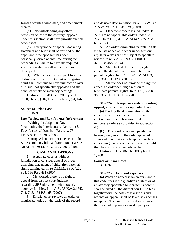Kansas Statutes Annotated, and amendments thereto.

(d) Notwithstanding any other provision of law to the contrary, appeals under this section shall have priority over all other cases.

(e) Every notice of appeal, docketing statement and brief shall be verified by the appellant if the appellant has been personally served at any time during the proceedings. Failure to have the required verification shall result in the dismissal of the appeal.

(f) While a case is on appeal from the district court, the district court or magistrate court shall continue to have jurisdiction over all issues not specifically appealed and shall conduct timely permanency hearings.

**History:** L. 2006, ch. 200, § 68; L. 2010, ch. 75, § 16; L. 2014, ch. 71, § 4; July 1.

# **Source or Prior Law:**

38-1591.

### **Law Review and Bar Journal References:**

"Waiting for Judgment Day: Negotiating the Interlocutory Appeal in 8 Easy Lessons," Jonathan Paretsky, 78 J.K.B.A. No. 4, 30 (2009).

"Caring When a Parent Does Not - The State's Role in Child Welfare," Roberta Sue McKenna, 79 J.K.B.A. No. 7, 36 (2010).

# **CASE ANNOTATIONS**

1. Appellate court is without jurisdiction to consider appeal of order changing placement of child after parental rights terminated. In re D.M.M., 38 K.A.2d 394, 166 P.3d 431 (2007).

2. Mentioned, there is no right to appeal from district court judgment regarding SRS placement with potential adoptive families. In re A.F., 38 K.A.2d 742, 744, 745, 172 P.3d 63 (2007).

3. District court reviews an order of magistrate judge on the basis of the record and de novo determination. In re L.C.W., 42 K.A.2d 293, 211 P.3d 829 (2009).

4. Placement orders issued under 38- 2260 are not appealable orders under 38- 2273. In re C.E., 47 K.A.2d 442, 275 P.3d 67 (2012).

5. An order terminating parental rights is the last appealable order under section; any later orders are not subject to appellate review. In re N.A.C., 299 K. 1100, 1119, 329 P.3d 458 (2014).

6. State lacked the statutory right to appeal the denial of a motion to terminate parental rights. In re A.S., 52 K.A.2d 173, 178, 364 P.3d 1203 (2015).

7. Statute does not provide the right to appeal an order denying a motion to terminate parental rights. In re T.S., 308 K. 306, 312, 419 P.3d 1159 (2018).

# **38-2274. Temporary orders pending appeal; status of orders appealed from.**

(a) Pending the determination of the appeal, any order appealed from shall continue in force unless modified by temporary orders as provided in subsection (b).

(b) The court on appeal, pending a hearing, may modify the order appealed from and may make any temporary orders concerning the care and custody of the child that the court considers advisable.

**History:** L. 2006, ch. 200, § 69; Jan. 1, 2007.

#### **Source or Prior Law:** 38-1592.

# **38-2275. Fees and expenses.**

(a) When an appeal is taken pursuant to this code, fees if the guardian ad litem or of an attorney appointed to represent a parent shall be fixed by the district court. The fees, together with the costs of transcripts and records on appeal, shall be taxed as expenses on appeal. The court on appeal may assess the fees and expenses against a party or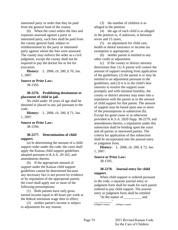interested party or order that they be paid from the general fund of the county.

(b) When the court orders the fees and expenses assessed against a party or interested party, such fees shall be paid from the county general fund, subject to reimbursement by the party or interested party against whom the fees were assessed. The county may enforce the order as a civil judgment, except the county shall not be required to pay the docket fee or fee for execution.

**History:** L. 2006, ch. 200, § 70; Jan. 1, 2007.

### **Source or Prior Law:**

38-1593.

### **38-2276. Prohibiting detainment or placement of child in jail.**

No child under 18 years of age shall be detained or placed in any jail pursuant to the code.

**History:** L. 2006, ch. 200, § 71; Jan. 1, 2007.

#### **Source or Prior Law:**

38-1594.

### **38-2277. Determination of child support.**

(a) In determining the amount of a child support order under the code, the court shall apply the Kansas child support guidelines adopted pursuant to K.S.A. 20-165, and amendments thereto.

(b) If the appropriate amount of support under the Kansas child support guidelines cannot be determined because any necessary fact is not proven by evidence or by stipulation of the appropriate parent, the court shall apply one or more of the following presumptions:

(1) Both parents have only gross earned income equal to 40 hours per week at the federal minimum wage then in effect;

(2) neither parent's income is subject to adjustment for any reason;

(3) the number of children is as alleged in the petition;

(4) the age of each child is as alleged in the petition or, if unknown, is between seven and 15 years;

(5) no adjustment for child care, health or dental insurance or income tax exemption is appropriate; or

(6) neither parent is entitled to any other credit or adjustment.

(c) If the county or district attorney determines that: (1) A parent will contest the amount of support resulting from application of the guidelines; (2) the parent is or may be entitled to an adjustment pursuant to the guidelines; and (3) it is in the child's best interests to resolve the support issue promptly and with minimal hostility, the county or district attorney may enter into a stipulation with the parent as to the amount of child support for that parent. The amount of support may be based upon one or more of the presumptions in subsection (b). Except for good cause or as otherwise provided in K.S.A. 2020 Supp. 38-2279, and amendments thereto, a stipulation under this subsection shall be binding upon the court and all parties or interested parties. The criteria for application of this subsection shall be incorporated into the journal entry or judgment form.

**History:** L. 2006, ch. 200, § 72; Jan. 1, 2007.

### **Source or Prior Law:**

38-1595.

# **38-2278. Journal entry for child support.**

When child support is ordered pursuant to the code, a separate journal entry or judgment form shall be made for each parent ordered to pay child support. The journal entry or judgment form shall be entitled:

"In the matter of \_\_\_\_\_\_\_\_\_\_ and

\_\_\_\_\_\_\_\_\_\_" (obligee's name) (obligor's name)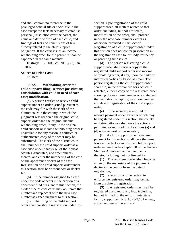and shall contain no reference to the privileged official file or social file in the case except the facts necessary to establish personal jurisdiction over the parent, the name and date of birth of each child, and findings of fact and conclusions of law directly related to the child support obligation. If the court issues an income withholding order for the parent, it shall be captioned in the same manner.

**History:** L. 2006, ch. 200, § 73; Jan. 1, 2007.

**Source or Prior Law:**

38-1596.

# **38-2279. Withholding order for child support; filing; service; jurisdiction; consolidation with child in need of care case; modification.**

(a) A person entitled to receive child support under an order issued pursuant to the code may file with the clerk of the district court in the county in which the judgment was rendered the original child support order and the original income withholding order, if any. If the original child support or income withholding order is unavailable for any reason, a certified or authenticated copy of the order may be substituted. The clerk of the district court shall number the child support order as a case filed under chapter 60 of the Kansas Statutes Annotated, and amendments thereto, and enter the numbering of the case on the appearance docket of the case. Registration of a child support order under this section shall be without cost or docket fee.

(b) If the number assigned to a case under the code appears in the caption of a document filed pursuant to this section, the clerk of the district court may obliterate that number and replace it with the new case number assigned pursuant to this section.

(c) The filing of the child support order shall constitute registration under this section. Upon registration of the child support order, all matters related to that order, including, but not limited to, modification of the order, shall proceed under the new case number except as otherwise provided in this section. Registration of a child support order under this section does not confer jurisdiction in the registration case for custody, residency or parenting time issues.

(d) The person registering a child support order shall serve a copy of the registered child support order and income withholding order, if any, upon the party or interested parties by first-class mail. The person registering the child support order shall file, in the official file for each child affected, either a copy of the registered order showing the new case number or a statement that includes the caption, new case number and date of registration of the child support order.

(e) If the secretary is entitled to receive payment under an order which may be registered under this section, the county or district attorney shall take the actions permitted or required in subsections (a) and (d) upon request of the secretary.

(f) A child support order registered pursuant to this section shall have the same force and effect as an original child support order entered under chapter 60 of the Kansas Statutes Annotated, and amendments thereto, including, but not limited to:

(1) The registered order shall become a lien on the real estate of the judgment debtor in the county from the date of registration;

(2) execution or other action to enforce the registered order may be had from the date of registration;

(3) the registered order may itself be registered pursuant to any law, including, but not limited to, the uniform interstate family support act, K.S.A. 23-9,101 et seq., and amendments thereto; and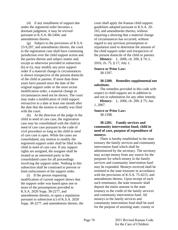(4) if any installment of support due under the registered order becomes a dormant judgment, it may be revived pursuant to K.S.A. 60-2404, and amendments thereto.

(g) Subject to the provisions of K.S.A. 23-9,207, and amendments thereto, the court in the registration case shall have continuing jurisdiction over the child support action and the parties thereto and subject matter and, except as otherwise provided in subsection (h) or (i), may modify any prior support order if a material change in circumstances is shown irrespective of the present domicile of the child or parents. If more than three years have passed since the date of the original support order or the most recent modification order, a material change in circumstances need not be shown. The court may make a modification of child support retroactive to a date at least one month after the date that the motion to modify was filed with the court.

(h) At the direction of the judge in the child in need of care case, the registration case may be consolidated with the child in need of care case pursuant to the code of civil procedure so long as the child in need of care case is open. While the cases are consolidated, any motion to modify the registered support order shall be filed in the child in need of care case. If any support rights are assigned, the assignee shall be treated as an interested party in the consolidated cases for all proceedings involving the support order. Nothing in this subsection shall be construed to prevent or limit enforcement of the support order.

(i) If the person requesting modification of current support shows that the support order was based upon one or more of the presumptions provided in K.S.A. 2020 Supp. 38-2277, and amendments thereto, or upon a stipulation pursuant to subsection (c) of K.S.A. 2020 Supp. 38-2277, and amendments thereto, the court shall apply the Kansas child support guidelines adopted pursuant to K.S.A. 20- 165, and amendments thereto, without requiring a showing that a material change of circumstances has occurred, without regard to any previous presumption or stipulation used to determine the amount of the child support order and irrespective of the present domicile of the child or parents.

**History:** L. 2006, ch. 200, § 74; L. 2010, ch. 75, § 17; July 1.

# **Source or Prior Law:**

38-1597.

### **38-2280. Remedies supplemental not substitute.**

The remedies provided in this code with respect to child support are in addition to and not in substitution for any other remedy.

**History:** L. 2006, ch. 200, § 75; Jan. 1, 2007.

#### **Source or Prior Law:**

38-1598.

# **38-2281. Family services and community intervention fund; child in need of care, purpose of expenditure of moneys.**

There is hereby established in the state treasury the family services and community intervention fund which shall be administered by the secretary. The secretary may accept money from any source for the purposes for which money in the family services and community intervention fund may be expended. Moneys received shall be remitted to the state treasurer in accordance with the provisions of K.S.A. 75-4215, and amendments thereto. Upon receipt of each such remittance, the state treasurer shall deposit the entire amount in the state treasury to the credit of the family services and community intervention fund. All moneys in the family services and community intervention fund shall be used for the purpose of assisting state, county or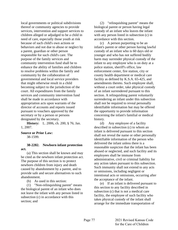local governments or political subdivisions thereof or community agencies to provide services, intervention and support services to children alleged or adjudged to be a child in need of care, especially those youth at risk because of such child's own actions or behaviors and not due to abuse or neglect by a parent, guardian or other person responsible for such child's care. The purpose of the family services and community intervention fund shall be to enhance the ability of families and children to resolve problems within the family and community by the collaboration of governmental and local service providers that might otherwise result in a child becoming subject to the jurisdiction of the court. All expenditures from the family services and community intervention fund shall be made in accordance with appropriation acts upon warrants of the director of accounts and reports issued pursuant to vouchers approved by the secretary or by a person or persons designated by the secretary.

**History:** L. 2006, ch. 200, § 76; Jan. 1, 2007.

### **Source or Prior Law:**

38-1599.

# **38-2282. Newborn infant protection act.**

(a) This section shall be known and may be cited as the newborn infant protection act. The purpose of this section is to protect newborn children from injury and death caused by abandonment by a parent, and to provide safe and secure alternatives to such abandonment.

(b) As used in this section:

(1) "Non-relinquishing parent" means the biological parent of an infant who does not leave the infant with any person listed in subsection (c) in accordance with this section; and

(2) "relinquishing parent" means the biological parent or person having legal custody of an infant who leaves the infant with any person listed in subsection (c) in accordance with this section.

(c) A person purporting to be an infant's parent or other person having lawful custody of an infant who is 60 days old or younger and who has not suffered bodily harm may surrender physical custody of the infant to any employee who is on duty at a police station, sheriff's office, law enforcement center, fire station, city or county health department or medical care facility as defined by K.S.A. 65-425, and amendments thereto. Such employee shall, without a court order, take physical custody of an infant surrendered pursuant to this section. A relinquishing parent voluntarily surrendering an infant under this subsection shall not be required to reveal personally identifiable information but may be offered the opportunity to provide information concerning the infant's familial or medical history.

(d) Any employee of a facility described in subsection (c) to whom an infant is delivered pursuant to this section shall not reveal the name or other personally identifiable information of the person who delivered the infant unless there is a reasonable suspicion that the infant has been abused or neglected, and such facility and its employees shall be immune from administrative, civil or criminal liability for any action taken pursuant to this subsection. Such immunity shall not extend to any acts or omissions, including negligent or intentional acts or omissions, occurring after the acceptance of the infant.

(e) If an infant is delivered pursuant to this section to any facility described in subsection (c) that is not a medical care facility, the employee of such facility who takes physical custody of the infant shall arrange for the immediate transportation of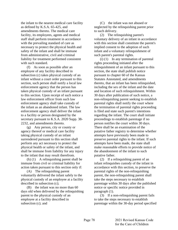the infant to the nearest medical care facility as defined by K.S.A. 65-425, and amendments thereto. The medical care facility, its employees, agents and medical staff shall perform treatment in accordance with the prevailing standard of care as necessary to protect the physical health and safety of the infant and shall be immune from administrative, civil and criminal liability for treatment performed consistent with such standard.

(f) As soon as possible after an employee of any facility described in subsection (c) takes physical custody of an infant without a court order pursuant to this section, such person shall notify a local law enforcement agency that the person has taken physical custody of an infant pursuant to this section. Upon receipt of such notice a law enforcement officer from such law enforcement agency shall take custody of the infant as an abandoned infant. The law enforcement agency shall deliver the infant to a facility or person designated by the secretary pursuant to K.S.A. 2020 Supp. 38- 2232, and amendments thereto.

(g) Any person, city or county or agency thereof or medical care facility taking physical custody of an infant surrendered pursuant to this section shall perform any act necessary to protect the physical health or safety of the infant, and shall be immune from liability for any injury to the infant that may result therefrom.

(h) (1) A relinquishing parent shall be immune from civil or criminal liability for action taken pursuant to this section only if:

(A) The relinquishing parent voluntarily delivered the infant safely to the physical custody of an employee at a facility described in subsection (c);

(B) the infant was no more than 60 days old when delivered by the relinquishing parent to the physical custody of an employee at a facility described in subsection (c); and

(C) the infant was not abused or neglected by the relinquishing parent prior to such delivery.

(2) The relinquishing parent's voluntary delivery of an infant in accordance with this section shall constitute the parent's implied consent to the adoption of such infant and a voluntary relinquishment of such parent's parental rights.

(i) (1) In any termination of parental rights proceeding initiated after the relinquishment of an infant pursuant to this section, the state shall publish notice pursuant to chapter 60 of the Kansas Statutes Annotated, and amendments thereto, that an infant has been relinquished, including the sex of the infant and the date and location of such relinquishment. Within 30 days after publication of such notice, a non-relinquishing parent seeking to establish parental rights shall notify the court where the termination of parental rights proceeding is filed and state such parent's intentions regarding the infant. The court shall initiate proceedings to establish parentage if no person notifies the court within 30 days. There shall be an examination of the putative father registry to determine whether attempts have previously been made to preserve parental rights to the infant. If such attempts have been made, the state shall make reasonable efforts to provide notice of the abandonment of the infant to such putative father.

(2) If a relinquishing parent of an infant relinquishes custody of the infant in accordance with this section, to preserve the parental rights of the non-relinquishing parent, the non-relinquishing parent shall take the steps necessary to establish parentage within 30 days after the published notice or specific notice provided in paragraph (1).

(3) If a non-relinquishing parent fails to take the steps necessary to establish parentage within the 30-day period specified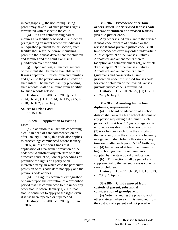in paragraph (2), the non-relinquishing parent may have all of such parent's rights terminated with respect to the child.

(4) If a non-relinquishing parent inquires at a facility described in subsection (c) regarding an infant whose custody was relinquished pursuant to this section, such facility shall refer the non-relinquishing parent to the Kansas department for children and families and the court exercising jurisdiction over the child.

(j) Upon request, all medical records of the infant shall be made available to the Kansas department for children and families and given to the person awarded custody of such infant. The medical facility providing such records shall be immune from liability for such records release.

**History:** L. 2006, ch. 200, § 77; L. 2014, ch. 70, § 1; L. 2014, ch. 115, § 65; L. 2018, ch. 107, § 14; July 1.

#### **Source or Prior Law:**

38-15,100.

#### **38-2283. Application to existing cases.**

(a) In addition to all actions concerning a child in need of care commenced on or after January 1, 2007, this code also applies to proceedings commenced before January 1, 2007, unless the court finds that application of a particular provision of the code would substantially interfere with the effective conduct of judicial proceedings or prejudice the rights of a party or an interested party, in which case the particular provision of this code does not apply and the previous code applies.

(b) If a right is acquired, extinguished or barred upon the expiration of a prescribed period that has commenced to run under any other statute before January 1, 2007, that statute continues to apply to the right, even if it has been repealed or superceded.

**History:** L. 2006, ch. 200, § 78; Jan. 1, 2007.

# **38-2284. Precedence of certain orders issued under revised Kansas code for care of children and revised Kansas juvenile justice code.**

Any order issued pursuant to the revised Kansas code for care of children or the revised Kansas juvenile justice code, shall take precedence over any order under article 21 of chapter 59 of the Kansas Statutes Annotated, and amendments thereto (adoption and relinquishment act), or article 30 of chapter 59 of the Kansas Statutes Annotated, and amendments thereto (guardians and conservators), until jurisdiction under the revised Kansas code for care of children or the revised Kansas juvenile justice code is terminated.

**History:** L. 2010, ch. 75, § 1; L. 2011, ch. 24, § 6; July 1.

# **38-2285. Awarding high school diplomas; requirements.**

(a) The board of education of a school district shall award a high school diploma to any person requesting a diploma if such person: (1) Is at least 17 years of age; (2) is enrolled or resides in such school district; (3) is or has been a child in the custody of the secretary, or in the custody of a federally recognized Indian tribe in this state, at any time on or after such person's  $14<sup>th</sup>$  birthday; and (4) has achieved at least the minimum high school graduation requirements adopted by the state board of education.

(b) This section shall be part of and supplemental to the revised Kansas code for care of children.

**History:** L. 2011, ch. 60, § 1; L. 2013, ch. 79, § 2; Apr. 25.

## **38-2286. Child removed from custody of parent, substantial consideration of grandparent.**

(a) Notwithstanding the provisions of other statutes, when a child is removed from the custody of a parent and not placed with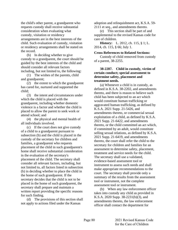the child's other parent, a grandparent who requests custody shall receive substantial consideration when evaluating what custody, visitation or residency arrangements are in the best interests of the child. Such evaluation of custody, visitation or residency arrangements shall be stated on the record.

(b) In deciding whether to give custody to a grandparent, the court should be guided by the best interests of the child and should consider all relevant factors including, but not limited to, the following:

(1) The wishes of the parents, child and grandparent;

(2) the extent to which the grandparent has cared for, nurtured and supported the child;

(3) the intent and circumstances under which the child is placed with the grandparent, including whether domestic violence is a factor and whether the child is placed to allow the parent to seek work or attend school; and

(4) the physical and mental health of all individuals involved.

(c) If the court does not give custody of a child to a grandparent pursuant to subsection (b) and the child is placed in the custody of the secretary for children and families, a grandparent who requests placement of the child in such grandparent's home shall receive substantial consideration in the evaluation of the secretary's placement of the child. The secretary shall consider all relevant factors, including, but not limited to, all factors listed in subsection (b) in deciding whether to place the child in the home of such grandparent. If the secretary decides that the child is not to be placed in the home of such grandparent, the secretary shall prepare and maintain a written report providing the specific reasons for such finding.

(d) The provisions of this section shall not apply to actions filed under the Kansas

adoption and relinquishment act, K.S.A. 59- 2111 et seq*.*, and amendments thereto.

(e) This section shall be part of and supplemental to the revised Kansas code for care of children.

**History:** L. 2012, ch. 115, § 1; L. 2014, ch. 115, § 66; July 1.

#### **Cross References to Related Sections:**

Custody of child removed from custody of a parent, 38-2255.

# **38-2287. Child in custody, victim of certain conduct; special assessment to determine safety, placement and treatment needs.**

(a) Whenever a child is in custody, as defined in K.S.A. 38-2202, and amendments thereto, and there is reason to believe such child has been subjected to an act which would constitute human trafficking or aggravated human trafficking, as defined by K.S.A. 2021 Supp. 21-5426, and amendments thereto, or commercial sexual exploitation of a child, as defined by K.S.A. 2021 Supp. 21-6422, and amendments thereto, or the child committed an act which, if committed by an adult, would constitute selling sexual relations, as defined by K.S.A. 2021 Supp. 21-6419, and amendments thereto, the court shall refer the child to the secretary for children and families for an assessment to determine safety, placement, treatment and service needs for the child. The secretary shall use a validated, evidence-based assessment tool or instrument to assess such needs and shall make appropriate recommendations to the court. The secretary shall provide only a summary of the results from the assessment tool or instrument, not the complete assessment tool or instrument.

(b) When any law enforcement officer takes into custody any child as provided in K.S.A. 2020 Supp. 38-2231(b)(3), and amendments thereto, the law enforcement officer shall contact the department for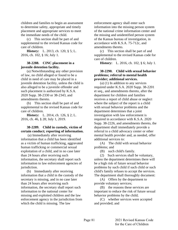children and families to begin an assessment to determine safety, appropriate and timely placement and appropriate services to meet the immediate needs of the child.

(c) This section shall be part of and supplemental to the revised Kansas code for care of children.

**History:** L. 2013, ch. 120, § 5; L. 2016, ch. 102, § 16; July 1.

### **38-2288. CINC placement in a juvenile detention facility.**

(a) Notwithstanding any other provision of law, no child alleged or found to be a child in need of care may be placed in a juvenile detention facility, unless the child is also alleged to be a juvenile offender and such placement is authorized by K.S.A. 2020 Supp. 38-2330 or 38-2343, and amendments thereto.

(b) This section shall be part of and supplemental to the revised Kansas code for care of children.

**History:** L. 2014, ch. 126, § 2; L. 2016, ch. 46, § 28; July 1, 2019.

# **38-2289. Child in custody, victim of certain conduct; reporting of information.**

(a) Immediately after receiving information that a child has been identified as a victim of human trafficking, aggravated human trafficking or commercial sexual exploitation of a child, and in no case later than 24 hours after receiving such information, the secretary shall report such information to law enforcement agencies of jurisdiction.

(b) Immediately after receiving information that a child in the custody of the secretary is missing, and in no case later than 24 hours after receiving such information, the secretary shall report such information to the national center for missing and exploited children and the law enforcement agency in the jurisdiction from which the child is missing. The law

enforcement agency shall enter such information into the missing person system of the national crime information center and the missing and unidentified person system of the Kansas bureau of investigation, in accordance with K.S.A. 75-712c, and amendments thereto.

(c) This section shall be part of and supplemental to the revised Kansas code for care of children.

**History:** L. 2016, ch. 102, § 6; July 1.

# **38-2290. Child with sexual behavior problems; referral to mental health provider; additional services.**

(a) (1) In addition to any services required under K.S.A. 2020 Supp. 38-2201 et seq., and amendments thereto, after the department for children and families receives a report of child abuse or neglect where the subject of the report is a child with sexual behavior problems and the department determines that a joint investigation with law enforcement is required in accordance with K.S.A. 2020 Supp. 38-2226, and amendments thereto, the department shall immediately provide a referral to a child advocacy center or other mental health provider and, as needed, offer additional services to:

(A) The child with sexual behavior problems; and

(B) such child's family.

(2) Such services shall be voluntary, unless the department determines there will be a high risk of future sexual behavior problems by such child if such child or such child's family refuses to accept the services. The department shall thoroughly document:

(A) Offers by the department to provide voluntary services;

(B) the reasons these services are important to reduce the risk of future sexual behavior problems by the child;

(C) whether services were accepted and provided; and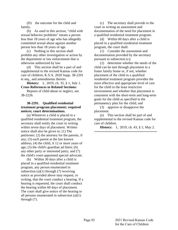(D) the outcome for the child and family.

(b) As used in this section, "child with sexual behavior problems" means a person less than 18 years of age who has allegedly committed sexual abuse against another person less than 18 years of age.

(c) Nothing in this section shall prohibit any other investigation or action by the department or law enforcement that is otherwise authorized by law.

(d) This section shall be a part of and supplemental to the revised Kansas code for care of children, K.S.A. 2020 Supp. 38-2201 et seq., and amendments thereto.

**History:** L. 2019, ch. 35, § 1; July 1. **Cross References to Related Sections:**

Reports of child abuse or neglect, see 38-2226.

# **38-2291. Qualified residential treatment program placement; required notices; court determinations.**

(a) Whenever a child is placed in a qualified residential treatment program, the secretary shall notify the court in writing within seven days of placement. Written notice shall also be given to: (1) The petitioner; (2) the attorney for the parents, if any; (3) each parent at the last known address; (4) the child, if 12 or more years of age; (5) the child's guardian ad litem; (6) any other party or interested party; and (7) the child's court-appointed special advocate.

(b) Within 30 days after a child is placed in a qualified residential treatment program, any person enumerated in subsection  $(a)(1)$  through  $(7)$  receiving notice as provided above may request, in writing, that the court conduct a hearing. If a hearing is requested, the court shall conduct the hearing within 60 days of placement. The court shall give notice of the hearing to all persons enumerated in subsection (a)(1) through (7).

(c) The secretary shall provide to the court in writing an assessment and documentation of the need for placement in a qualified residential treatment program.

(d) Within 60 days after a child is placed in a qualified residential treatment program, the court shall:

(1) Consider the assessment and documentation provided by the secretary pursuant to subsection (c);

(2) determine whether the needs of the child can be met through placement in a foster family home or, if not, whether placement of the child in a qualified residential treatment program provides the most effective and appropriate level of care for the child in the least restrictive environment and whether that placement is consistent with the short-term and long-term goals for the child as specified in the permanency plan for the child; and

(3) approve or disapprove the placement.

(e) This section shall be part of and supplemental to the revised Kansas code for care of children.

**History:** L. 2019, ch. 43, § 1; May 2.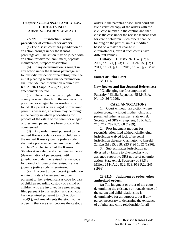# **Chapter 23.—KANSAS FAMILY LAW CODE-REVISED Article 22.—PARENTAGE ACT**

# **23-2210. Jurisdiction; venue; precedence of certain other orders.**

(a) The district court has jurisdiction of an action brought under the Kansas parentage act. The action may be joined with an action for divorce, annulment, separate maintenance, support or adoption.

(b) If any determination is sought in any action under the Kansas parentage act for custody, residency or parenting time, the initial pleading seeking that determination shall include that information required by K.S.A. 2021 Supp. 23-37,209, and amendments thereto.

(c) The action may be brought in the county in which the child, the mother or the presumed or alleged father resides or is found. If a parent or an alleged or presumed parent is deceased, an action may be brought in the county in which proceedings for probate of the estate of the parent or alleged or presumed parent have been or could be commenced.

(d) Any order issued pursuant to the revised Kansas code for care of children or the revised Kansas juvenile justice code, shall take precedence over any order under article 22 of chapter 23 of the Kansas Statutes Annotated, and amendments thereto (determination of parentage), until jurisdiction under the revised Kansas code for care of children or the revised Kansas juvenile justice code is terminated.

(e) If a court of competent jurisdiction within this state has entered an order pursuant to the revised Kansas code for care of children regarding custody of a child or children who are involved in a proceeding filed pursuant to this section, and such court has determined pursuant to K.S.A. 38- 2264(k), and amendments thereto, that the orders in that case shall become the custody

orders in the parentage case, such court shall file a certified copy of the orders with the civil case number in the caption and then close the case under the revised Kansas code for care of children. Such orders shall be binding on the parties, unless modified based on a material change in circumstances, even if such courts have different venues.

**History:** L. 1985, ch. 114, § 7; L. 2000, ch. 171, § 73; L. 2010, ch. 75, § 2; L. 2011, ch. 24, § 1; L. 2019, ch. 43, § 2; May 2.

# **Source or Prior Law:**

38-1116.

**Law Review and Bar Journal References:** "Challenging the Presumption of Paternity," Sheila Reynolds, 65 J.K.B.A. No. 10, 36 (1996).

# **CASE ANNOTATIONS**

1. Court without jurisdiction where action brought without mother, child and presumed father as parties. State ex rel. Secretary of SRS v. Stephens, 13 K.A.2d 715, 717, 782 P.2d 68 (1989).

2. Post judgment motions for reconsideration filed without challenging jurisdiction waived lack of personal jurisdiction defense. Carrington v. Unseld, 22 K.A.2d 815, 818, 923 P.2d 1052 (1996).

3. Subject matter jurisdiction not divested by failure to give mother who assigned support to SRS notice of paternity action. State ex rel. Secretary of SRS v. Miller, 24 K.A.2d 822, 823, 953 P.2d 245 (1998).

# **23-2215. Judgment or order; other authorized orders.**

(a) The judgment or order of the court determining the existence or nonexistence of the parent and child relationship is determinative for all purposes, but if any person necessary to determine the existence of a father and child relationship for all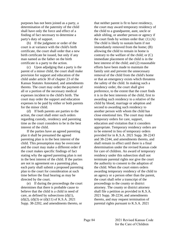purposes has not been joined as a party, a determination of the paternity of the child shall have only the force and effect of a finding of fact necessary to determine a party's duty of support.

(b) If the judgment or order of the court is at variance with the child's birth certificate, the court shall order that a new birth certificate be issued, but only if any man named as the father on the birth certificate is a party to the action.

(c) Upon adjudging that a party is the parent of a minor child, the court shall make provision for support and education of the child under article 30 of chapter 23 of the Kansas Statutes Annotated, and amendments thereto. The court may order the payment of all or a portion of the necessary medical expenses incident to the child's birth. The court may order the support and education expenses to be paid by either or both parents for the minor child.

(d) If both parents are parties to the action, the court shall enter such orders regarding custody, residency and parenting time as the court considers to be in the best interest of the child.

If the parties have an agreed parenting plan it shall be presumed the agreed parenting plan is in the best interest of the child. This presumption may be overcome and the court may make a different order if the court makes specific findings of fact stating why the agreed parenting plan is not in the best interest of the child. If the parties are not in agreement on a parenting plan, each party shall submit a proposed parenting plan to the court for consideration at such time before the final hearing as may be directed by the court.

(e) If during the proceedings the court determines that there is probable cause to believe that the child is a child in need of care, as defined by subsections  $(d)(1)$ ,  $(d)(2)$ ,  $(d)(3)$  or  $(d)(11)$  of K.S.A. 2021 Supp. 38-2202, and amendments thereto, or

that neither parent is fit to have residency, the court may award temporary residency of the child to a grandparent, aunt, uncle or adult sibling, or another person or agency if the court finds by written order that: (1) (A) The child is likely to sustain harm if not immediately removed from the home; (B) allowing the child to remain in home is contrary to the welfare of the child; or (C) immediate placement of the child is in the best interest of the child; and (2) reasonable efforts have been made to maintain the family unit and prevent the unnecessary removal of the child from the child's home or that an emergency exists which threatens the safety of the child. In making such a residency order, the court shall give preference, to the extent that the court finds it is in the best interests of the child, first to awarding such residency to a relative of the child by blood, marriage or adoption and second to awarding such residency to another person with whom the child has close emotional ties. The court may make temporary orders for care, support, education and visitation that it considers appropriate. Temporary residency orders are to be entered in lieu of temporary orders provided for in K.S.A. 2021 Supp. 38-2243 and 38-2244, and amendments thereto, and shall remain in effect until there is a final determination under the revised Kansas code for care of children. An award of temporary residency under this subsection shall not terminate parental rights nor give the court the authority to consent to the adoption of the child. When the court enters orders awarding temporary residency of the child to an agency or a person other than the parent, the court shall refer a transcript of the proceedings to the county or district attorney. The county or district attorney shall file a petition as provided in K.S.A. 2021 Supp. 38-2234, and amendments thereto, and may request termination of parental rights pursuant to K.S.A. 2021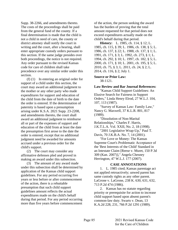Supp. 38-2266, and amendments thereto. The costs of the proceedings shall be paid from the general fund of the county. If a final determination is made that the child is not a child in need of care, the county or district attorney shall notify the court in writing and the court, after a hearing, shall enter appropriate custody orders pursuant to this section. If the same judge presides over both proceedings, the notice is not required. Any order pursuant to the revised Kansas code for care of children shall take precedence over any similar order under this section.

(f) (1) In entering an original order for support of a child under this section, the court may award an additional judgment to the mother or any other party who made expenditures for support and education of the child from the date of birth to the date the order is entered. If the determination of paternity is based upon a presumption arising under K.S.A. 2021 Supp. 23-2208, and amendments thereto, the court shall award an additional judgment to reimburse all or part of the expenses of support and education of the child from at least the date the presumption first arose to the date the order is entered, except that no additional judgment need be awarded for amounts accrued under a previous order for the child's support.

(2) The court may consider any affirmative defenses pled and proved in making an award under this subsection.

(3) The amount of any award made under this subsection shall be determined by application of the Kansas child support guidelines. For any period occurring five years or less before or after commencement of the action, there is a rebuttable presumption that such child support guidelines amount reflects the actual expenditures made on the child's behalf during that period. For any period occurring more than five years before commencement

of the action, the person seeking the award has the burden of proving that the total amount requested for that period does not exceed expenditures actually made on the child's behalf during that period.

**History:** L. 1985, ch. 114, § 12; L. 1985, ch. 115, § 39; L. 1986, ch. 138, § 5; L. 1986, ch. 137, § 22; L. 1988, ch. 137, § 1; L. 1991, ch. 171, § 3; L. 1992, ch. 273, § 1; L. 1994, ch. 292, § 10; L. 1997, ch. 182, § 5; L. 2000, ch. 171, § 10; L. 2001, ch. 195, § 5; L. 2010, ch. 75, § 3; L. 2011, ch. 24, § 2; L. 2014, ch. 116, § 2; July 1.

#### **Source or Prior Law:**

38-1121.

**Law Review and Bar Journal References:** "Kansas Child Support Guidelines: An Elusive Search for Fairness in Support

Orders," Linda Henry Elrod, 27 W.L.J. 104, 107, 113 (1987).

"Survey of Kansas Law: Family Law," Nancy G. Maxwell, 37 K.L.R. 801, 817 (1989).

"Dissolution of Non-Marital Relationships," Charles F. Harris, J.K.T.L.A. Vol. XXII, No. 2, 18 (1998).

"2001 Legislative Wrap-Up," Paul T. Davis, 70 J.K.B.A. No. 7, 14 (2001).

"For Love or Money: The Kansas Supreme Court's Problematic Acceptance of the 'Best Interests of the Child' Standard in an Intestate Claim [Reese v. Muret, 150 P.3d 309 (Kan. 2007)]," Angela Chesney Herrington, 47 W.L.J. 177 (2007).

### **CASE ANNOTATIONS**

1. L. 1985 cited; Kansas parentage act not applied retroactively; unwed parent has same custody rights as any other parent. LaGrone v. LaGrone, 238 K. 630, 631, 632, 713 P.2d 474 (1986).

2. Kansas has no statute regarding priority or prerequisite for action to increase child support based upon absent parent's common-law duty. Swarts v. Dean, 13 K.A.2d 228, 231, 766 P.2d 1291 (1989).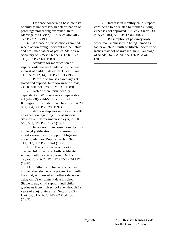3. Evidence concerning best interests of child as unnecessary in determination of parentage proceeding examined. In re Marriage of O'Brien, 13 K.A.2d 402, 405, 772 P.2d 278 (1989).

4. Absence of jurisdiction examined where action brought without mother, child and presumed father as parties. State ex rel. Secretary of SRS v. Stephens, 13 K.A.2d 715, 782 P.2d 68 (1989).

5. Standard for modification of support order entered under act is the best interest of child. State ex rel. Dix v. Plank, 14 K.A.2d 12, 14, 780 P.2d 171 (1989).

6. Purpose of Kansas parentage act stated and applied. In re Marriage of Ross, 245 K. 591, 595, 783 P.2d 331 (1989).

7. Noted where term "wholly dependent child" in workers compensation act (44-508(c), 44-510b) construed. Killingsworth v. City of Wichita, 16 K.A.2d 801, 804, 830 P.2d 70 (1992).

8. Act contemplates minors as parents; no exception regarding duty of support. State ex rel. Hermesmann v. Seyer, 252 K. 646, 652, 847 P.2d 1273 (1993).

9. Incarceration in correctional facility not legal justification for suspension or modification of child support obligation under guidelines. Rupp v. Grubb, 265 K. 711, 712, 962 P.2d 1074 (1998).

10. Trial court lacks authority to change child's name on birth certificate without both parents' consent. Denk v. Taylor, 25 K.A.2d 172, 173, 958 P.2d 1172 (1998).

11. Father, who had no contact with mother after she became pregnant nor with the child, acquiesced in mother's decision to delay child's enrollment date in school (liable to pay child support until child graduates from high school even though 19 years of age). State ex rel. Sec. of SRS v. Hartzog, 31 K.A.2d 146, 62 P.3d 256 (2003).

12. Increase in monthly child support considered to be related to mother's living expenses not approved. Skillet v. Sierra, 30 K.A.2d 1041, 53 P.3d 1234 (2002).

13. Presumption of paternity arose when man acquiesced to being named as father on child's birth certificate; doctrine of laches may not be invoked. In re Parentage of Shade, 34 K.A.2d 895, 126 P.3d 445 (2006).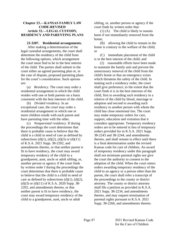# **Chapter 23.—KANSAS FAMILY LAW CODE-REVISED Article 32.—LEGAL CUSTODY, RESIDENCY AND PARENTING PLANS**

#### **23-3207. Residential arrangements.**

After making a determination of the legal custodial arrangements, the court shall determine the residency of the child from the following options, which arrangement the court must find to be in the best interest of the child. The parties shall submit to the court either an agreed parenting plan or, in the case of dispute, proposed parenting plans for the court's consideration. Such options are:

(a) *Residency.* The court may order a residential arrangement in which the child resides with one or both parents on a basis consistent with the best interests of the child.

(b) *Divided residency.* In an exceptional case, the court may order a residential arrangement in which one or more children reside with each parent and have parenting time with the other.

(c) *Nonparental residency.* If during the proceedings the court determines that there is probable cause to believe that the child is a child in need of care as defined by subsections (d)(1), (d)(2), (d)(3) or (d)(11) of K.S.A. 2021 Supp. 38-2202, and amendments thereto, or that neither parent is fit to have residency, the court may award temporary residency of the child to a grandparent, aunt, uncle or adult sibling, or, another person or agency if the court finds by written order f during the proceedings the court determines that there is probable cause to believe that the child is a child in need of care as defined by subsections  $(d)(1)$ ,  $(d)(2)$ ,  $(d)(3)$  or  $(d)(11)$  of K.S.A. 2020 Supp. 38-2202, and amendments thereto, or that neither parent is fit to have residency, the court may award temporary residency of the child to a grandparent, aunt, uncle or adult

sibling, or, another person or agency if the court finds by written order that:

(1) (A) The child is likely to sustain harm if not immediately removed from the home;

(B) allowing the child to remain in the home is contrary to the welfare of the child; or

(C) immediate placement of the child is in the best interest of the child; and

(2) reasonable efforts have been made to maintain the family unit and prevent the unnecessary removal of the child from the child's home or that an emergency exists which threatens the safety of the child. In making such a residency order, the court shall give preference, to the extent that the court finds it is in the best interests of the child, first to awarding such residency to a relative of the child by blood, marriage or adoption and second to awarding such residency to another person with whom the child has close emotional ties. The court may make temporary orders for care, support, education and visitation that it considers appropriate. Temporary residency orders are to be entered in lieu of temporary orders provided for in K.S.A. 2021 Supp. 38-2243 and 38-2244, and amendments thereto, and shall remain in effect until there is a final determination under the revised Kansas code for care of children. An award of temporary residency under this paragraph shall not terminate parental rights nor give the court the authority to consent to the adoption of the child. When the court enters orders awarding temporary residency of the child to an agency or a person other than the parent, the court shall refer a transcript of the proceedings to the county or district attorney. The county or district attorney shall file a petition as provided in K.S.A. 2021 Supp. 38-2234, and amendments thereto, and may request termination of parental rights pursuant to K.S.A. 2021 Supp. 38-2266, and amendments thereto.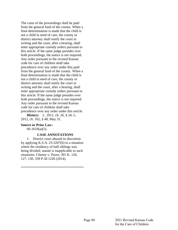The costs of the proceedings shall be paid from the general fund of the county. When a final determination is made that the child is not a child in need of care, the county or district attorney shall notify the court in writing and the court, after a hearing, shall enter appropriate custody orders pursuant to this article. If the same judge presides over both proceedings, the notice is not required. Any order pursuant to the revised Kansas code for care of children shall take precedence over any order under this paid from the general fund of the county. When a final determination is made that the child is not a child in need of care, the county or district attorney shall notify the court in writing and the court, after a hearing, shall enter appropriate custody orders pursuant to this article. If the same judge presides over both proceedings, the notice is not required. Any order pursuant to the revised Kansas code for care of children shall take precedence over any order under this article.

**History:** L. 2011, ch. 26, § 24; L. 2012, ch. 162, § 48; May 31.

#### **Source or Prior Law:**

 $60-1610(a)(5)$ .

### **CASE ANNOTATIONS**

1. District court abused its discretion by applying K.S.A. 23-3207(b) to a situation where the residency of half siblings was being divided; statute is inapplicable to such situations. Cheney v. Poore, 301 K. 120, 127, 130, 339 P.3d 1220 (2014).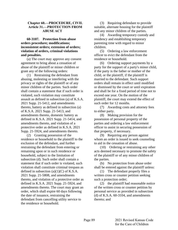### **Chapter 60.—PROCEDURE, CIVIL Article 31.—PROTECTION FROM ABUSE ACT**

# **60-3107. Protection from abuse orders procedure; modifications; inconsistent orders; extension of orders; violation of orders, criminal violations and penalties.**

(a) The court may approve any consent agreement to bring about a cessation of abuse of the plaintiff or minor children or grant any of the following orders:

(1) Restraining the defendant from abusing, molesting or interfering with the privacy or rights of the plaintiff or of any minor children of the parties. Such order shall contain a statement that if such order is violated, such violation may constitute assault as defined in subsection (a) of K.S.A. 2021 Supp. 21-5412, and amendments thereto, battery as defined in subsection (a) of K.S.A. 2021 Supp. 21-5413, and amendments thereto, domestic battery as defined in K.S.A. 2021 Supp. 21-5414, and amendments thereto, and violation of a protective order as defined in K.S.A. 2021 Supp. 21-5924, and amendments thereto.

(2) Granting possession of the residence or household to the plaintiff to the exclusion of the defendant, and further restraining the defendant from entering or remaining upon or in such residence or household, subject to the limitation of subsection (d). Such order shall contain a statement that if such order is violated, such violation shall constitute criminal trespass as defined in subsection  $(a)(1)(C)$  of K.S.A. 2021 Supp. 21-5808, and amendments thereto, and violation of a protective order as defined in K.S.A. 2021 Supp. 21-5924, and amendments thereto. The court may grant an order, which shall expire 60 days following the date of issuance, restraining the defendant from cancelling utility service to the residence or household.

(3) Requiring defendant to provide suitable, alternate housing for the plaintiff and any minor children of the parties.

(4) Awarding temporary custody and residency and establishing temporary parenting time with regard to minor children.

(5) Ordering a law enforcement officer to evict the defendant from the residence or household.

(6) Ordering support payments by a party for the support of a party's minor child, if the party is the father or mother of the child, or the plaintiff, if the plaintiff is married to the defendant. Such support orders shall remain in effect until modified or dismissed by the court or until expiration and shall be for a fixed period of time not to exceed one year. On the motion of the plaintiff, the court may extend the effect of such order for 12 months.

(7) Awarding costs and attorney fees to either party.

(8) Making provision for the possession of personal property of the parties and ordering a law enforcement officer to assist in securing possession of that property, if necessary.

(9) Requiring any person against whom an order is issued to seek counseling to aid in the cessation of abuse.

(10) Ordering or restraining any other acts deemed necessary to promote the safety of the plaintiff or of any minor children of the parties.

(b) No protection from abuse order shall be entered against the plaintiff unless:

(1) The defendant properly files a written cross or counter petition seeking such a protection order;

(2) the plaintiff had reasonable notice of the written cross or counter petition by personal service as provided in subsection (d) of K.S.A. 60-3104, and amendments thereto; and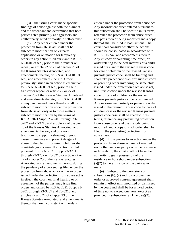(3) the issuing court made specific findings of abuse against both the plaintiff and the defendant and determined that both parties acted primarily as aggressors and neither party acted primarily in self-defense.

(c) Any order entered under the protection from abuse act shall not be subject to modification on ex parte application or on motion for temporary orders in any action filed pursuant to K.S.A. 60-1601 et seq., prior to their transfer or repeal, or article 22 or 27 of chapter 23 of the Kansas Statutes Annotated, and amendments thereto, or K.S.A. 38-1101 et seq., and amendments thereto. Orders previously issued in an action filed pursuant to K.S.A. 60-1601 et seq., prior to their transfer or repeal, or article 22 or 27 of chapter 23 of the Kansas Statutes Annotated, and amendments thereto, or K.S.A. 38-1101 et seq., and amendments thereto, shall be subject to modification under the protection from abuse act only as to those matters subject to modification by the terms of K.S.A. 2021 Supp. 23-3201 through 23- 3207 and 23-3218 and article 27 of chapter 23 of the Kansas Statutes Annotated, and amendments thereto, and on sworn testimony to support a showing of good cause. Immediate and present danger of abuse to the plaintiff or minor children shall constitute good cause. If an action is filed pursuant to K.S.A. 2021 Supp. 23-3201 through 23-3207 or 23-3218 or article 22 or 27 of chapter 23 of the Kansas Statutes Annotated, and amendments thereto, during the pendency of a proceeding filed under the protection from abuse act or while an order issued under the protection from abuse act is in effect, the court, on final hearing or on agreement of the parties, may issue final orders authorized by K.S.A. 2021 Supp. 23- 3201 through 23-3207 and 23-3218 and articles 22 and 27 of chapter 23 of the Kansas Statutes Annotated, and amendments thereto, that are inconsistent with orders

entered under the protection from abuse act. Any inconsistent order entered pursuant to this subsection shall be specific in its terms, reference the protection from abuse order and parts thereof being modified and a copy thereof shall be filed in both actions. The court shall consider whether the actions should be consolidated in accordance with K.S.A. 60-242, and amendments thereto. Any custody or parenting time order, or order relating to the best interests of a child, issued pursuant to the revised Kansas code for care of children or the revised Kansas juvenile justice code, shall be binding and shall take precedence over any such custody or parenting order involving the same child issued under the protection from abuse act, until jurisdiction under the revised Kansas code for care of children or the revised Kansas juvenile justice code is terminated. Any inconsistent custody or parenting order issued in the revised Kansas code for care of children case or the revised Kansas juvenile justice code case shall be specific in its terms, reference any preexisting protection from abuse order and the custody being modified, and a copy of such order shall be filed in the preexisting protection from abuse case.

(d) If the parties to an action under the protection from abuse act are not married to each other and one party owns the residence or household, the court shall not have the authority to grant possession of the residence or household under subsection  $(a)(2)$  to the exclusion of the party who owns it.

(e) Subject to the provisions of subsections (b), (c) and (d), a protective order or approved consent agreement shall remain in effect until modified or dismissed by the court and shall be for a fixed period of time not to exceed one year, except as provided in subsection  $(e)(1)$  and  $(e)(2)$ .